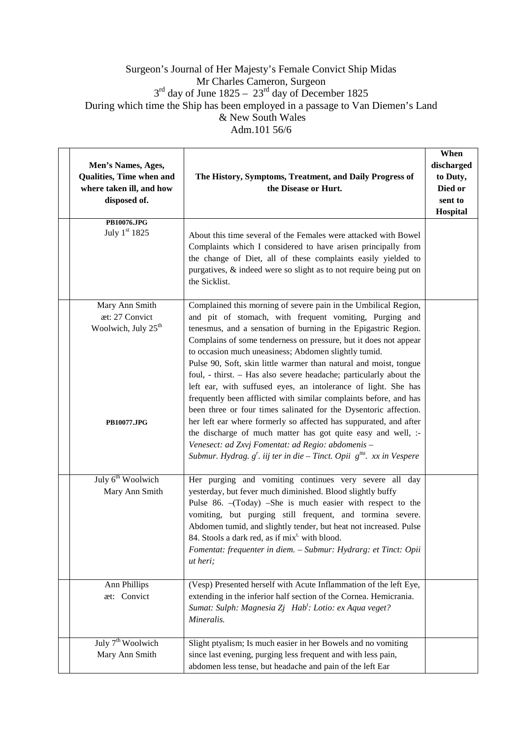## Surgeon's Journal of Her Majesty's Female Convict Ship Midas Mr Charles Cameron, Surgeon  $3<sup>rd</sup>$  day of June 1825 – 23<sup>rd</sup> day of December 1825 During which time the Ship has been employed in a passage to Van Diemen's Land & New South Wales Adm.101 56/6

| Men's Names, Ages,<br>Qualities, Time when and<br>where taken ill, and how<br>disposed of. | The History, Symptoms, Treatment, and Daily Progress of<br>the Disease or Hurt.                                                                                                                                                                                                                                                                                                                                                                                                                                                                                                                                                                                                                                                                                                                                                                                                                                                                           | When<br>discharged<br>to Duty,<br>Died or<br>sent to<br>Hospital |
|--------------------------------------------------------------------------------------------|-----------------------------------------------------------------------------------------------------------------------------------------------------------------------------------------------------------------------------------------------------------------------------------------------------------------------------------------------------------------------------------------------------------------------------------------------------------------------------------------------------------------------------------------------------------------------------------------------------------------------------------------------------------------------------------------------------------------------------------------------------------------------------------------------------------------------------------------------------------------------------------------------------------------------------------------------------------|------------------------------------------------------------------|
| PB10076.JPG<br>July 1st 1825                                                               | About this time several of the Females were attacked with Bowel<br>Complaints which I considered to have arisen principally from<br>the change of Diet, all of these complaints easily yielded to<br>purgatives, & indeed were so slight as to not require being put on<br>the Sicklist.                                                                                                                                                                                                                                                                                                                                                                                                                                                                                                                                                                                                                                                                  |                                                                  |
| Mary Ann Smith<br>æt: 27 Convict<br>Woolwich, July 25 <sup>th</sup><br><b>PB10077.JPG</b>  | Complained this morning of severe pain in the Umbilical Region,<br>and pit of stomach, with frequent vomiting, Purging and<br>tenesmus, and a sensation of burning in the Epigastric Region.<br>Complains of some tenderness on pressure, but it does not appear<br>to occasion much uneasiness; Abdomen slightly tumid.<br>Pulse 90, Soft, skin little warmer than natural and moist, tongue<br>foul, - thirst. - Has also severe headache; particularly about the<br>left ear, with suffused eyes, an intolerance of light. She has<br>frequently been afflicted with similar complaints before, and has<br>been three or four times salinated for the Dysentoric affection.<br>her left ear where formerly so affected has suppurated, and after<br>the discharge of much matter has got quite easy and well, :-<br>Venesect: ad Zxvj Fomentat: ad Regio: abdomenis -<br>Submur. Hydrag. $g'$ . iij ter in die - Tinct. Opii $g^{tta}$ . xx in Vespere |                                                                  |
| July 6 <sup>th</sup> Woolwich<br>Mary Ann Smith                                            | Her purging and vomiting continues very severe all day<br>yesterday, but fever much diminished. Blood slightly buffy<br>Pulse 86. - (Today) - She is much easier with respect to the<br>vomiting, but purging still frequent, and tormina severe.<br>Abdomen tumid, and slightly tender, but heat not increased. Pulse<br>84. Stools a dark red, as if mix <sup>t</sup> with blood.<br>Fomentat: frequenter in diem. - Submur: Hydrarg: et Tinct: Opii<br>ut heri;                                                                                                                                                                                                                                                                                                                                                                                                                                                                                        |                                                                  |
| Ann Phillips<br>æt: Convict                                                                | (Vesp) Presented herself with Acute Inflammation of the left Eye,<br>extending in the inferior half section of the Cornea. Hemicrania.<br>Sumat: Sulph: Magnesia Zj Hab <sup>t</sup> : Lotio: ex Aqua veget?<br>Mineralis.                                                                                                                                                                                                                                                                                                                                                                                                                                                                                                                                                                                                                                                                                                                                |                                                                  |
| July 7 <sup>th</sup> Woolwich<br>Mary Ann Smith                                            | Slight ptyalism; Is much easier in her Bowels and no vomiting<br>since last evening, purging less frequent and with less pain,<br>abdomen less tense, but headache and pain of the left Ear                                                                                                                                                                                                                                                                                                                                                                                                                                                                                                                                                                                                                                                                                                                                                               |                                                                  |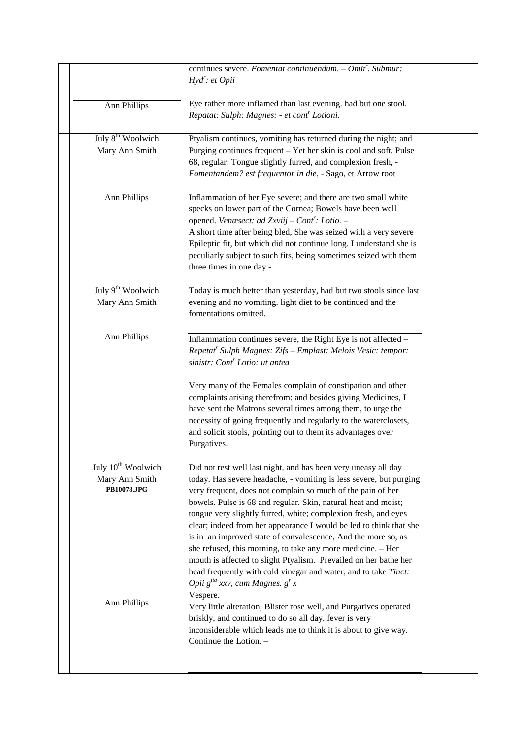|                                                                 | continues severe. Fomentat continuendum. - Omit'. Submur:<br>$Hyd'$ : et Opii                                                                                                                                                                                                                                                                                                                                                                                                                                                                                                                                                                                                                                                     |  |
|-----------------------------------------------------------------|-----------------------------------------------------------------------------------------------------------------------------------------------------------------------------------------------------------------------------------------------------------------------------------------------------------------------------------------------------------------------------------------------------------------------------------------------------------------------------------------------------------------------------------------------------------------------------------------------------------------------------------------------------------------------------------------------------------------------------------|--|
| Ann Phillips                                                    | Eye rather more inflamed than last evening. had but one stool.<br>Repatat: Sulph: Magnes: - et cont' Lotioni.                                                                                                                                                                                                                                                                                                                                                                                                                                                                                                                                                                                                                     |  |
| July 8 <sup>th</sup> Woolwich<br>Mary Ann Smith                 | Ptyalism continues, vomiting has returned during the night; and<br>Purging continues frequent – Yet her skin is cool and soft. Pulse<br>68, regular: Tongue slightly furred, and complexion fresh, -<br>Fomentandem? est frequentor in die, - Sago, et Arrow root                                                                                                                                                                                                                                                                                                                                                                                                                                                                 |  |
| Ann Phillips                                                    | Inflammation of her Eye severe; and there are two small white<br>specks on lower part of the Cornea; Bowels have been well<br>opened. Venæsect: ad Zxviij - Cont': Lotio. -<br>A short time after being bled, She was seized with a very severe<br>Epileptic fit, but which did not continue long. I understand she is<br>peculiarly subject to such fits, being sometimes seized with them<br>three times in one day.-                                                                                                                                                                                                                                                                                                           |  |
| July 9 <sup>th</sup> Woolwich<br>Mary Ann Smith                 | Today is much better than yesterday, had but two stools since last<br>evening and no vomiting. light diet to be continued and the<br>fomentations omitted.                                                                                                                                                                                                                                                                                                                                                                                                                                                                                                                                                                        |  |
| Ann Phillips                                                    | Inflammation continues severe, the Right Eye is not affected -<br>Repetat' Sulph Magnes: Zifs - Emplast: Melois Vesic: tempor:<br>sinistr: Cont <sup>r</sup> Lotio: ut antea<br>Very many of the Females complain of constipation and other<br>complaints arising therefrom: and besides giving Medicines, I<br>have sent the Matrons several times among them, to urge the<br>necessity of going frequently and regularly to the waterclosets,<br>and solicit stools, pointing out to them its advantages over<br>Purgatives.                                                                                                                                                                                                    |  |
| July 10 <sup>th</sup> Woolwich<br>Mary Ann Smith<br>PB10078.JPG | Did not rest well last night, and has been very uneasy all day<br>today. Has severe headache, - vomiting is less severe, but purging<br>very frequent, does not complain so much of the pain of her<br>bowels. Pulse is 68 and regular. Skin, natural heat and moist;<br>tongue very slightly furred, white; complexion fresh, and eyes<br>clear; indeed from her appearance I would be led to think that she<br>is in an improved state of convalescence, And the more so, as<br>she refused, this morning, to take any more medicine. - Her<br>mouth is affected to slight Ptyalism. Prevailed on her bathe her<br>head frequently with cold vinegar and water, and to take Tinct:<br>Opii $g^{ita}$ xxv, cum Magnes. $g^{r}$ x |  |
| <b>Ann Phillips</b>                                             | Vespere.<br>Very little alteration; Blister rose well, and Purgatives operated<br>briskly, and continued to do so all day. fever is very<br>inconsiderable which leads me to think it is about to give way.<br>Continue the Lotion. -                                                                                                                                                                                                                                                                                                                                                                                                                                                                                             |  |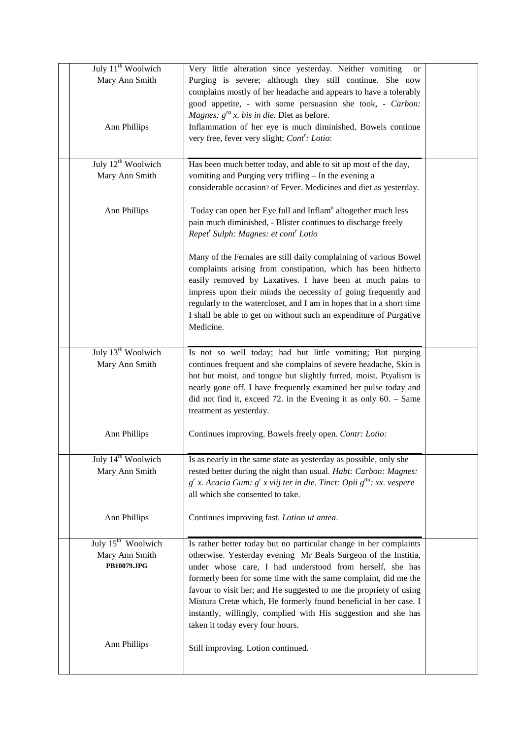| July 11 <sup>th</sup> Woolwich | Very little alteration since yesterday. Neither vomiting<br><b>or</b>                                                                 |  |
|--------------------------------|---------------------------------------------------------------------------------------------------------------------------------------|--|
| Mary Ann Smith                 | Purging is severe; although they still continue. She now                                                                              |  |
|                                | complains mostly of her headache and appears to have a tolerably                                                                      |  |
|                                | good appetite, - with some persuasion she took, - Carbon:                                                                             |  |
|                                | Magnes: $g^{ra}$ x. bis in die. Diet as before.                                                                                       |  |
| Ann Phillips                   | Inflammation of her eye is much diminished, Bowels continue                                                                           |  |
|                                | very free, fever very slight; Cont': Lotio:                                                                                           |  |
|                                |                                                                                                                                       |  |
| July 12 <sup>th</sup> Woolwich | Has been much better today, and able to sit up most of the day,                                                                       |  |
| Mary Ann Smith                 | vomiting and Purging very trifling - In the evening a                                                                                 |  |
|                                | considerable occasion? of Fever. Medicines and diet as yesterday.                                                                     |  |
|                                |                                                                                                                                       |  |
| <b>Ann Phillips</b>            | Today can open her Eye full and Inflam <sup>n</sup> altogether much less                                                              |  |
|                                | pain much diminished, - Blister continues to discharge freely                                                                         |  |
|                                | Repet <sup>r</sup> Sulph: Magnes: et cont <sup>r</sup> Lotio                                                                          |  |
|                                |                                                                                                                                       |  |
|                                | Many of the Females are still daily complaining of various Bowel                                                                      |  |
|                                | complaints arising from constipation, which has been hitherto                                                                         |  |
|                                | easily removed by Laxatives. I have been at much pains to                                                                             |  |
|                                | impress upon their minds the necessity of going frequently and                                                                        |  |
|                                | regularly to the watercloset, and I am in hopes that in a short time                                                                  |  |
|                                | I shall be able to get on without such an expenditure of Purgative                                                                    |  |
|                                | Medicine.                                                                                                                             |  |
|                                |                                                                                                                                       |  |
| July 13 <sup>th</sup> Woolwich | Is not so well today; had but little vomiting; But purging                                                                            |  |
| Mary Ann Smith                 | continues frequent and she complains of severe headache, Skin is                                                                      |  |
|                                | hot but moist, and tongue but slightly furred, moist. Ptyalism is                                                                     |  |
|                                | nearly gone off. I have frequently examined her pulse today and<br>did not find it, exceed 72. in the Evening it as only $60.$ – Same |  |
|                                | treatment as yesterday.                                                                                                               |  |
|                                |                                                                                                                                       |  |
| <b>Ann Phillips</b>            | Continues improving. Bowels freely open. Contr: Lotio:                                                                                |  |
|                                |                                                                                                                                       |  |
| July 14 <sup>th</sup> Woolwich | Is as nearly in the same state as yesterday as possible, only she                                                                     |  |
| Mary Ann Smith                 | rested better during the night than usual. Habt: Carbon: Magnes:                                                                      |  |
|                                | $g^{r}$ x. Acacia Gum: $g^{r}$ x viij ter in die. Tinct: Opii $g^{t/a}$ : xx. vespere                                                 |  |
|                                | all which she consented to take.                                                                                                      |  |
|                                |                                                                                                                                       |  |
| <b>Ann Phillips</b>            | Continues improving fast. Lotion ut antea.                                                                                            |  |
|                                |                                                                                                                                       |  |
| July 15 <sup>th</sup> Woolwich | Is rather better today but no particular change in her complaints                                                                     |  |
| Mary Ann Smith                 | otherwise. Yesterday evening Mr Beals Surgeon of the Institia,                                                                        |  |
| <b>PB10079.JPG</b>             | under whose care, I had understood from herself, she has                                                                              |  |
|                                | formerly been for some time with the same complaint, did me the                                                                       |  |
|                                | favour to visit her; and He suggested to me the propriety of using                                                                    |  |
|                                | Mistura Cretæ which, He formerly found beneficial in her case. I                                                                      |  |
|                                | instantly, willingly, complied with His suggestion and she has                                                                        |  |
|                                | taken it today every four hours.                                                                                                      |  |
| <b>Ann Phillips</b>            |                                                                                                                                       |  |
|                                | Still improving. Lotion continued.                                                                                                    |  |
|                                |                                                                                                                                       |  |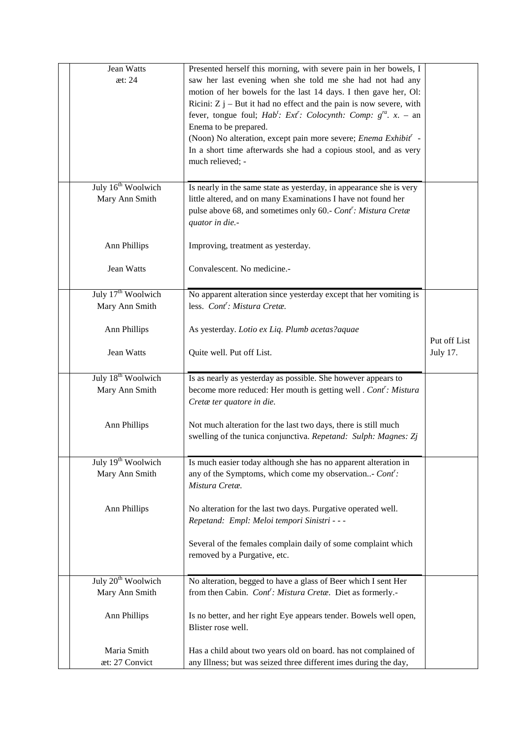| Jean Watts<br>æt: 24                             | Presented herself this morning, with severe pain in her bowels, I<br>saw her last evening when she told me she had not had any<br>motion of her bowels for the last 14 days. I then gave her, Ol:<br>Ricini: $Z j$ – But it had no effect and the pain is now severe, with<br>fever, tongue foul; Hab': Ext': Colocynth: Comp: $g^{ra}$ . x. - an<br>Enema to be prepared.<br>(Noon) No alteration, except pain more severe; Enema Exhibit' -<br>In a short time afterwards she had a copious stool, and as very<br>much relieved; - |              |
|--------------------------------------------------|--------------------------------------------------------------------------------------------------------------------------------------------------------------------------------------------------------------------------------------------------------------------------------------------------------------------------------------------------------------------------------------------------------------------------------------------------------------------------------------------------------------------------------------|--------------|
| July 16 <sup>th</sup> Woolwich<br>Mary Ann Smith | Is nearly in the same state as yesterday, in appearance she is very<br>little altered, and on many Examinations I have not found her<br>pulse above 68, and sometimes only 60.- Cont': Mistura Cretæ<br>quator in die.-                                                                                                                                                                                                                                                                                                              |              |
| <b>Ann Phillips</b>                              | Improving, treatment as yesterday.                                                                                                                                                                                                                                                                                                                                                                                                                                                                                                   |              |
| Jean Watts                                       | Convalescent. No medicine.-                                                                                                                                                                                                                                                                                                                                                                                                                                                                                                          |              |
| July 17 <sup>th</sup> Woolwich<br>Mary Ann Smith | No apparent alteration since yesterday except that her vomiting is<br>less. Cont <sup>r</sup> : Mistura Cretæ.                                                                                                                                                                                                                                                                                                                                                                                                                       |              |
|                                                  |                                                                                                                                                                                                                                                                                                                                                                                                                                                                                                                                      |              |
| <b>Ann Phillips</b>                              | As yesterday. Lotio ex Liq. Plumb acetas?aquae                                                                                                                                                                                                                                                                                                                                                                                                                                                                                       | Put off List |
| Jean Watts                                       | Quite well. Put off List.                                                                                                                                                                                                                                                                                                                                                                                                                                                                                                            | July 17.     |
| July 18 <sup>th</sup> Woolwich<br>Mary Ann Smith | Is as nearly as yesterday as possible. She however appears to<br>become more reduced: Her mouth is getting well . Cont': Mistura<br>Cretæ ter quatore in die.                                                                                                                                                                                                                                                                                                                                                                        |              |
| <b>Ann Phillips</b>                              | Not much alteration for the last two days, there is still much<br>swelling of the tunica conjunctiva. Repetand: Sulph: Magnes: Zj                                                                                                                                                                                                                                                                                                                                                                                                    |              |
| July 19 <sup>th</sup> Woolwich<br>Mary Ann Smith | Is much easier today although she has no apparent alteration in<br>any of the Symptoms, which come my observation Cont':<br>Mistura Cretæ.                                                                                                                                                                                                                                                                                                                                                                                           |              |
| <b>Ann Phillips</b>                              | No alteration for the last two days. Purgative operated well.<br>Repetand: Empl: Meloi tempori Sinistri - - -                                                                                                                                                                                                                                                                                                                                                                                                                        |              |
|                                                  | Several of the females complain daily of some complaint which<br>removed by a Purgative, etc.                                                                                                                                                                                                                                                                                                                                                                                                                                        |              |
| July 20 <sup>th</sup> Woolwich                   | No alteration, begged to have a glass of Beer which I sent Her                                                                                                                                                                                                                                                                                                                                                                                                                                                                       |              |
| Mary Ann Smith<br>Ann Phillips                   | from then Cabin. Cont': Mistura Cretæ. Diet as formerly.-<br>Is no better, and her right Eye appears tender. Bowels well open,<br>Blister rose well.                                                                                                                                                                                                                                                                                                                                                                                 |              |
| Maria Smith<br>æt: 27 Convict                    | Has a child about two years old on board. has not complained of<br>any Illness; but was seized three different imes during the day,                                                                                                                                                                                                                                                                                                                                                                                                  |              |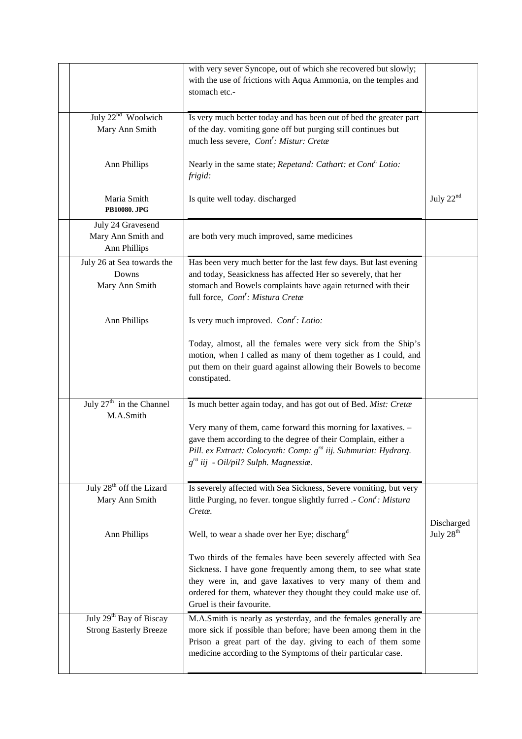|                                                                      | with very sever Syncope, out of which she recovered but slowly;<br>with the use of frictions with Aqua Ammonia, on the temples and<br>stomach etc.-                                                                                                                                                                                                        |                |
|----------------------------------------------------------------------|------------------------------------------------------------------------------------------------------------------------------------------------------------------------------------------------------------------------------------------------------------------------------------------------------------------------------------------------------------|----------------|
| July 22 <sup>nd</sup> Woolwich<br>Mary Ann Smith                     | Is very much better today and has been out of bed the greater part<br>of the day. vomiting gone off but purging still continues but<br>much less severe, Cont': Mistur: Cretæ                                                                                                                                                                              |                |
| Ann Phillips                                                         | Nearly in the same state; Repetand: Cathart: et Cont <sup>r.</sup> Lotio:<br>frigid:                                                                                                                                                                                                                                                                       |                |
| Maria Smith<br>PB10080. JPG                                          | Is quite well today. discharged                                                                                                                                                                                                                                                                                                                            | July $22^{nd}$ |
| July 24 Gravesend<br>Mary Ann Smith and<br>Ann Phillips              | are both very much improved, same medicines                                                                                                                                                                                                                                                                                                                |                |
| July 26 at Sea towards the<br>Downs<br>Mary Ann Smith                | Has been very much better for the last few days. But last evening<br>and today, Seasickness has affected Her so severely, that her<br>stomach and Bowels complaints have again returned with their<br>full force, Cont': Mistura Cretæ                                                                                                                     |                |
| Ann Phillips                                                         | Is very much improved. Cont': Lotio:<br>Today, almost, all the females were very sick from the Ship's<br>motion, when I called as many of them together as I could, and<br>put them on their guard against allowing their Bowels to become<br>constipated.                                                                                                 |                |
| July $27th$ in the Channel<br>M.A.Smith                              | Is much better again today, and has got out of Bed. Mist: Cretæ<br>Very many of them, came forward this morning for laxatives. -<br>gave them according to the degree of their Complain, either a<br>Pill. ex Extract: Colocynth: Comp: g <sup>ra</sup> iij. Submuriat: Hydrarg.<br>$g^{ra}$ iij - Oil/pil? Sulph. Magnessiæ.                              |                |
| July 28 <sup>th</sup> off the Lizard<br>Mary Ann Smith               | Is severely affected with Sea Sickness, Severe vomiting, but very<br>little Purging, no fever. tongue slightly furred .- Cont': Mistura<br>Cretæ.                                                                                                                                                                                                          | Discharged     |
| Ann Phillips                                                         | Well, to wear a shade over her Eye; discharg <sup>d</sup><br>Two thirds of the females have been severely affected with Sea<br>Sickness. I have gone frequently among them, to see what state<br>they were in, and gave laxatives to very many of them and<br>ordered for them, whatever they thought they could make use of.<br>Gruel is their favourite. | July $28th$    |
| July 29 <sup>th</sup> Bay of Biscay<br><b>Strong Easterly Breeze</b> | M.A.Smith is nearly as yesterday, and the females generally are<br>more sick if possible than before; have been among them in the<br>Prison a great part of the day. giving to each of them some<br>medicine according to the Symptoms of their particular case.                                                                                           |                |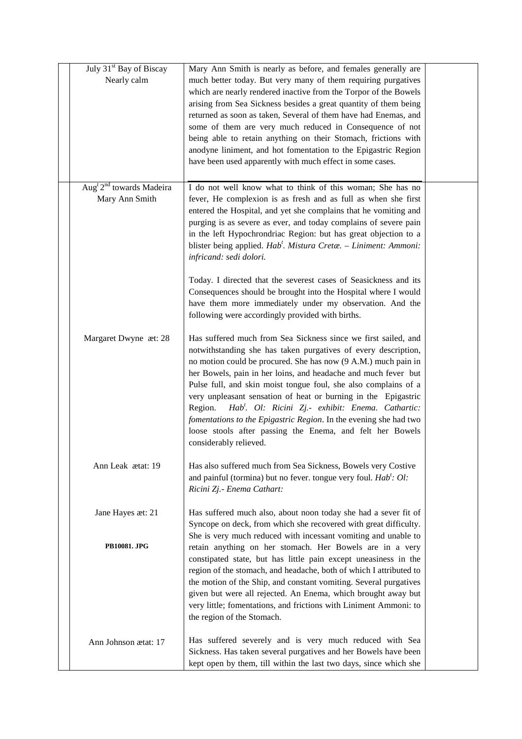| July 31 <sup>st</sup> Bay of Biscay<br>Nearly calm     | Mary Ann Smith is nearly as before, and females generally are<br>much better today. But very many of them requiring purgatives<br>which are nearly rendered inactive from the Torpor of the Bowels                                                                                                                                                                                                                                                                                                                                                                                                                                                |  |
|--------------------------------------------------------|---------------------------------------------------------------------------------------------------------------------------------------------------------------------------------------------------------------------------------------------------------------------------------------------------------------------------------------------------------------------------------------------------------------------------------------------------------------------------------------------------------------------------------------------------------------------------------------------------------------------------------------------------|--|
|                                                        | arising from Sea Sickness besides a great quantity of them being<br>returned as soon as taken, Several of them have had Enemas, and<br>some of them are very much reduced in Consequence of not<br>being able to retain anything on their Stomach, frictions with                                                                                                                                                                                                                                                                                                                                                                                 |  |
|                                                        | anodyne liniment, and hot fomentation to the Epigastric Region<br>have been used apparently with much effect in some cases.                                                                                                                                                                                                                                                                                                                                                                                                                                                                                                                       |  |
| Aug <sup>t 2nd</sup> towards Madeira<br>Mary Ann Smith | I do not well know what to think of this woman; She has no<br>fever, He complexion is as fresh and as full as when she first<br>entered the Hospital, and yet she complains that he vomiting and<br>purging is as severe as ever, and today complains of severe pain<br>in the left Hypochrondriac Region: but has great objection to a<br>blister being applied. Hab <sup>t</sup> . Mistura Cretæ. - Liniment: Ammoni:<br>infricand: sedi dolori.                                                                                                                                                                                                |  |
|                                                        | Today. I directed that the severest cases of Seasickness and its<br>Consequences should be brought into the Hospital where I would<br>have them more immediately under my observation. And the<br>following were accordingly provided with births.                                                                                                                                                                                                                                                                                                                                                                                                |  |
| Margaret Dwyne æt: 28                                  | Has suffered much from Sea Sickness since we first sailed, and<br>notwithstanding she has taken purgatives of every description,<br>no motion could be procured. She has now (9 A.M.) much pain in<br>her Bowels, pain in her loins, and headache and much fever but<br>Pulse full, and skin moist tongue foul, she also complains of a<br>very unpleasant sensation of heat or burning in the Epigastric<br>Hab <sup>t</sup> . Ol: Ricini Zj.- exhibit: Enema. Cathartic:<br>Region.<br>fomentations to the Epigastric Region. In the evening she had two<br>loose stools after passing the Enema, and felt her Bowels<br>considerably relieved. |  |
| Ann Leak ætat: 19                                      | Has also suffered much from Sea Sickness, Bowels very Costive<br>and painful (tormina) but no fever. tongue very foul. $Hab'$ : Ol:<br>Ricini Zj.- Enema Cathart:                                                                                                                                                                                                                                                                                                                                                                                                                                                                                 |  |
| Jane Hayes æt: 21                                      | Has suffered much also, about noon today she had a sever fit of<br>Syncope on deck, from which she recovered with great difficulty.<br>She is very much reduced with incessant vomiting and unable to                                                                                                                                                                                                                                                                                                                                                                                                                                             |  |
| PB10081. JPG                                           | retain anything on her stomach. Her Bowels are in a very<br>constipated state, but has little pain except uneasiness in the<br>region of the stomach, and headache, both of which I attributed to<br>the motion of the Ship, and constant vomiting. Several purgatives<br>given but were all rejected. An Enema, which brought away but<br>very little; fomentations, and frictions with Liniment Ammoni: to<br>the region of the Stomach.                                                                                                                                                                                                        |  |
| Ann Johnson ætat: 17                                   | Has suffered severely and is very much reduced with Sea<br>Sickness. Has taken several purgatives and her Bowels have been<br>kept open by them, till within the last two days, since which she                                                                                                                                                                                                                                                                                                                                                                                                                                                   |  |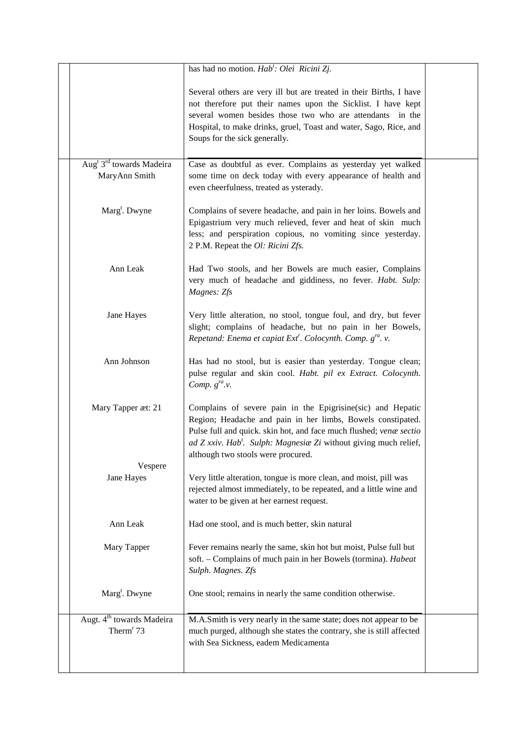|                                                                   | has had no motion. Hab <sup>t</sup> : Olei Ricini Zj.                                                                                                                                                                                                                                                                  |  |
|-------------------------------------------------------------------|------------------------------------------------------------------------------------------------------------------------------------------------------------------------------------------------------------------------------------------------------------------------------------------------------------------------|--|
|                                                                   | Several others are very ill but are treated in their Births, I have<br>not therefore put their names upon the Sicklist. I have kept<br>several women besides those two who are attendants in the<br>Hospital, to make drinks, gruel, Toast and water, Sago, Rice, and<br>Soups for the sick generally.                 |  |
| Aug <sup>t</sup> 3 <sup>rd</sup> towards Madeira<br>MaryAnn Smith | Case as doubtful as ever. Complains as yesterday yet walked<br>some time on deck today with every appearance of health and<br>even cheerfulness, treated as ysterady.                                                                                                                                                  |  |
| Marg <sup>t</sup> . Dwyne                                         | Complains of severe headache, and pain in her loins. Bowels and<br>Epigastrium very much relieved, fever and heat of skin much<br>less; and perspiration copious, no vomiting since yesterday.<br>2 P.M. Repeat the Ol: Ricini Zfs.                                                                                    |  |
| Ann Leak                                                          | Had Two stools, and her Bowels are much easier, Complains<br>very much of headache and giddiness, no fever. Habt. Sulp:<br>Magnes: Zfs                                                                                                                                                                                 |  |
| Jane Hayes                                                        | Very little alteration, no stool, tongue foul, and dry, but fever<br>slight; complains of headache, but no pain in her Bowels,<br>Repetand: Enema et capiat Ext <sup>r</sup> . Colocynth. Comp. g <sup>ra</sup> . v.                                                                                                   |  |
| Ann Johnson                                                       | Has had no stool, but is easier than yesterday. Tongue clean;<br>pulse regular and skin cool. Habt. pil ex Extract. Colocynth.<br>Comp. $g^{ra}.v$ .                                                                                                                                                                   |  |
| Mary Tapper æt: 21                                                | Complains of severe pain in the Epigrisine(sic) and Hepatic<br>Region; Headache and pain in her limbs, Bowels constipated.<br>Pulse full and quick. skin hot, and face much flushed; venæ sectio<br>ad Z xxiv. Hab <sup>t</sup> . Sulph: Magnesia Zi without giving much relief,<br>although two stools were procured. |  |
| Vespere<br>Jane Hayes                                             | Very little alteration, tongue is more clean, and moist, pill was<br>rejected almost immediately, to be repeated, and a little wine and<br>water to be given at her earnest request.                                                                                                                                   |  |
| Ann Leak                                                          | Had one stool, and is much better, skin natural                                                                                                                                                                                                                                                                        |  |
| Mary Tapper                                                       | Fever remains nearly the same, skin hot but moist, Pulse full but<br>soft. - Complains of much pain in her Bowels (tormina). Habeat<br>Sulph. Magnes. Zfs                                                                                                                                                              |  |
| Marg <sup>t</sup> . Dwyne                                         | One stool; remains in nearly the same condition otherwise.                                                                                                                                                                                                                                                             |  |
| Augt. 4 <sup>th</sup> towards Madeira<br>Therm <sup>r</sup> 73    | M.A.Smith is very nearly in the same state; does not appear to be<br>much purged, although she states the contrary, she is still affected<br>with Sea Sickness, eadem Medicamenta                                                                                                                                      |  |
|                                                                   |                                                                                                                                                                                                                                                                                                                        |  |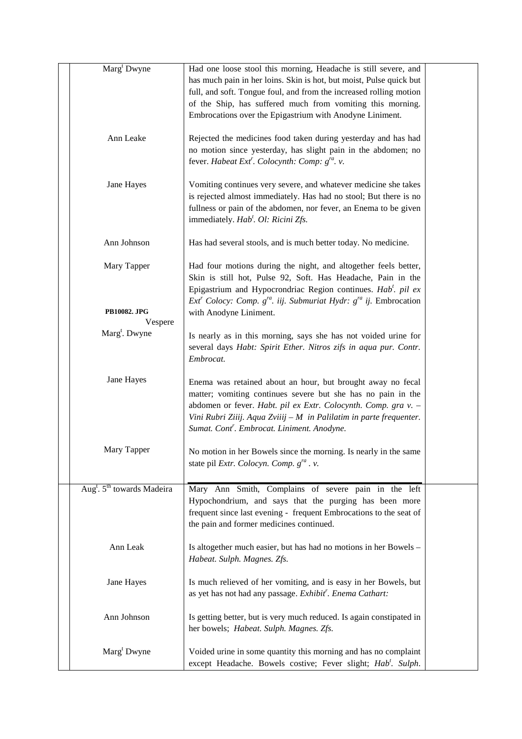| Marg <sup>t</sup> Dwyne                            | Had one loose stool this morning, Headache is still severe, and<br>has much pain in her loins. Skin is hot, but moist, Pulse quick but<br>full, and soft. Tongue foul, and from the increased rolling motion<br>of the Ship, has suffered much from vomiting this morning.<br>Embrocations over the Epigastrium with Anodyne Liniment. |  |
|----------------------------------------------------|----------------------------------------------------------------------------------------------------------------------------------------------------------------------------------------------------------------------------------------------------------------------------------------------------------------------------------------|--|
| Ann Leake                                          | Rejected the medicines food taken during yesterday and has had<br>no motion since yesterday, has slight pain in the abdomen; no<br>fever. Habeat Ext <sup>r</sup> . Colocynth: Comp: $g^{ra}$ . v.                                                                                                                                     |  |
| Jane Hayes                                         | Vomiting continues very severe, and whatever medicine she takes<br>is rejected almost immediately. Has had no stool; But there is no<br>fullness or pain of the abdomen, nor fever, an Enema to be given<br>immediately. Hab <sup>t</sup> . Ol: Ricini Zfs.                                                                            |  |
| Ann Johnson                                        | Has had several stools, and is much better today. No medicine.                                                                                                                                                                                                                                                                         |  |
| Mary Tapper                                        | Had four motions during the night, and altogether feels better,<br>Skin is still hot, Pulse 92, Soft. Has Headache, Pain in the<br>Epigastrium and Hypocrondriac Region continues. Hab <sup>t</sup> . pil ex<br>$Extr$ Colocy: Comp. $gra$ . iij. Submuriat Hydr: $gra$ ij. Embrocation                                                |  |
| <b>PB10082. JPG</b><br>Vespere                     | with Anodyne Liniment.                                                                                                                                                                                                                                                                                                                 |  |
| Marg <sup>t</sup> . Dwyne                          | Is nearly as in this morning, says she has not voided urine for<br>several days Habt: Spirit Ether. Nitros zifs in aqua pur. Contr.<br>Embrocat.                                                                                                                                                                                       |  |
| Jane Hayes                                         | Enema was retained about an hour, but brought away no fecal<br>matter; vomiting continues severe but she has no pain in the<br>abdomen or fever. Habt. pil ex Extr. Colocynth. Comp. gra v. -<br>Vini Rubri Ziiij. Aqua Zviiij - M in Palilatim in parte frequenter.<br>Sumat. Cont'. Embrocat. Liniment. Anodyne.                     |  |
| Mary Tapper                                        | No motion in her Bowels since the morning. Is nearly in the same<br>state pil Extr. Colocyn. Comp. $g^{ra}$ . v.                                                                                                                                                                                                                       |  |
| Aug <sup>t</sup> . 5 <sup>th</sup> towards Madeira | Mary Ann Smith, Complains of severe pain in the left<br>Hypochondrium, and says that the purging has been more<br>frequent since last evening - frequent Embrocations to the seat of<br>the pain and former medicines continued.                                                                                                       |  |
| Ann Leak                                           | Is altogether much easier, but has had no motions in her Bowels -<br>Habeat. Sulph. Magnes. Zfs.                                                                                                                                                                                                                                       |  |
| Jane Hayes                                         | Is much relieved of her vomiting, and is easy in her Bowels, but<br>as yet has not had any passage. Exhibit'. Enema Cathart:                                                                                                                                                                                                           |  |
| Ann Johnson                                        | Is getting better, but is very much reduced. Is again constipated in<br>her bowels; Habeat. Sulph. Magnes. Zfs.                                                                                                                                                                                                                        |  |
| Marg <sup>t</sup> Dwyne                            | Voided urine in some quantity this morning and has no complaint<br>except Headache. Bowels costive; Fever slight; Hab'. Sulph.                                                                                                                                                                                                         |  |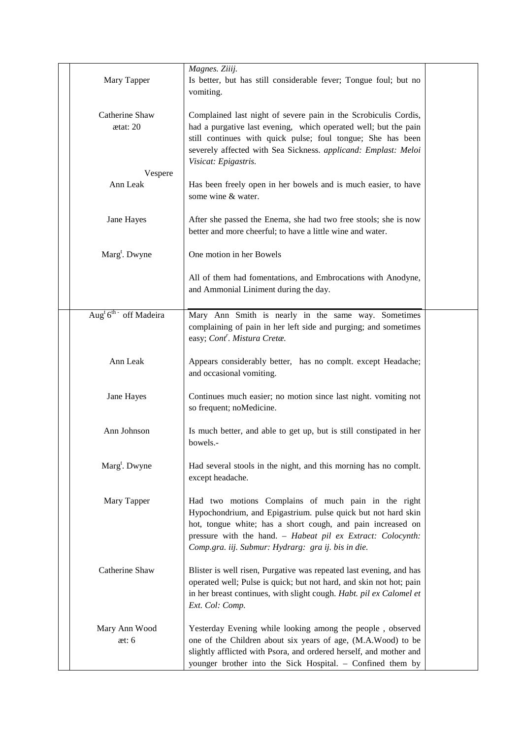| Mary Tapper                           | Magnes. Ziiij.<br>Is better, but has still considerable fever; Tongue foul; but no<br>vomiting.                                                                                                                                                                                                           |  |
|---------------------------------------|-----------------------------------------------------------------------------------------------------------------------------------------------------------------------------------------------------------------------------------------------------------------------------------------------------------|--|
| Catherine Shaw<br>$\text{at}$ : 20    | Complained last night of severe pain in the Scrobiculis Cordis,<br>had a purgative last evening, which operated well; but the pain<br>still continues with quick pulse; foul tongue; She has been<br>severely affected with Sea Sickness. applicand: Emplast: Meloi<br>Visicat: Epigastris.               |  |
| Vespere<br>Ann Leak                   | Has been freely open in her bowels and is much easier, to have<br>some wine & water.                                                                                                                                                                                                                      |  |
| Jane Hayes                            | After she passed the Enema, she had two free stools; she is now<br>better and more cheerful; to have a little wine and water.                                                                                                                                                                             |  |
| Marg <sup>t</sup> . Dwyne             | One motion in her Bowels                                                                                                                                                                                                                                                                                  |  |
|                                       | All of them had fomentations, and Embrocations with Anodyne,<br>and Ammonial Liniment during the day.                                                                                                                                                                                                     |  |
| Aug <sup>t</sup> $6^{th}$ off Madeira | Mary Ann Smith is nearly in the same way. Sometimes<br>complaining of pain in her left side and purging; and sometimes<br>easy; Cont'. Mistura Cretæ.                                                                                                                                                     |  |
| Ann Leak                              | Appears considerably better, has no complt. except Headache;<br>and occasional vomiting.                                                                                                                                                                                                                  |  |
| Jane Hayes                            | Continues much easier; no motion since last night. vomiting not<br>so frequent; noMedicine.                                                                                                                                                                                                               |  |
| Ann Johnson                           | Is much better, and able to get up, but is still constipated in her<br>bowels.-                                                                                                                                                                                                                           |  |
| Marg <sup>t</sup> . Dwyne             | Had several stools in the night, and this morning has no complt.<br>except headache.                                                                                                                                                                                                                      |  |
| Mary Tapper                           | Had two motions Complains of much pain in the right<br>Hypochondrium, and Epigastrium. pulse quick but not hard skin<br>hot, tongue white; has a short cough, and pain increased on<br>pressure with the hand. - Habeat pil ex Extract: Colocynth:<br>Comp.gra. iij. Submur: Hydrarg: gra ij. bis in die. |  |
| Catherine Shaw                        | Blister is well risen, Purgative was repeated last evening, and has<br>operated well; Pulse is quick; but not hard, and skin not hot; pain<br>in her breast continues, with slight cough. Habt. pil ex Calomel et<br>Ext. Col: Comp.                                                                      |  |
| Mary Ann Wood<br>$\text{at: }6$       | Yesterday Evening while looking among the people, observed<br>one of the Children about six years of age, (M.A.Wood) to be<br>slightly afflicted with Psora, and ordered herself, and mother and<br>younger brother into the Sick Hospital. - Confined them by                                            |  |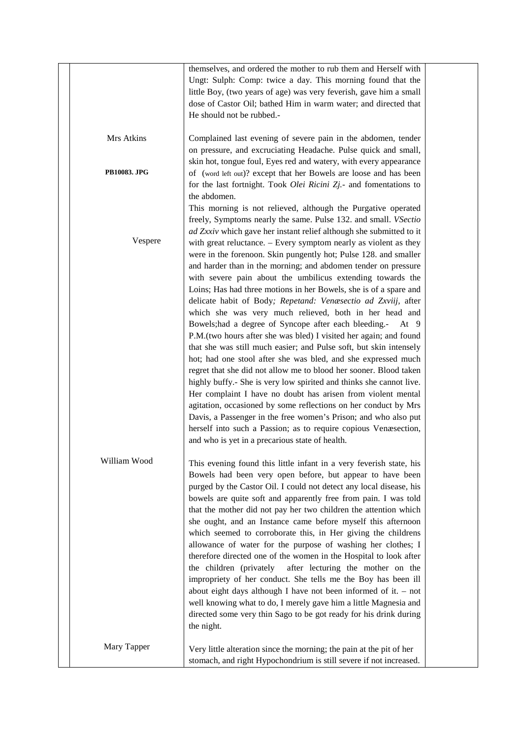|              | themselves, and ordered the mother to rub them and Herself with      |  |
|--------------|----------------------------------------------------------------------|--|
|              | Ungt: Sulph: Comp: twice a day. This morning found that the          |  |
|              | little Boy, (two years of age) was very feverish, gave him a small   |  |
|              | dose of Castor Oil; bathed Him in warm water; and directed that      |  |
|              | He should not be rubbed.-                                            |  |
|              |                                                                      |  |
| Mrs Atkins   | Complained last evening of severe pain in the abdomen, tender        |  |
|              | on pressure, and excruciating Headache. Pulse quick and small,       |  |
|              | skin hot, tongue foul, Eyes red and watery, with every appearance    |  |
| PB10083. JPG | of (word left out)? except that her Bowels are loose and has been    |  |
|              | for the last fortnight. Took Olei Ricini Zj.- and fomentations to    |  |
|              | the abdomen.                                                         |  |
|              | This morning is not relieved, although the Purgative operated        |  |
|              | freely, Symptoms nearly the same. Pulse 132. and small. VSectio      |  |
|              | ad Zxxiv which gave her instant relief although she submitted to it  |  |
| Vespere      | with great reluctance. - Every symptom nearly as violent as they     |  |
|              | were in the forenoon. Skin pungently hot; Pulse 128. and smaller     |  |
|              | and harder than in the morning; and abdomen tender on pressure       |  |
|              | with severe pain about the umbilicus extending towards the           |  |
|              | Loins; Has had three motions in her Bowels, she is of a spare and    |  |
|              |                                                                      |  |
|              | delicate habit of Body; Repetand: Venæsectio ad Zxviij, after        |  |
|              | which she was very much relieved, both in her head and               |  |
|              | Bowels; had a degree of Syncope after each bleeding.-<br>At $9$      |  |
|              | P.M.(two hours after she was bled) I visited her again; and found    |  |
|              | that she was still much easier; and Pulse soft, but skin intensely   |  |
|              | hot; had one stool after she was bled, and she expressed much        |  |
|              | regret that she did not allow me to blood her sooner. Blood taken    |  |
|              | highly buffy.- She is very low spirited and thinks she cannot live.  |  |
|              | Her complaint I have no doubt has arisen from violent mental         |  |
|              | agitation, occasioned by some reflections on her conduct by Mrs      |  |
|              | Davis, a Passenger in the free women's Prison; and who also put      |  |
|              | herself into such a Passion; as to require copious Venæsection,      |  |
|              | and who is yet in a precarious state of health.                      |  |
|              |                                                                      |  |
| William Wood | This evening found this little infant in a very feverish state, his  |  |
|              | Bowels had been very open before, but appear to have been            |  |
|              | purged by the Castor Oil. I could not detect any local disease, his  |  |
|              | bowels are quite soft and apparently free from pain. I was told      |  |
|              | that the mother did not pay her two children the attention which     |  |
|              | she ought, and an Instance came before myself this afternoon         |  |
|              | which seemed to corroborate this, in Her giving the childrens        |  |
|              | allowance of water for the purpose of washing her clothes; I         |  |
|              | therefore directed one of the women in the Hospital to look after    |  |
|              | the children (privately<br>after lecturing the mother on the         |  |
|              | impropriety of her conduct. She tells me the Boy has been ill        |  |
|              | about eight days although I have not been informed of it. $-$ not    |  |
|              | well knowing what to do, I merely gave him a little Magnesia and     |  |
|              |                                                                      |  |
|              | directed some very thin Sago to be got ready for his drink during    |  |
|              | the night.                                                           |  |
| Mary Tapper  |                                                                      |  |
|              | Very little alteration since the morning; the pain at the pit of her |  |
|              | stomach, and right Hypochondrium is still severe if not increased.   |  |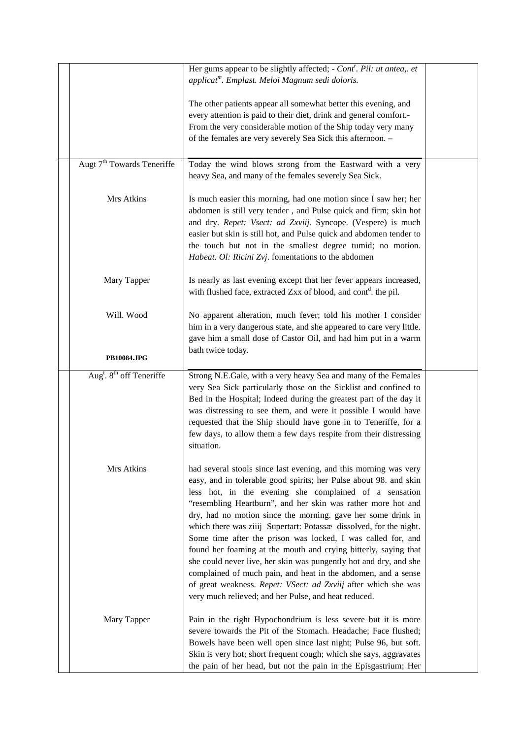|                                                  | Her gums appear to be slightly affected; - Cont'. Pil: ut antea,. et<br>applicat <sup>m</sup> . Emplast. Meloi Magnum sedi doloris.                                                                                                                                                                                                                                                                                                                                                                                                                                                                                                                                                                                                                                                                      |  |
|--------------------------------------------------|----------------------------------------------------------------------------------------------------------------------------------------------------------------------------------------------------------------------------------------------------------------------------------------------------------------------------------------------------------------------------------------------------------------------------------------------------------------------------------------------------------------------------------------------------------------------------------------------------------------------------------------------------------------------------------------------------------------------------------------------------------------------------------------------------------|--|
|                                                  | The other patients appear all somewhat better this evening, and<br>every attention is paid to their diet, drink and general comfort.-<br>From the very considerable motion of the Ship today very many<br>of the females are very severely Sea Sick this afternoon. -                                                                                                                                                                                                                                                                                                                                                                                                                                                                                                                                    |  |
| Augt 7 <sup>th</sup> Towards Teneriffe           | Today the wind blows strong from the Eastward with a very<br>heavy Sea, and many of the females severely Sea Sick.                                                                                                                                                                                                                                                                                                                                                                                                                                                                                                                                                                                                                                                                                       |  |
| Mrs Atkins                                       | Is much easier this morning, had one motion since I saw her; her<br>abdomen is still very tender, and Pulse quick and firm; skin hot<br>and dry. Repet: Vsect: ad Zxviij. Syncope. (Vespere) is much<br>easier but skin is still hot, and Pulse quick and abdomen tender to<br>the touch but not in the smallest degree tumid; no motion.<br>Habeat. Ol: Ricini Zvj. fomentations to the abdomen                                                                                                                                                                                                                                                                                                                                                                                                         |  |
| Mary Tapper                                      | Is nearly as last evening except that her fever appears increased,<br>with flushed face, extracted Zxx of blood, and cont <sup>d</sup> . the pil.                                                                                                                                                                                                                                                                                                                                                                                                                                                                                                                                                                                                                                                        |  |
| Will. Wood<br><b>PB10084.JPG</b>                 | No apparent alteration, much fever; told his mother I consider<br>him in a very dangerous state, and she appeared to care very little.<br>gave him a small dose of Castor Oil, and had him put in a warm<br>bath twice today.                                                                                                                                                                                                                                                                                                                                                                                                                                                                                                                                                                            |  |
|                                                  |                                                                                                                                                                                                                                                                                                                                                                                                                                                                                                                                                                                                                                                                                                                                                                                                          |  |
| Aug <sup>t</sup> . 8 <sup>th</sup> off Teneriffe | Strong N.E.Gale, with a very heavy Sea and many of the Females<br>very Sea Sick particularly those on the Sicklist and confined to<br>Bed in the Hospital; Indeed during the greatest part of the day it<br>was distressing to see them, and were it possible I would have<br>requested that the Ship should have gone in to Teneriffe, for a<br>few days, to allow them a few days respite from their distressing<br>situation.                                                                                                                                                                                                                                                                                                                                                                         |  |
| Mrs Atkins                                       | had several stools since last evening, and this morning was very<br>easy, and in tolerable good spirits; her Pulse about 98. and skin<br>less hot, in the evening she complained of a sensation<br>"resembling Heartburn", and her skin was rather more hot and<br>dry, had no motion since the morning. gave her some drink in<br>which there was ziiij Supertart: Potassæ dissolved, for the night.<br>Some time after the prison was locked, I was called for, and<br>found her foaming at the mouth and crying bitterly, saying that<br>she could never live, her skin was pungently hot and dry, and she<br>complained of much pain, and heat in the abdomen, and a sense<br>of great weakness. Repet: VSect: ad Zxviij after which she was<br>very much relieved; and her Pulse, and heat reduced. |  |
| Mary Tapper                                      | Pain in the right Hypochondrium is less severe but it is more<br>severe towards the Pit of the Stomach. Headache; Face flushed;<br>Bowels have been well open since last night; Pulse 96, but soft.<br>Skin is very hot; short frequent cough; which she says, aggravates<br>the pain of her head, but not the pain in the Episgastrium; Her                                                                                                                                                                                                                                                                                                                                                                                                                                                             |  |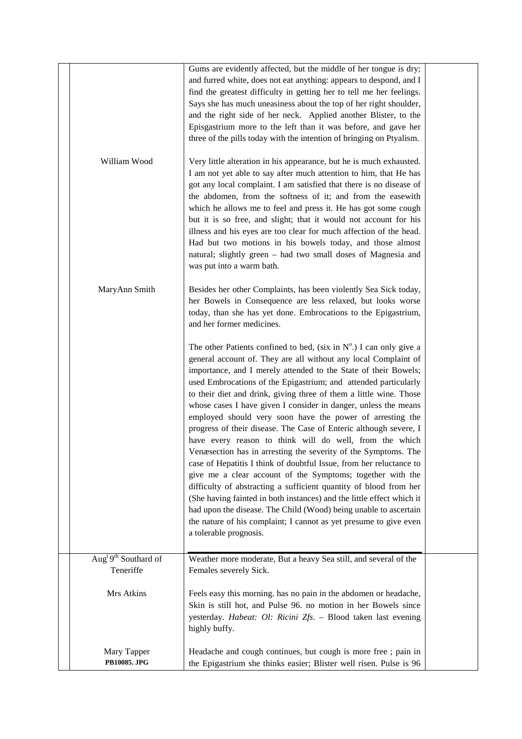|                                               | Gums are evidently affected, but the middle of her tongue is dry;<br>and furred white, does not eat anything: appears to despond, and I<br>find the greatest difficulty in getting her to tell me her feelings.<br>Says she has much uneasiness about the top of her right shoulder,<br>and the right side of her neck. Applied another Blister, to the<br>Episgastrium more to the left than it was before, and gave her<br>three of the pills today with the intention of bringing on Ptyalism.                                                                                                                                                                                                                                                                                                                                                                                                                                                                                                                                                                                                                                                   |  |
|-----------------------------------------------|-----------------------------------------------------------------------------------------------------------------------------------------------------------------------------------------------------------------------------------------------------------------------------------------------------------------------------------------------------------------------------------------------------------------------------------------------------------------------------------------------------------------------------------------------------------------------------------------------------------------------------------------------------------------------------------------------------------------------------------------------------------------------------------------------------------------------------------------------------------------------------------------------------------------------------------------------------------------------------------------------------------------------------------------------------------------------------------------------------------------------------------------------------|--|
| William Wood                                  | Very little alteration in his appearance, but he is much exhausted.<br>I am not yet able to say after much attention to him, that He has<br>got any local complaint. I am satisfied that there is no disease of<br>the abdomen, from the softness of it; and from the easewith<br>which he allows me to feel and press it. He has got some cough<br>but it is so free, and slight; that it would not account for his<br>illness and his eyes are too clear for much affection of the head.<br>Had but two motions in his bowels today, and those almost<br>natural; slightly green – had two small doses of Magnesia and<br>was put into a warm bath.                                                                                                                                                                                                                                                                                                                                                                                                                                                                                               |  |
| MaryAnn Smith                                 | Besides her other Complaints, has been violently Sea Sick today,<br>her Bowels in Consequence are less relaxed, but looks worse<br>today, than she has yet done. Embrocations to the Epigastrium,<br>and her former medicines.                                                                                                                                                                                                                                                                                                                                                                                                                                                                                                                                                                                                                                                                                                                                                                                                                                                                                                                      |  |
|                                               | The other Patients confined to bed, (six in $N^{\circ}$ .) I can only give a<br>general account of. They are all without any local Complaint of<br>importance, and I merely attended to the State of their Bowels;<br>used Embrocations of the Epigastrium; and attended particularly<br>to their diet and drink, giving three of them a little wine. Those<br>whose cases I have given I consider in danger, unless the means<br>employed should very soon have the power of arresting the<br>progress of their disease. The Case of Enteric although severe, I<br>have every reason to think will do well, from the which<br>Venæsection has in arresting the severity of the Symptoms. The<br>case of Hepatitis I think of doubtful Issue, from her reluctance to<br>give me a clear account of the Symptoms; together with the<br>difficulty of abstracting a sufficient quantity of blood from her<br>(She having fainted in both instances) and the little effect which it<br>had upon the disease. The Child (Wood) being unable to ascertain<br>the nature of his complaint; I cannot as yet presume to give even<br>a tolerable prognosis. |  |
| Aug <sup>t 9th</sup> Southard of<br>Teneriffe | Weather more moderate, But a heavy Sea still, and several of the<br>Females severely Sick.                                                                                                                                                                                                                                                                                                                                                                                                                                                                                                                                                                                                                                                                                                                                                                                                                                                                                                                                                                                                                                                          |  |
| Mrs Atkins                                    | Feels easy this morning. has no pain in the abdomen or headache,<br>Skin is still hot, and Pulse 96. no motion in her Bowels since<br>yesterday. Habeat: Ol: Ricini Zfs. - Blood taken last evening<br>highly buffy.                                                                                                                                                                                                                                                                                                                                                                                                                                                                                                                                                                                                                                                                                                                                                                                                                                                                                                                                |  |
| Mary Tapper<br>PB10085. JPG                   | Headache and cough continues, but cough is more free ; pain in<br>the Epigastrium she thinks easier; Blister well risen. Pulse is 96                                                                                                                                                                                                                                                                                                                                                                                                                                                                                                                                                                                                                                                                                                                                                                                                                                                                                                                                                                                                                |  |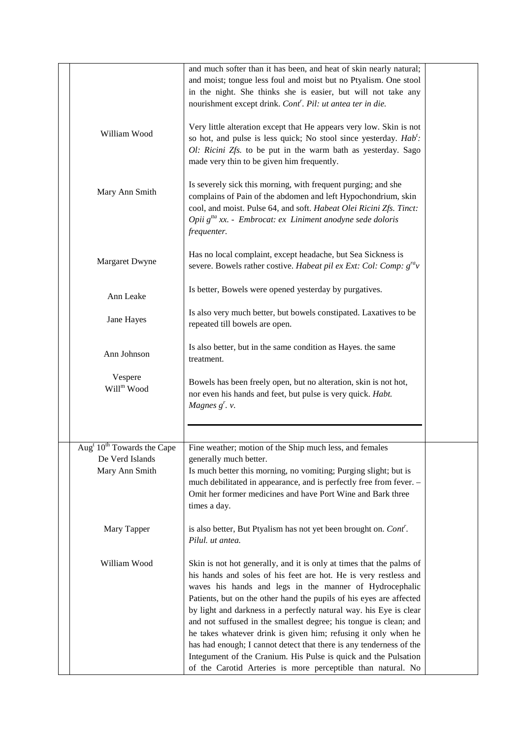|                                                                                         | and much softer than it has been, and heat of skin nearly natural;<br>and moist; tongue less foul and moist but no Ptyalism. One stool<br>in the night. She thinks she is easier, but will not take any<br>nourishment except drink. Cont'. Pil: ut antea ter in die.                                                                                                                                                                                                                                                                                                                                                                                                                             |  |
|-----------------------------------------------------------------------------------------|---------------------------------------------------------------------------------------------------------------------------------------------------------------------------------------------------------------------------------------------------------------------------------------------------------------------------------------------------------------------------------------------------------------------------------------------------------------------------------------------------------------------------------------------------------------------------------------------------------------------------------------------------------------------------------------------------|--|
| William Wood                                                                            | Very little alteration except that He appears very low. Skin is not<br>so hot, and pulse is less quick; No stool since yesterday. Hab':<br>Ol: Ricini Zfs. to be put in the warm bath as yesterday. Sago<br>made very thin to be given him frequently.                                                                                                                                                                                                                                                                                                                                                                                                                                            |  |
| Mary Ann Smith                                                                          | Is severely sick this morning, with frequent purging; and she<br>complains of Pain of the abdomen and left Hypochondrium, skin<br>cool, and moist. Pulse 64, and soft. Habeat Olei Ricini Zfs. Tinct:<br>Opii $g^{ita}$ xx. - Embrocat: ex Liniment anodyne sede doloris<br>frequenter.                                                                                                                                                                                                                                                                                                                                                                                                           |  |
| Margaret Dwyne                                                                          | Has no local complaint, except headache, but Sea Sickness is<br>severe. Bowels rather costive. Habeat pil ex Ext: Col: Comp: $g^{ra}v$                                                                                                                                                                                                                                                                                                                                                                                                                                                                                                                                                            |  |
| Ann Leake                                                                               | Is better, Bowels were opened yesterday by purgatives.                                                                                                                                                                                                                                                                                                                                                                                                                                                                                                                                                                                                                                            |  |
| Jane Hayes                                                                              | Is also very much better, but bowels constipated. Laxatives to be<br>repeated till bowels are open.                                                                                                                                                                                                                                                                                                                                                                                                                                                                                                                                                                                               |  |
| Ann Johnson                                                                             | Is also better, but in the same condition as Hayes. the same<br>treatment.                                                                                                                                                                                                                                                                                                                                                                                                                                                                                                                                                                                                                        |  |
| Vespere<br>Will <sup>m</sup> Wood                                                       | Bowels has been freely open, but no alteration, skin is not hot,<br>nor even his hands and feet, but pulse is very quick. Habt.<br>Magnes $g^r$ . v.                                                                                                                                                                                                                                                                                                                                                                                                                                                                                                                                              |  |
|                                                                                         |                                                                                                                                                                                                                                                                                                                                                                                                                                                                                                                                                                                                                                                                                                   |  |
| Aug <sup>t</sup> 10 <sup>th</sup> Towards the Cape<br>De Verd Islands<br>Mary Ann Smith | Fine weather; motion of the Ship much less, and females<br>generally much better.<br>Is much better this morning, no vomiting; Purging slight; but is<br>much debilitated in appearance, and is perfectly free from fever. -<br>Omit her former medicines and have Port Wine and Bark three<br>times a day.                                                                                                                                                                                                                                                                                                                                                                                       |  |
| Mary Tapper                                                                             | is also better, But Ptyalism has not yet been brought on. Cont'.<br>Pilul, ut antea.                                                                                                                                                                                                                                                                                                                                                                                                                                                                                                                                                                                                              |  |
| William Wood                                                                            | Skin is not hot generally, and it is only at times that the palms of<br>his hands and soles of his feet are hot. He is very restless and<br>waves his hands and legs in the manner of Hydrocephalic<br>Patients, but on the other hand the pupils of his eyes are affected<br>by light and darkness in a perfectly natural way. his Eye is clear<br>and not suffused in the smallest degree; his tongue is clean; and<br>he takes whatever drink is given him; refusing it only when he<br>has had enough; I cannot detect that there is any tenderness of the<br>Integument of the Cranium. His Pulse is quick and the Pulsation<br>of the Carotid Arteries is more perceptible than natural. No |  |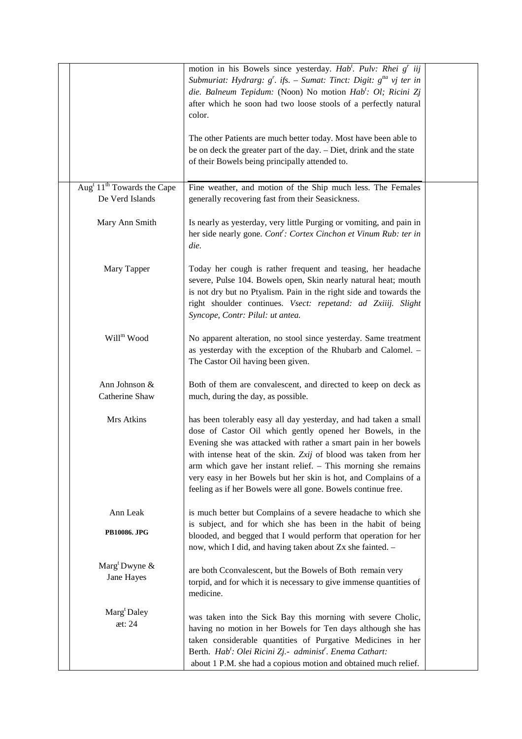|                                                                       | motion in his Bowels since yesterday. Hab <sup>t</sup> . Pulv: Rhei $gr$ iij<br>Submuriat: Hydrarg: $g'$ . ifs. – Sumat: Tinct: Digit: $g^{tta}$ vj ter in<br>die. Balneum Tepidum: (Noon) No motion Hab <sup>t</sup> : Ol; Ricini Zj<br>after which he soon had two loose stools of a perfectly natural<br>color.<br>The other Patients are much better today. Most have been able to                                                                                   |  |
|-----------------------------------------------------------------------|--------------------------------------------------------------------------------------------------------------------------------------------------------------------------------------------------------------------------------------------------------------------------------------------------------------------------------------------------------------------------------------------------------------------------------------------------------------------------|--|
|                                                                       | be on deck the greater part of the day. - Diet, drink and the state<br>of their Bowels being principally attended to.                                                                                                                                                                                                                                                                                                                                                    |  |
| Aug <sup>t</sup> 11 <sup>th</sup> Towards the Cape<br>De Verd Islands | Fine weather, and motion of the Ship much less. The Females<br>generally recovering fast from their Seasickness.                                                                                                                                                                                                                                                                                                                                                         |  |
| Mary Ann Smith                                                        | Is nearly as yesterday, very little Purging or vomiting, and pain in<br>her side nearly gone. Cont <sup>r</sup> : Cortex Cinchon et Vinum Rub: ter in<br>die.                                                                                                                                                                                                                                                                                                            |  |
| Mary Tapper                                                           | Today her cough is rather frequent and teasing, her headache<br>severe, Pulse 104. Bowels open, Skin nearly natural heat; mouth<br>is not dry but no Ptyalism. Pain in the right side and towards the<br>right shoulder continues. Vsect: repetand: ad Zxiiij. Slight<br>Syncope, Contr: Pilul: ut antea.                                                                                                                                                                |  |
| Will <sup>m</sup> Wood                                                | No apparent alteration, no stool since yesterday. Same treatment<br>as yesterday with the exception of the Rhubarb and Calomel. -<br>The Castor Oil having been given.                                                                                                                                                                                                                                                                                                   |  |
| Ann Johnson &<br>Catherine Shaw                                       | Both of them are convalescent, and directed to keep on deck as<br>much, during the day, as possible.                                                                                                                                                                                                                                                                                                                                                                     |  |
| Mrs Atkins                                                            | has been tolerably easy all day yesterday, and had taken a small<br>dose of Castor Oil which gently opened her Bowels, in the<br>Evening she was attacked with rather a smart pain in her bowels<br>with intense heat of the skin. Zxij of blood was taken from her<br>arm which gave her instant relief. - This morning she remains<br>very easy in her Bowels but her skin is hot, and Complains of a<br>feeling as if her Bowels were all gone. Bowels continue free. |  |
| Ann Leak<br>PB10086. JPG                                              | is much better but Complains of a severe headache to which she<br>is subject, and for which she has been in the habit of being<br>blooded, and begged that I would perform that operation for her<br>now, which I did, and having taken about Zx she fainted. -                                                                                                                                                                                                          |  |
| Marg <sup>t</sup> Dwyne $\&$<br>Jane Hayes                            | are both Cconvalescent, but the Bowels of Both remain very<br>torpid, and for which it is necessary to give immense quantities of<br>medicine.                                                                                                                                                                                                                                                                                                                           |  |
| Marg <sup>t</sup> Daley<br>æt: 24                                     | was taken into the Sick Bay this morning with severe Cholic,<br>having no motion in her Bowels for Ten days although she has<br>taken considerable quantities of Purgative Medicines in her<br>Berth. Hab <sup>t</sup> : Olei Ricini Zj.- administ <sup>r</sup> . Enema Cathart:<br>about 1 P.M. she had a copious motion and obtained much relief.                                                                                                                      |  |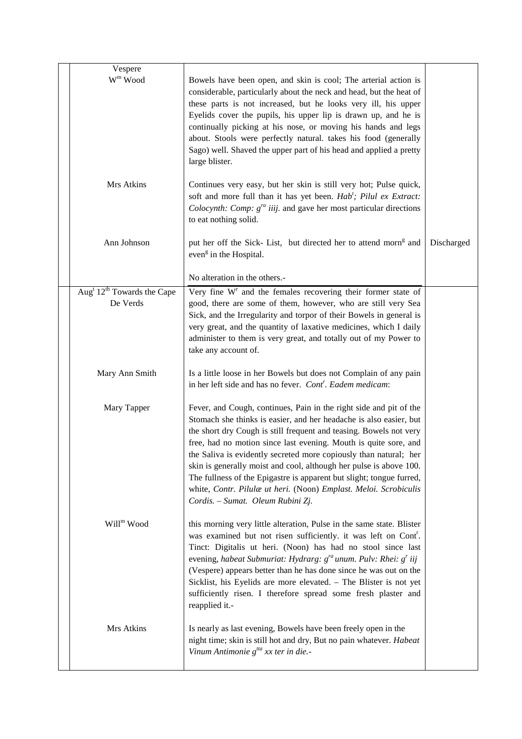| Vespere                                            |                                                                                                                                                                                                                                                                                                                                                                                                                                                                                                                               |            |
|----------------------------------------------------|-------------------------------------------------------------------------------------------------------------------------------------------------------------------------------------------------------------------------------------------------------------------------------------------------------------------------------------------------------------------------------------------------------------------------------------------------------------------------------------------------------------------------------|------------|
| $W^m$ Wood                                         | Bowels have been open, and skin is cool; The arterial action is<br>considerable, particularly about the neck and head, but the heat of<br>these parts is not increased, but he looks very ill, his upper<br>Eyelids cover the pupils, his upper lip is drawn up, and he is<br>continually picking at his nose, or moving his hands and legs<br>about. Stools were perfectly natural. takes his food (generally<br>Sago) well. Shaved the upper part of his head and applied a pretty<br>large blister.                        |            |
| Mrs Atkins                                         | Continues very easy, but her skin is still very hot; Pulse quick,<br>soft and more full than it has yet been. Hab'; Pilul ex Extract:<br><i>Colocynth: Comp:</i> $g^{ra}$ <i>iiij.</i> and gave her most particular directions<br>to eat nothing solid.                                                                                                                                                                                                                                                                       |            |
| Ann Johnson                                        | put her off the Sick-List, but directed her to attend morn <sup>g</sup> and<br>even <sup>g</sup> in the Hospital.                                                                                                                                                                                                                                                                                                                                                                                                             | Discharged |
|                                                    | No alteration in the others.-                                                                                                                                                                                                                                                                                                                                                                                                                                                                                                 |            |
| Aug <sup>t</sup> $12^{\text{th}}$ Towards the Cape | Very fine W <sup>r</sup> and the females recovering their former state of                                                                                                                                                                                                                                                                                                                                                                                                                                                     |            |
| De Verds                                           | good, there are some of them, however, who are still very Sea                                                                                                                                                                                                                                                                                                                                                                                                                                                                 |            |
|                                                    | Sick, and the Irregularity and torpor of their Bowels in general is<br>very great, and the quantity of laxative medicines, which I daily                                                                                                                                                                                                                                                                                                                                                                                      |            |
|                                                    | administer to them is very great, and totally out of my Power to                                                                                                                                                                                                                                                                                                                                                                                                                                                              |            |
|                                                    | take any account of.                                                                                                                                                                                                                                                                                                                                                                                                                                                                                                          |            |
|                                                    |                                                                                                                                                                                                                                                                                                                                                                                                                                                                                                                               |            |
| Mary Ann Smith                                     | Is a little loose in her Bowels but does not Complain of any pain<br>in her left side and has no fever. Cont <sup>r</sup> . Eadem medicam:                                                                                                                                                                                                                                                                                                                                                                                    |            |
| Mary Tapper                                        | Fever, and Cough, continues, Pain in the right side and pit of the                                                                                                                                                                                                                                                                                                                                                                                                                                                            |            |
|                                                    | Stomach she thinks is easier, and her headache is also easier, but                                                                                                                                                                                                                                                                                                                                                                                                                                                            |            |
|                                                    | the short dry Cough is still frequent and teasing. Bowels not very                                                                                                                                                                                                                                                                                                                                                                                                                                                            |            |
|                                                    | free, had no motion since last evening. Mouth is quite sore, and                                                                                                                                                                                                                                                                                                                                                                                                                                                              |            |
|                                                    | the Saliva is evidently secreted more copiously than natural; her<br>skin is generally moist and cool, although her pulse is above 100.                                                                                                                                                                                                                                                                                                                                                                                       |            |
|                                                    | The fullness of the Epigastre is apparent but slight; tongue furred,                                                                                                                                                                                                                                                                                                                                                                                                                                                          |            |
|                                                    | white, Contr. Pilulæ ut heri. (Noon) Emplast. Meloi. Scrobiculis                                                                                                                                                                                                                                                                                                                                                                                                                                                              |            |
|                                                    | Cordis. - Sumat. Oleum Rubini Zj.                                                                                                                                                                                                                                                                                                                                                                                                                                                                                             |            |
| Will <sup>m</sup> Wood                             | this morning very little alteration, Pulse in the same state. Blister<br>was examined but not risen sufficiently. it was left on Cont <sup>r</sup> .<br>Tinct: Digitalis ut heri. (Noon) has had no stool since last<br>evening, habeat Submuriat: Hydrarg: $g^{ra}$ unum. Pulv: Rhei: $g^r$ iij<br>(Vespere) appears better than he has done since he was out on the<br>Sicklist, his Eyelids are more elevated. - The Blister is not yet<br>sufficiently risen. I therefore spread some fresh plaster and<br>reapplied it.- |            |
| Mrs Atkins                                         | Is nearly as last evening, Bowels have been freely open in the<br>night time; skin is still hot and dry, But no pain whatever. Habeat<br>Vinum Antimonie $g^{tta}$ xx ter in die.-                                                                                                                                                                                                                                                                                                                                            |            |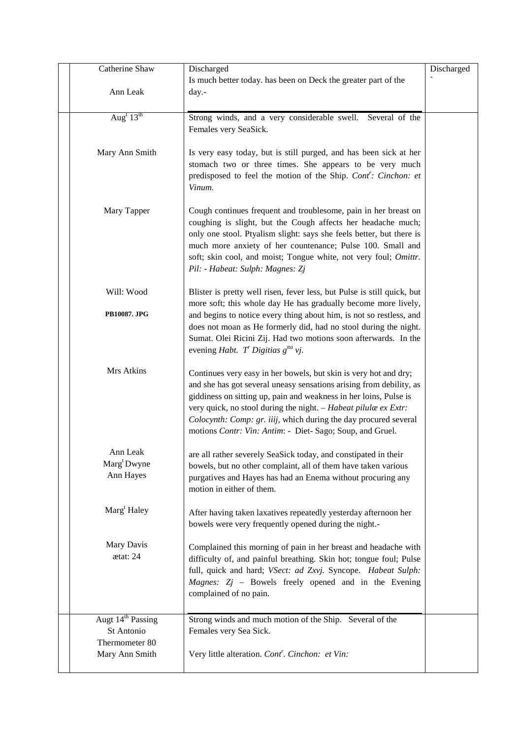| Catherine Shaw                    | Discharged                                                                                                                              | Discharged |
|-----------------------------------|-----------------------------------------------------------------------------------------------------------------------------------------|------------|
|                                   | Is much better today. has been on Deck the greater part of the                                                                          |            |
| Ann Leak                          | day.-                                                                                                                                   |            |
|                                   |                                                                                                                                         |            |
| Aug <sup>t</sup> $13^{\text{th}}$ | Strong winds, and a very considerable swell. Several of the                                                                             |            |
|                                   | Females very SeaSick.                                                                                                                   |            |
|                                   |                                                                                                                                         |            |
| Mary Ann Smith                    | Is very easy today, but is still purged, and has been sick at her                                                                       |            |
|                                   | stomach two or three times. She appears to be very much                                                                                 |            |
|                                   | predisposed to feel the motion of the Ship. Cont': Cinchon: et<br>Vinum.                                                                |            |
|                                   |                                                                                                                                         |            |
| Mary Tapper                       | Cough continues frequent and troublesome, pain in her breast on                                                                         |            |
|                                   | coughing is slight, but the Cough affects her headache much;                                                                            |            |
|                                   | only one stool. Ptyalism slight: says she feels better, but there is                                                                    |            |
|                                   | much more anxiety of her countenance; Pulse 100. Small and                                                                              |            |
|                                   | soft; skin cool, and moist; Tongue white, not very foul; Omittr.                                                                        |            |
|                                   | Pil: - Habeat: Sulph: Magnes: Zj                                                                                                        |            |
|                                   |                                                                                                                                         |            |
| Will: Wood                        | Blister is pretty well risen, fever less, but Pulse is still quick, but                                                                 |            |
| PB10087. JPG                      | more soft; this whole day He has gradually become more lively,                                                                          |            |
|                                   | and begins to notice every thing about him, is not so restless, and<br>does not moan as He formerly did, had no stool during the night. |            |
|                                   | Sumat. Olei Ricini Zij. Had two motions soon afterwards. In the                                                                         |            |
|                                   | evening <i>Habt.</i> T' Digitias $g^{tta}$ vj.                                                                                          |            |
|                                   |                                                                                                                                         |            |
| Mrs Atkins                        | Continues very easy in her bowels, but skin is very hot and dry;                                                                        |            |
|                                   | and she has got several uneasy sensations arising from debility, as                                                                     |            |
|                                   | giddiness on sitting up, pain and weakness in her loins, Pulse is                                                                       |            |
|                                   | very quick, no stool during the night. - Habeat pilulae ex Extr:                                                                        |            |
|                                   | Colocynth: Comp: gr. iiij, which during the day procured several<br>motions Contr: Vin: Antim: - Diet- Sago; Soup, and Gruel.           |            |
|                                   |                                                                                                                                         |            |
| Ann Leak                          | are all rather severely SeaSick today, and constipated in their                                                                         |            |
| Marg <sup>t</sup> Dwyne           | bowels, but no other complaint, all of them have taken various                                                                          |            |
| Ann Hayes                         | purgatives and Hayes has had an Enema without procuring any                                                                             |            |
|                                   | motion in either of them.                                                                                                               |            |
|                                   |                                                                                                                                         |            |
| Marg <sup>t</sup> Haley           | After having taken laxatives repeatedly yesterday afternoon her                                                                         |            |
|                                   | bowels were very frequently opened during the night.-                                                                                   |            |
| Mary Davis                        | Complained this morning of pain in her breast and headache with                                                                         |            |
| ætat: 24                          | difficulty of, and painful breathing. Skin hot; tongue foul; Pulse                                                                      |            |
|                                   | full, quick and hard; VSect: ad Zxvj. Syncope. Habeat Sulph:                                                                            |            |
|                                   | Magnes: $Zj$ – Bowels freely opened and in the Evening                                                                                  |            |
|                                   | complained of no pain.                                                                                                                  |            |
|                                   |                                                                                                                                         |            |
| Augt 14 <sup>th</sup> Passing     | Strong winds and much motion of the Ship. Several of the                                                                                |            |
| St Antonio                        | Females very Sea Sick.                                                                                                                  |            |
| Thermometer 80                    |                                                                                                                                         |            |
| Mary Ann Smith                    | Very little alteration. Cont <sup>r</sup> . Cinchon: et Vin:                                                                            |            |
|                                   |                                                                                                                                         |            |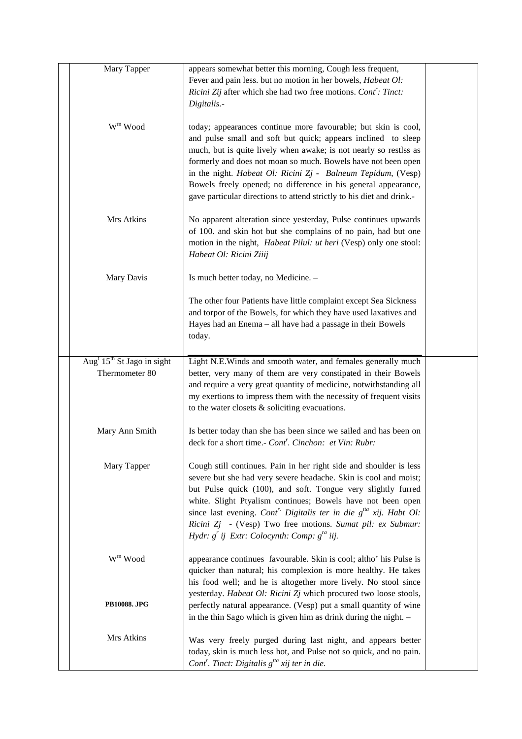| Mary Tapper                                                          | appears somewhat better this morning, Cough less frequent,<br>Fever and pain less. but no motion in her bowels, Habeat Ol:<br>Ricini Zij after which she had two free motions. Cont': Tinct:<br>Digitalis.-                                                                                                                                                                                                                                                                      |  |
|----------------------------------------------------------------------|----------------------------------------------------------------------------------------------------------------------------------------------------------------------------------------------------------------------------------------------------------------------------------------------------------------------------------------------------------------------------------------------------------------------------------------------------------------------------------|--|
| $\mathbf{W}^{\mathrm{m}}$ Wood                                       | today; appearances continue more favourable; but skin is cool,<br>and pulse small and soft but quick; appears inclined to sleep<br>much, but is quite lively when awake; is not nearly so restlss as<br>formerly and does not moan so much. Bowels have not been open<br>in the night. Habeat Ol: Ricini Zj - Balneum Tepidum, (Vesp)<br>Bowels freely opened; no difference in his general appearance,<br>gave particular directions to attend strictly to his diet and drink.- |  |
| Mrs Atkins                                                           | No apparent alteration since yesterday, Pulse continues upwards<br>of 100. and skin hot but she complains of no pain, had but one<br>motion in the night, <i>Habeat Pilul: ut heri</i> (Vesp) only one stool:<br>Habeat Ol: Ricini Ziiij                                                                                                                                                                                                                                         |  |
| Mary Davis                                                           | Is much better today, no Medicine. -                                                                                                                                                                                                                                                                                                                                                                                                                                             |  |
|                                                                      | The other four Patients have little complaint except Sea Sickness<br>and torpor of the Bowels, for which they have used laxatives and<br>Hayes had an Enema - all have had a passage in their Bowels<br>today.                                                                                                                                                                                                                                                                   |  |
| Aug <sup>t</sup> 15 <sup>th</sup> St Jago in sight<br>Thermometer 80 | Light N.E.Winds and smooth water, and females generally much<br>better, very many of them are very constipated in their Bowels<br>and require a very great quantity of medicine, notwithstanding all<br>my exertions to impress them with the necessity of frequent visits<br>to the water closets $\&$ soliciting evacuations.                                                                                                                                                  |  |
| Mary Ann Smith                                                       | Is better today than she has been since we sailed and has been on<br>deck for a short time.- Cont <sup>r</sup> . Cinchon: et Vin: Rubr:                                                                                                                                                                                                                                                                                                                                          |  |
| Mary Tapper                                                          | Cough still continues. Pain in her right side and shoulder is less<br>severe but she had very severe headache. Skin is cool and moist;<br>but Pulse quick (100), and soft. Tongue very slightly furred<br>white. Slight Ptyalism continues; Bowels have not been open<br>since last evening. Cont <sup>r.</sup> Digitalis ter in die $g^{tta}$ xij. Habt Ol:<br>Ricini Zj - (Vesp) Two free motions. Sumat pil: ex Submur:<br>Hydr: $g'$ ij Extr: Colocynth: Comp: $g''$ iij.    |  |
| $W^m$ Wood                                                           | appearance continues favourable. Skin is cool; altho' his Pulse is<br>quicker than natural; his complexion is more healthy. He takes<br>his food well; and he is altogether more lively. No stool since                                                                                                                                                                                                                                                                          |  |
| PB10088. JPG                                                         | yesterday. Habeat Ol: Ricini Zj which procured two loose stools,<br>perfectly natural appearance. (Vesp) put a small quantity of wine<br>in the thin Sago which is given him as drink during the night. -                                                                                                                                                                                                                                                                        |  |
| Mrs Atkins                                                           | Was very freely purged during last night, and appears better<br>today, skin is much less hot, and Pulse not so quick, and no pain.<br>Cont <sup>r</sup> . Tinct: Digitalis $g^{tta}$ xij ter in die.                                                                                                                                                                                                                                                                             |  |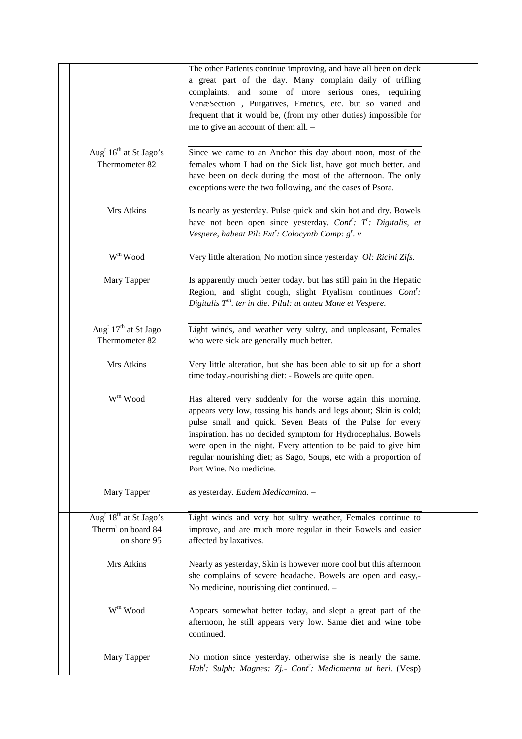|                                                                                       | The other Patients continue improving, and have all been on deck<br>a great part of the day. Many complain daily of trifling<br>complaints, and some of more serious ones, requiring<br>VenæSection, Purgatives, Emetics, etc. but so varied and<br>frequent that it would be, (from my other duties) impossible for<br>me to give an account of them all. -                                                                     |  |
|---------------------------------------------------------------------------------------|----------------------------------------------------------------------------------------------------------------------------------------------------------------------------------------------------------------------------------------------------------------------------------------------------------------------------------------------------------------------------------------------------------------------------------|--|
| Aug <sup>t</sup> 16 <sup>th</sup> at St Jago's<br>Thermometer 82                      | Since we came to an Anchor this day about noon, most of the<br>females whom I had on the Sick list, have got much better, and<br>have been on deck during the most of the afternoon. The only<br>exceptions were the two following, and the cases of Psora.                                                                                                                                                                      |  |
| Mrs Atkins                                                                            | Is nearly as yesterday. Pulse quick and skin hot and dry. Bowels<br>have not been open since yesterday. Cont': T: Digitalis, et<br>Vespere, habeat Pil: Ext <sup>r</sup> : Colocynth Comp: g <sup>r</sup> . v                                                                                                                                                                                                                    |  |
| W <sup>m</sup> Wood                                                                   | Very little alteration, No motion since yesterday. Ol: Ricini Zifs.                                                                                                                                                                                                                                                                                                                                                              |  |
| Mary Tapper                                                                           | Is apparently much better today. but has still pain in the Hepatic<br>Region, and slight cough, slight Ptyalism continues Cont':<br>Digitalis $T^a$ . ter in die. Pilul: ut antea Mane et Vespere.                                                                                                                                                                                                                               |  |
| Aug <sup>t</sup> $17th$ at St Jago<br>Thermometer 82                                  | Light winds, and weather very sultry, and unpleasant, Females<br>who were sick are generally much better.                                                                                                                                                                                                                                                                                                                        |  |
| Mrs Atkins                                                                            | Very little alteration, but she has been able to sit up for a short<br>time today.-nourishing diet: - Bowels are quite open.                                                                                                                                                                                                                                                                                                     |  |
| $Wm$ Wood                                                                             | Has altered very suddenly for the worse again this morning.<br>appears very low, tossing his hands and legs about; Skin is cold;<br>pulse small and quick. Seven Beats of the Pulse for every<br>inspiration. has no decided symptom for Hydrocephalus. Bowels<br>were open in the night. Every attention to be paid to give him<br>regular nourishing diet; as Sago, Soups, etc with a proportion of<br>Port Wine. No medicine. |  |
| Mary Tapper                                                                           | as yesterday. Eadem Medicamina. -                                                                                                                                                                                                                                                                                                                                                                                                |  |
| Aug <sup>t</sup> $18th$ at St Jago's<br>Therm <sup>r</sup> on board 84<br>on shore 95 | Light winds and very hot sultry weather, Females continue to<br>improve, and are much more regular in their Bowels and easier<br>affected by laxatives.                                                                                                                                                                                                                                                                          |  |
| Mrs Atkins                                                                            | Nearly as yesterday, Skin is however more cool but this afternoon<br>she complains of severe headache. Bowels are open and easy,-<br>No medicine, nourishing diet continued. -                                                                                                                                                                                                                                                   |  |
| $\mathbf{W}^{\mathrm{m}}$ Wood                                                        | Appears somewhat better today, and slept a great part of the<br>afternoon, he still appears very low. Same diet and wine tobe<br>continued.                                                                                                                                                                                                                                                                                      |  |
| Mary Tapper                                                                           | No motion since yesterday. otherwise she is nearly the same.<br>Hab <sup>t</sup> : Sulph: Magnes: Zj.- Cont <sup>r</sup> : Medicmenta ut heri. (Vesp)                                                                                                                                                                                                                                                                            |  |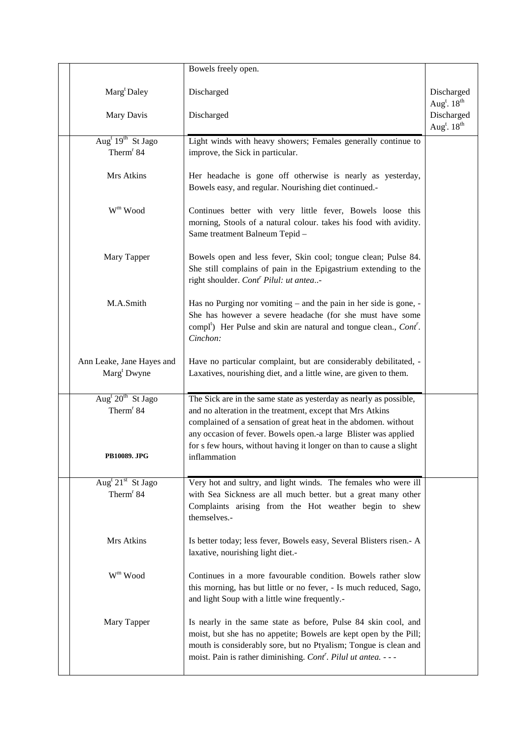|                                                             | Bowels freely open.                                                                                                                                                                                                                                                                                                                             |                                                   |
|-------------------------------------------------------------|-------------------------------------------------------------------------------------------------------------------------------------------------------------------------------------------------------------------------------------------------------------------------------------------------------------------------------------------------|---------------------------------------------------|
| Marg <sup>t</sup> Daley                                     | Discharged                                                                                                                                                                                                                                                                                                                                      | Discharged<br>Aug <sup>t</sup> . $18^{th}$        |
| Mary Davis                                                  | Discharged                                                                                                                                                                                                                                                                                                                                      | Discharged<br>Aug <sup>t</sup> . 18 <sup>th</sup> |
| Aug <sup>t</sup> $19^{th}$ St Jago<br>Therm <sup>r</sup> 84 | Light winds with heavy showers; Females generally continue to<br>improve, the Sick in particular.                                                                                                                                                                                                                                               |                                                   |
| Mrs Atkins                                                  | Her headache is gone off otherwise is nearly as yesterday,<br>Bowels easy, and regular. Nourishing diet continued.-                                                                                                                                                                                                                             |                                                   |
| $\mathbf{W}^{\mathrm{m}}$ Wood                              | Continues better with very little fever, Bowels loose this<br>morning, Stools of a natural colour. takes his food with avidity.<br>Same treatment Balneum Tepid -                                                                                                                                                                               |                                                   |
| Mary Tapper                                                 | Bowels open and less fever, Skin cool; tongue clean; Pulse 84.<br>She still complains of pain in the Epigastrium extending to the<br>right shoulder. Cont <sup>r</sup> Pilul: ut antea-                                                                                                                                                         |                                                   |
| M.A.Smith                                                   | Has no Purging nor vomiting - and the pain in her side is gone, -<br>She has however a severe headache (for she must have some<br>compl <sup>t</sup> ) Her Pulse and skin are natural and tongue clean., Cont <sup>r</sup> .<br>Cinchon:                                                                                                        |                                                   |
| Ann Leake, Jane Hayes and<br>Marg <sup>t</sup> Dwyne        | Have no particular complaint, but are considerably debilitated, -<br>Laxatives, nourishing diet, and a little wine, are given to them.                                                                                                                                                                                                          |                                                   |
| Aug <sup>t</sup> $20th$ St Jago<br>Therm <sup>r</sup> 84    | The Sick are in the same state as yesterday as nearly as possible,<br>and no alteration in the treatment, except that Mrs Atkins<br>complained of a sensation of great heat in the abdomen. without<br>any occasion of fever. Bowels open .- a large Blister was applied<br>for s few hours, without having it longer on than to cause a slight |                                                   |
| <b>PB10089. JPG</b>                                         | inflammation                                                                                                                                                                                                                                                                                                                                    |                                                   |
| Aug <sup>t</sup> $21st$ St Jago<br>Therm <sup>r</sup> 84    | Very hot and sultry, and light winds. The females who were ill<br>with Sea Sickness are all much better. but a great many other<br>Complaints arising from the Hot weather begin to shew<br>themselves.-                                                                                                                                        |                                                   |
| Mrs Atkins                                                  | Is better today; less fever, Bowels easy, Several Blisters risen.- A<br>laxative, nourishing light diet.-                                                                                                                                                                                                                                       |                                                   |
| $W^m$ Wood                                                  | Continues in a more favourable condition. Bowels rather slow<br>this morning, has but little or no fever, - Is much reduced, Sago,<br>and light Soup with a little wine frequently.-                                                                                                                                                            |                                                   |
| Mary Tapper                                                 | Is nearly in the same state as before, Pulse 84 skin cool, and<br>moist, but she has no appetite; Bowels are kept open by the Pill;<br>mouth is considerably sore, but no Ptyalism; Tongue is clean and<br>moist. Pain is rather diminishing. Cont <sup>r</sup> . Pilul ut antea. - - -                                                         |                                                   |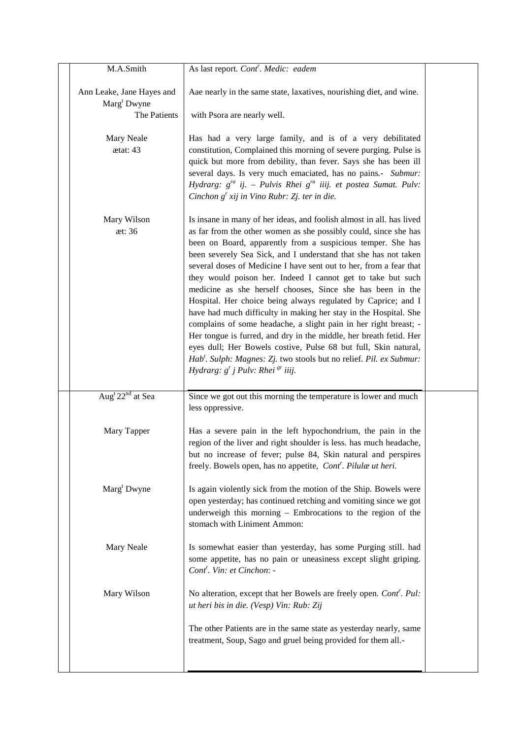| M.A.Smith                                                            | As last report. Cont <sup>r</sup> . Medic: eadem                                                                                                                                                                                                                                                                                                                                                                                                                                                                                                                                                                                                                                                                                                                                                                                                                                                                                                                     |  |
|----------------------------------------------------------------------|----------------------------------------------------------------------------------------------------------------------------------------------------------------------------------------------------------------------------------------------------------------------------------------------------------------------------------------------------------------------------------------------------------------------------------------------------------------------------------------------------------------------------------------------------------------------------------------------------------------------------------------------------------------------------------------------------------------------------------------------------------------------------------------------------------------------------------------------------------------------------------------------------------------------------------------------------------------------|--|
| Ann Leake, Jane Hayes and<br>Marg <sup>t</sup> Dwyne<br>The Patients | Aae nearly in the same state, laxatives, nourishing diet, and wine.<br>with Psora are nearly well.                                                                                                                                                                                                                                                                                                                                                                                                                                                                                                                                                                                                                                                                                                                                                                                                                                                                   |  |
| Mary Neale<br>ætat: 43                                               | Has had a very large family, and is of a very debilitated<br>constitution, Complained this morning of severe purging. Pulse is<br>quick but more from debility, than fever. Says she has been ill<br>several days. Is very much emaciated, has no pains.- Submur:<br>Hydrarg: $g^{ra}$ ij. – Pulvis Rhei $g^{ra}$ iiij. et postea Sumat. Pulv:<br>Cinchon $g'$ xij in Vino Rubr: Zj. ter in die.                                                                                                                                                                                                                                                                                                                                                                                                                                                                                                                                                                     |  |
| Mary Wilson<br>æt: 36                                                | Is insane in many of her ideas, and foolish almost in all. has lived<br>as far from the other women as she possibly could, since she has<br>been on Board, apparently from a suspicious temper. She has<br>been severely Sea Sick, and I understand that she has not taken<br>several doses of Medicine I have sent out to her, from a fear that<br>they would poison her. Indeed I cannot get to take but such<br>medicine as she herself chooses, Since she has been in the<br>Hospital. Her choice being always regulated by Caprice; and I<br>have had much difficulty in making her stay in the Hospital. She<br>complains of some headache, a slight pain in her right breast; -<br>Her tongue is furred, and dry in the middle, her breath fetid. Her<br>eyes dull; Her Bowels costive, Pulse 68 but full, Skin natural,<br>Hab <sup>t</sup> . Sulph: Magnes: Zj. two stools but no relief. Pil. ex Submur:<br>Hydrarg: $g'$ j Pulv: Rhei <sup>gr</sup> iiij. |  |
| Aug <sup>t</sup> $22nd$ at Sea                                       | Since we got out this morning the temperature is lower and much<br>less oppressive.                                                                                                                                                                                                                                                                                                                                                                                                                                                                                                                                                                                                                                                                                                                                                                                                                                                                                  |  |
| Mary Tapper                                                          | Has a severe pain in the left hypochondrium, the pain in the<br>region of the liver and right shoulder is less. has much headache,<br>but no increase of fever; pulse 84, Skin natural and perspires<br>freely. Bowels open, has no appetite, Cont'. Pilulæ ut heri.                                                                                                                                                                                                                                                                                                                                                                                                                                                                                                                                                                                                                                                                                                 |  |
| Marg <sup>t</sup> Dwyne                                              | Is again violently sick from the motion of the Ship. Bowels were<br>open yesterday; has continued retching and vomiting since we got<br>underweigh this morning - Embrocations to the region of the<br>stomach with Liniment Ammon:                                                                                                                                                                                                                                                                                                                                                                                                                                                                                                                                                                                                                                                                                                                                  |  |
| Mary Neale                                                           | Is somewhat easier than yesterday, has some Purging still. had<br>some appetite, has no pain or uneasiness except slight griping.<br>Cont <sup>r</sup> . Vin: et Cinchon: -                                                                                                                                                                                                                                                                                                                                                                                                                                                                                                                                                                                                                                                                                                                                                                                          |  |
| Mary Wilson                                                          | No alteration, except that her Bowels are freely open. Cont'. Pul:<br>ut heri bis in die. (Vesp) Vin: Rub: Zij                                                                                                                                                                                                                                                                                                                                                                                                                                                                                                                                                                                                                                                                                                                                                                                                                                                       |  |
|                                                                      | The other Patients are in the same state as yesterday nearly, same<br>treatment, Soup, Sago and gruel being provided for them all.-                                                                                                                                                                                                                                                                                                                                                                                                                                                                                                                                                                                                                                                                                                                                                                                                                                  |  |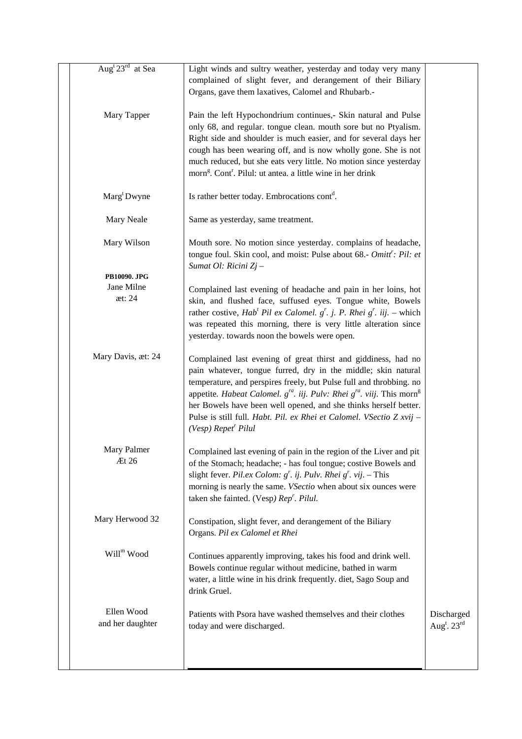| Aug <sup>t</sup> 23 <sup>rd</sup> at Sea | Light winds and sultry weather, yesterday and today very many<br>complained of slight fever, and derangement of their Biliary<br>Organs, gave them laxatives, Calomel and Rhubarb.-                                                                                                                                                                                                                                                                                                    |                                                   |
|------------------------------------------|----------------------------------------------------------------------------------------------------------------------------------------------------------------------------------------------------------------------------------------------------------------------------------------------------------------------------------------------------------------------------------------------------------------------------------------------------------------------------------------|---------------------------------------------------|
| Mary Tapper                              | Pain the left Hypochondrium continues,- Skin natural and Pulse<br>only 68, and regular. tongue clean. mouth sore but no Ptyalism.<br>Right side and shoulder is much easier, and for several days her<br>cough has been wearing off, and is now wholly gone. She is not<br>much reduced, but she eats very little. No motion since yesterday<br>morn <sup>g</sup> . Cont <sup>r</sup> . Pilul: ut antea. a little wine in her drink                                                    |                                                   |
| Marg <sup>t</sup> Dwyne                  | Is rather better today. Embrocations cont <sup>d</sup> .                                                                                                                                                                                                                                                                                                                                                                                                                               |                                                   |
| Mary Neale                               | Same as yesterday, same treatment.                                                                                                                                                                                                                                                                                                                                                                                                                                                     |                                                   |
| Mary Wilson                              | Mouth sore. No motion since yesterday. complains of headache,<br>tongue foul. Skin cool, and moist: Pulse about 68.- Omitt': Pil: et<br>Sumat Ol: Ricini Zj -                                                                                                                                                                                                                                                                                                                          |                                                   |
| PB10090. JPG<br>Jane Milne<br>æt: 24     | Complained last evening of headache and pain in her loins, hot<br>skin, and flushed face, suffused eyes. Tongue white, Bowels<br>rather costive, $Habt$ Pil ex Calomel. $gr$ . j. P. Rhei $gr$ . iij. – which<br>was repeated this morning, there is very little alteration since<br>yesterday. towards noon the bowels were open.                                                                                                                                                     |                                                   |
| Mary Davis, æt: 24                       | Complained last evening of great thirst and giddiness, had no<br>pain whatever, tongue furred, dry in the middle; skin natural<br>temperature, and perspires freely, but Pulse full and throbbing. no<br>appetite. Habeat Calomel. $g^{ra}$ . iij. Pulv: Rhei $g^{ra}$ . viij. This morn <sup>g</sup><br>her Bowels have been well opened, and she thinks herself better.<br>Pulse is still full. Habt. Pil. ex Rhei et Calomel. VSectio Z xvij -<br>$(Vesp)$ Repet <sup>r</sup> Pilul |                                                   |
| Mary Palmer<br>Æt 26                     | Complained last evening of pain in the region of the Liver and pit<br>of the Stomach; headache; - has foul tongue; costive Bowels and<br>slight fever. Pil.ex Colom: $g^r$ . ij. Pulv. Rhei $g^r$ . vij. - This<br>morning is nearly the same. <i>VSectio</i> when about six ounces were<br>taken she fainted. (Vesp) Rep'. Pilul.                                                                                                                                                     |                                                   |
| Mary Herwood 32                          | Constipation, slight fever, and derangement of the Biliary<br>Organs. Pil ex Calomel et Rhei                                                                                                                                                                                                                                                                                                                                                                                           |                                                   |
| Will <sup>m</sup> Wood                   | Continues apparently improving, takes his food and drink well.<br>Bowels continue regular without medicine, bathed in warm<br>water, a little wine in his drink frequently. diet, Sago Soup and<br>drink Gruel.                                                                                                                                                                                                                                                                        |                                                   |
| Ellen Wood<br>and her daughter           | Patients with Psora have washed themselves and their clothes<br>today and were discharged.                                                                                                                                                                                                                                                                                                                                                                                             | Discharged<br>Aug <sup>t</sup> . $23^{\text{rd}}$ |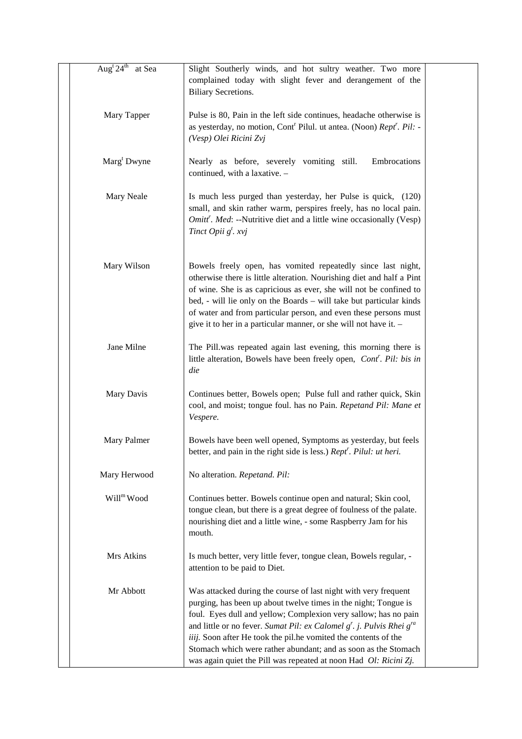| Aug <sup>t</sup> $24^{\text{th}}$ at Sea | Slight Southerly winds, and hot sultry weather. Two more<br>complained today with slight fever and derangement of the<br><b>Biliary Secretions.</b>                                                                                                                                                                                                                                                                                                                                             |  |
|------------------------------------------|-------------------------------------------------------------------------------------------------------------------------------------------------------------------------------------------------------------------------------------------------------------------------------------------------------------------------------------------------------------------------------------------------------------------------------------------------------------------------------------------------|--|
| Mary Tapper                              | Pulse is 80, Pain in the left side continues, headache otherwise is<br>as yesterday, no motion, Cont <sup>r</sup> Pilul. ut antea. (Noon) Rept <sup>r</sup> . Pil: -<br>(Vesp) Olei Ricini Zvj                                                                                                                                                                                                                                                                                                  |  |
| Marg <sup>t</sup> Dwyne                  | Embrocations<br>Nearly as before, severely vomiting still.<br>continued, with a laxative. -                                                                                                                                                                                                                                                                                                                                                                                                     |  |
| Mary Neale                               | Is much less purged than yesterday, her Pulse is quick, (120)<br>small, and skin rather warm, perspires freely, has no local pain.<br>Omitt'. Med: --Nutritive diet and a little wine occasionally (Vesp)<br>Tinct Opii $g^t$ . xvj                                                                                                                                                                                                                                                             |  |
| Mary Wilson                              | Bowels freely open, has vomited repeatedly since last night,<br>otherwise there is little alteration. Nourishing diet and half a Pint<br>of wine. She is as capricious as ever, she will not be confined to<br>bed, - will lie only on the Boards - will take but particular kinds<br>of water and from particular person, and even these persons must<br>give it to her in a particular manner, or she will not have it. -                                                                     |  |
| Jane Milne                               | The Pill.was repeated again last evening, this morning there is<br>little alteration, Bowels have been freely open, <i>Cont'. Pil: bis in</i><br>die                                                                                                                                                                                                                                                                                                                                            |  |
| Mary Davis                               | Continues better, Bowels open; Pulse full and rather quick, Skin<br>cool, and moist; tongue foul. has no Pain. Repetand Pil: Mane et<br>Vespere.                                                                                                                                                                                                                                                                                                                                                |  |
| Mary Palmer                              | Bowels have been well opened, Symptoms as yesterday, but feels<br>better, and pain in the right side is less.) Rept <sup>r</sup> . Pilul: ut heri.                                                                                                                                                                                                                                                                                                                                              |  |
| Mary Herwood                             | No alteration. Repetand. Pil:                                                                                                                                                                                                                                                                                                                                                                                                                                                                   |  |
| Will <sup>m</sup> Wood                   | Continues better. Bowels continue open and natural; Skin cool,<br>tongue clean, but there is a great degree of foulness of the palate.<br>nourishing diet and a little wine, - some Raspberry Jam for his<br>mouth.                                                                                                                                                                                                                                                                             |  |
| Mrs Atkins                               | Is much better, very little fever, tongue clean, Bowels regular, -<br>attention to be paid to Diet.                                                                                                                                                                                                                                                                                                                                                                                             |  |
| Mr Abbott                                | Was attacked during the course of last night with very frequent<br>purging, has been up about twelve times in the night; Tongue is<br>foul. Eyes dull and yellow; Complexion very sallow; has no pain<br>and little or no fever. Sumat Pil: ex Calomel $g^r$ . j. Pulvis Rhei $g^{ra}$<br>iiij. Soon after He took the pil.he vomited the contents of the<br>Stomach which were rather abundant; and as soon as the Stomach<br>was again quiet the Pill was repeated at noon Had Ol: Ricini Zj. |  |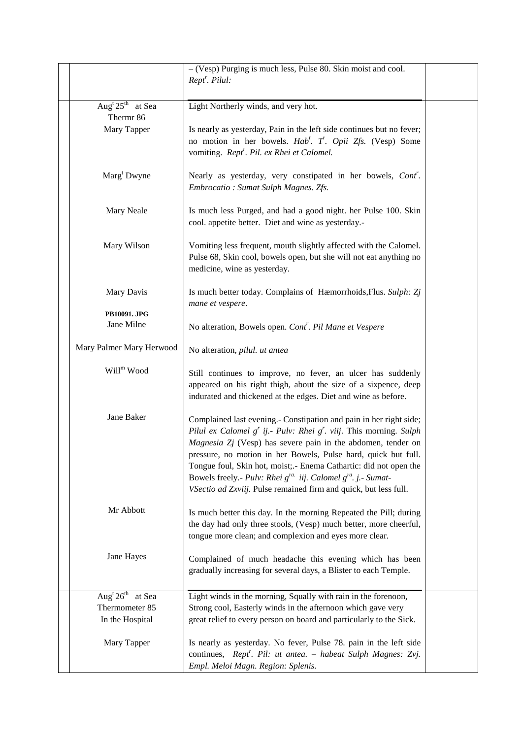|                                             | $-(Vesp)$ Purging is much less, Pulse 80. Skin moist and cool.<br>Rept <sup>r</sup> . Pilul:                                                                                                                                                                                                                                                                                                                                                                                                      |  |
|---------------------------------------------|---------------------------------------------------------------------------------------------------------------------------------------------------------------------------------------------------------------------------------------------------------------------------------------------------------------------------------------------------------------------------------------------------------------------------------------------------------------------------------------------------|--|
| Aug <sup>t</sup> $25^{\text{th}}$ at Sea    | Light Northerly winds, and very hot.                                                                                                                                                                                                                                                                                                                                                                                                                                                              |  |
| Thermr 86                                   |                                                                                                                                                                                                                                                                                                                                                                                                                                                                                                   |  |
| Mary Tapper                                 | Is nearly as yesterday, Pain in the left side continues but no fever;<br>no motion in her bowels. Hab <sup>t</sup> . T. Opii Zfs. (Vesp) Some<br>vomiting. Rept <sup>r</sup> . Pil. ex Rhei et Calomel.                                                                                                                                                                                                                                                                                           |  |
| Marg <sup>t</sup> Dwyne                     | Nearly as yesterday, very constipated in her bowels, Cont'.<br>Embrocatio: Sumat Sulph Magnes. Zfs.                                                                                                                                                                                                                                                                                                                                                                                               |  |
| Mary Neale                                  | Is much less Purged, and had a good night. her Pulse 100. Skin<br>cool. appetite better. Diet and wine as yesterday.-                                                                                                                                                                                                                                                                                                                                                                             |  |
| Mary Wilson                                 | Vomiting less frequent, mouth slightly affected with the Calomel.<br>Pulse 68, Skin cool, bowels open, but she will not eat anything no<br>medicine, wine as yesterday.                                                                                                                                                                                                                                                                                                                           |  |
| Mary Davis                                  | Is much better today. Complains of Hæmorrhoids, Flus. Sulph: Zj<br>mane et vespere.                                                                                                                                                                                                                                                                                                                                                                                                               |  |
| PB10091. JPG                                |                                                                                                                                                                                                                                                                                                                                                                                                                                                                                                   |  |
| Jane Milne                                  | No alteration, Bowels open. Cont'. Pil Mane et Vespere                                                                                                                                                                                                                                                                                                                                                                                                                                            |  |
| Mary Palmer Mary Herwood                    | No alteration, pilul. ut antea                                                                                                                                                                                                                                                                                                                                                                                                                                                                    |  |
| Will <sup>m</sup> Wood                      | Still continues to improve, no fever, an ulcer has suddenly<br>appeared on his right thigh, about the size of a sixpence, deep<br>indurated and thickened at the edges. Diet and wine as before.                                                                                                                                                                                                                                                                                                  |  |
| Jane Baker                                  | Complained last evening.- Constipation and pain in her right side;<br>Pilul ex Calomel $g'$ ij.- Pulv: Rhei $g'$ . viij. This morning. Sulph<br>Magnesia Zj (Vesp) has severe pain in the abdomen, tender on<br>pressure, no motion in her Bowels, Pulse hard, quick but full.<br>Tongue foul, Skin hot, moist; - Enema Cathartic: did not open the<br>Bowels freely.- Pulv: Rhei $g^{ra}$ iij. Calomel $g^{ra}$ . j.- Sumat-<br>VSectio ad Zxviij. Pulse remained firm and quick, but less full. |  |
| Mr Abbott                                   | Is much better this day. In the morning Repeated the Pill; during<br>the day had only three stools, (Vesp) much better, more cheerful,<br>tongue more clean; and complexion and eyes more clear.                                                                                                                                                                                                                                                                                                  |  |
| Jane Hayes                                  | Complained of much headache this evening which has been<br>gradually increasing for several days, a Blister to each Temple.                                                                                                                                                                                                                                                                                                                                                                       |  |
| Aug <sup>t</sup> $26^{\text{th}}$<br>at Sea | Light winds in the morning, Squally with rain in the forenoon,                                                                                                                                                                                                                                                                                                                                                                                                                                    |  |
| Thermometer 85                              | Strong cool, Easterly winds in the afternoon which gave very                                                                                                                                                                                                                                                                                                                                                                                                                                      |  |
| In the Hospital                             | great relief to every person on board and particularly to the Sick.                                                                                                                                                                                                                                                                                                                                                                                                                               |  |
| Mary Tapper                                 | Is nearly as yesterday. No fever, Pulse 78. pain in the left side<br>continues, Rept <sup>r</sup> . Pil: ut antea. - habeat Sulph Magnes: Zvj.<br>Empl. Meloi Magn. Region: Splenis.                                                                                                                                                                                                                                                                                                              |  |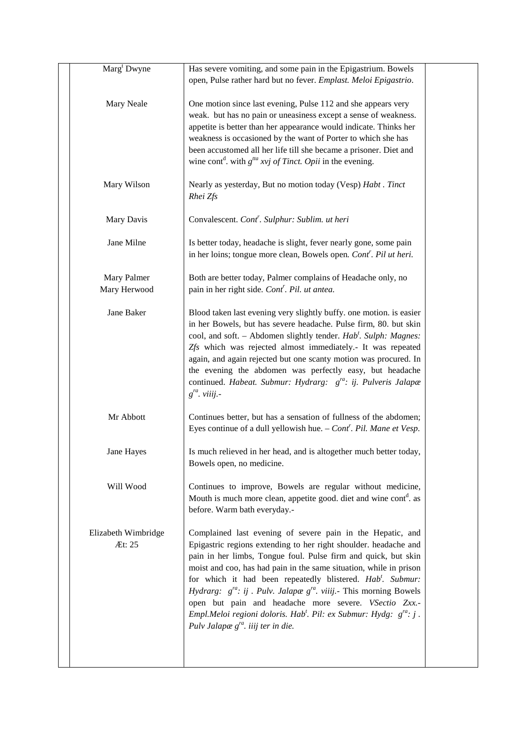| Marg <sup>t</sup> Dwyne       | Has severe vomiting, and some pain in the Epigastrium. Bowels<br>open, Pulse rather hard but no fever. Emplast. Meloi Epigastrio.                                                                                                                                                                                                                                                                                                                                                                                                                                                                                                |  |
|-------------------------------|----------------------------------------------------------------------------------------------------------------------------------------------------------------------------------------------------------------------------------------------------------------------------------------------------------------------------------------------------------------------------------------------------------------------------------------------------------------------------------------------------------------------------------------------------------------------------------------------------------------------------------|--|
| Mary Neale                    | One motion since last evening, Pulse 112 and she appears very<br>weak. but has no pain or uneasiness except a sense of weakness.<br>appetite is better than her appearance would indicate. Thinks her<br>weakness is occasioned by the want of Porter to which she has<br>been accustomed all her life till she became a prisoner. Diet and<br>wine cont <sup>d</sup> . with $g^{tta}$ xvj of Tinct. Opii in the evening.                                                                                                                                                                                                        |  |
| Mary Wilson                   | Nearly as yesterday, But no motion today (Vesp) Habt. Tinct<br>Rhei Zfs                                                                                                                                                                                                                                                                                                                                                                                                                                                                                                                                                          |  |
| Mary Davis                    | Convalescent. Cont <sup>r</sup> . Sulphur: Sublim. ut heri                                                                                                                                                                                                                                                                                                                                                                                                                                                                                                                                                                       |  |
| Jane Milne                    | Is better today, headache is slight, fever nearly gone, some pain<br>in her loins; tongue more clean, Bowels open. Cont'. Pil ut heri.                                                                                                                                                                                                                                                                                                                                                                                                                                                                                           |  |
| Mary Palmer<br>Mary Herwood   | Both are better today, Palmer complains of Headache only, no<br>pain in her right side. Cont <sup>r</sup> . Pil. ut antea.                                                                                                                                                                                                                                                                                                                                                                                                                                                                                                       |  |
| Jane Baker                    | Blood taken last evening very slightly buffy. one motion. is easier<br>in her Bowels, but has severe headache. Pulse firm, 80. but skin<br>cool, and soft. - Abdomen slightly tender. Hab'. Sulph: Magnes:<br>Zfs which was rejected almost immediately.- It was repeated<br>again, and again rejected but one scanty motion was procured. In<br>the evening the abdomen was perfectly easy, but headache<br>continued. Habeat. Submur: Hydrarg: g <sup>ra</sup> : ij. Pulveris Jalapæ<br>$g^{ra}$ . viiij. -                                                                                                                    |  |
| Mr Abbott                     | Continues better, but has a sensation of fullness of the abdomen;<br>Eyes continue of a dull yellowish hue. $-$ Cont <sup>r</sup> . Pil. Mane et Vesp.                                                                                                                                                                                                                                                                                                                                                                                                                                                                           |  |
| Jane Hayes                    | Is much relieved in her head, and is altogether much better today,<br>Bowels open, no medicine.                                                                                                                                                                                                                                                                                                                                                                                                                                                                                                                                  |  |
| Will Wood                     | Continues to improve, Bowels are regular without medicine,<br>Mouth is much more clean, appetite good. diet and wine cont <sup>d</sup> . as<br>before. Warm bath everyday.-                                                                                                                                                                                                                                                                                                                                                                                                                                                      |  |
| Elizabeth Wimbridge<br>Æt: 25 | Complained last evening of severe pain in the Hepatic, and<br>Epigastric regions extending to her right shoulder. headache and<br>pain in her limbs, Tongue foul. Pulse firm and quick, but skin<br>moist and coo, has had pain in the same situation, while in prison<br>for which it had been repeatedly blistered. Hab'. Submur:<br><i>Hydrarg:</i> $g^{ra}$ : ij. <i>Pulv. Jalapæ</i> $g^{ra}$ . <i>viiij.</i> This morning Bowels<br>open but pain and headache more severe. VSectio Zxx.-<br>Empl.Meloi regioni doloris. Hab <sup>t</sup> . Pil: ex Submur: Hydg: $g^{ra}$ : j.<br>Pulv Jalapæ $g^{ra}$ . iiij ter in die. |  |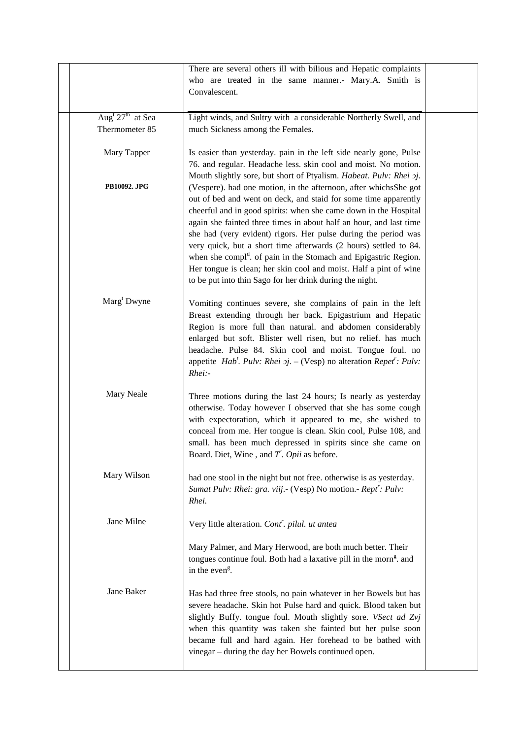|                                | There are several others ill with bilious and Hepatic complaints                                                                       |  |
|--------------------------------|----------------------------------------------------------------------------------------------------------------------------------------|--|
|                                | who are treated in the same manner.- Mary.A. Smith is                                                                                  |  |
|                                | Convalescent.                                                                                                                          |  |
|                                |                                                                                                                                        |  |
| Aug <sup>t</sup> $27th$ at Sea | Light winds, and Sultry with a considerable Northerly Swell, and                                                                       |  |
| Thermometer 85                 | much Sickness among the Females.                                                                                                       |  |
|                                |                                                                                                                                        |  |
| Mary Tapper                    | Is easier than yesterday. pain in the left side nearly gone, Pulse                                                                     |  |
|                                | 76. and regular. Headache less. skin cool and moist. No motion.                                                                        |  |
|                                | Mouth slightly sore, but short of Ptyalism. Habeat. Pulv: Rhei 2j.                                                                     |  |
| <b>PB10092. JPG</b>            | (Vespere). had one motion, in the afternoon, after whichsShe got                                                                       |  |
|                                | out of bed and went on deck, and staid for some time apparently                                                                        |  |
|                                | cheerful and in good spirits: when she came down in the Hospital<br>again she fainted three times in about half an hour, and last time |  |
|                                | she had (very evident) rigors. Her pulse during the period was                                                                         |  |
|                                | very quick, but a short time afterwards (2 hours) settled to 84.                                                                       |  |
|                                | when she compl <sup>d</sup> . of pain in the Stomach and Epigastric Region.                                                            |  |
|                                | Her tongue is clean; her skin cool and moist. Half a pint of wine                                                                      |  |
|                                | to be put into thin Sago for her drink during the night.                                                                               |  |
| Marg <sup>t</sup> Dwyne        |                                                                                                                                        |  |
|                                | Vomiting continues severe, she complains of pain in the left                                                                           |  |
|                                | Breast extending through her back. Epigastrium and Hepatic<br>Region is more full than natural. and abdomen considerably               |  |
|                                | enlarged but soft. Blister well risen, but no relief. has much                                                                         |  |
|                                | headache. Pulse 84. Skin cool and moist. Tongue foul. no                                                                               |  |
|                                | appetite <i>Hab'</i> . <i>Pulv: Rhei 2j.</i> – (Vesp) no alteration <i>Repet': Pulv:</i>                                               |  |
|                                | $Rhei$ :-                                                                                                                              |  |
|                                |                                                                                                                                        |  |
| Mary Neale                     | Three motions during the last 24 hours; Is nearly as yesterday                                                                         |  |
|                                | otherwise. Today however I observed that she has some cough<br>with expectoration, which it appeared to me, she wished to              |  |
|                                | conceal from me. Her tongue is clean. Skin cool, Pulse 108, and                                                                        |  |
|                                | small. has been much depressed in spirits since she came on                                                                            |  |
|                                | Board. Diet, Wine, and $T$ . Opii as before.                                                                                           |  |
|                                |                                                                                                                                        |  |
| Mary Wilson                    | had one stool in the night but not free. otherwise is as yesterday.                                                                    |  |
|                                | Sumat Pulv: Rhei: gra. viij.- (Vesp) No motion.- Rept': Pulv:                                                                          |  |
|                                | Rhei.                                                                                                                                  |  |
| Jane Milne                     | Very little alteration. Cont <sup>r</sup> . pilul. ut antea                                                                            |  |
|                                |                                                                                                                                        |  |
|                                | Mary Palmer, and Mary Herwood, are both much better. Their                                                                             |  |
|                                | tongues continue foul. Both had a laxative pill in the morn <sup>g</sup> , and                                                         |  |
|                                | in the even <sup>g</sup> .                                                                                                             |  |
| Jane Baker                     |                                                                                                                                        |  |
|                                | Has had three free stools, no pain whatever in her Bowels but has                                                                      |  |
|                                | severe headache. Skin hot Pulse hard and quick. Blood taken but<br>slightly Buffy. tongue foul. Mouth slightly sore. VSect ad Zvj      |  |
|                                | when this quantity was taken she fainted but her pulse soon                                                                            |  |
|                                | became full and hard again. Her forehead to be bathed with                                                                             |  |
|                                | vinegar – during the day her Bowels continued open.                                                                                    |  |
|                                |                                                                                                                                        |  |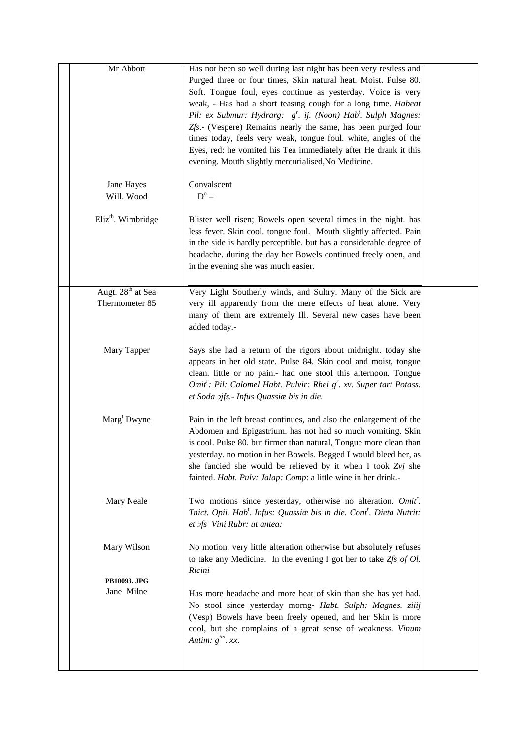| Mr Abbott                                       | Has not been so well during last night has been very restless and<br>Purged three or four times, Skin natural heat. Moist. Pulse 80.<br>Soft. Tongue foul, eyes continue as yesterday. Voice is very<br>weak, - Has had a short teasing cough for a long time. Habeat<br>Pil: ex Submur: Hydrarg: g'. ij. (Noon) Hab'. Sulph Magnes:<br>Zfs.- (Vespere) Remains nearly the same, has been purged four<br>times today, feels very weak, tongue foul. white, angles of the<br>Eyes, red: he vomited his Tea immediately after He drank it this<br>evening. Mouth slightly mercurialised, No Medicine. |  |
|-------------------------------------------------|-----------------------------------------------------------------------------------------------------------------------------------------------------------------------------------------------------------------------------------------------------------------------------------------------------------------------------------------------------------------------------------------------------------------------------------------------------------------------------------------------------------------------------------------------------------------------------------------------------|--|
| Jane Hayes<br>Will. Wood                        | Convalscent<br>$D^{\rm o}$ –                                                                                                                                                                                                                                                                                                                                                                                                                                                                                                                                                                        |  |
| Eliz <sup>th</sup> . Wimbridge                  | Blister well risen; Bowels open several times in the night. has<br>less fever. Skin cool. tongue foul. Mouth slightly affected. Pain<br>in the side is hardly perceptible. but has a considerable degree of<br>headache. during the day her Bowels continued freely open, and<br>in the evening she was much easier.                                                                                                                                                                                                                                                                                |  |
| Augt. 28 <sup>th</sup> at Sea<br>Thermometer 85 | Very Light Southerly winds, and Sultry. Many of the Sick are<br>very ill apparently from the mere effects of heat alone. Very<br>many of them are extremely Ill. Several new cases have been<br>added today.-                                                                                                                                                                                                                                                                                                                                                                                       |  |
| Mary Tapper                                     | Says she had a return of the rigors about midnight. today she<br>appears in her old state. Pulse 84. Skin cool and moist, tongue<br>clean. little or no pain.- had one stool this afternoon. Tongue<br>Omit': Pil: Calomel Habt. Pulvir: Rhei g'. xv. Super tart Potass.<br>et Soda 2jfs.- Infus Quassiae bis in die.                                                                                                                                                                                                                                                                               |  |
| Marg <sup>t</sup> Dwyne                         | Pain in the left breast continues, and also the enlargement of the<br>Abdomen and Epigastrium. has not had so much vomiting. Skin<br>is cool. Pulse 80. but firmer than natural, Tongue more clean than<br>yesterday. no motion in her Bowels. Begged I would bleed her, as<br>she fancied she would be relieved by it when I took Zvj she<br>fainted. Habt. Pulv: Jalap: Comp: a little wine in her drink.-                                                                                                                                                                                        |  |
| Mary Neale                                      | Two motions since yesterday, otherwise no alteration. Omit'.<br>Tnict. Opii. Hab <sup>t</sup> . Infus: Quassiae bis in die. Cont <sup>r</sup> . Dieta Nutrit:<br>et ofs Vini Rubr: ut antea:                                                                                                                                                                                                                                                                                                                                                                                                        |  |
| Mary Wilson                                     | No motion, very little alteration otherwise but absolutely refuses<br>to take any Medicine. In the evening I got her to take $Zfs$ of Ol.<br>Ricini                                                                                                                                                                                                                                                                                                                                                                                                                                                 |  |
| PB10093. JPG<br>Jane Milne                      | Has more headache and more heat of skin than she has yet had.<br>No stool since yesterday morng- Habt. Sulph: Magnes. ziiij<br>(Vesp) Bowels have been freely opened, and her Skin is more<br>cool, but she complains of a great sense of weakness. Vinum<br>Antim: $g^{tta}$ . xx.                                                                                                                                                                                                                                                                                                                 |  |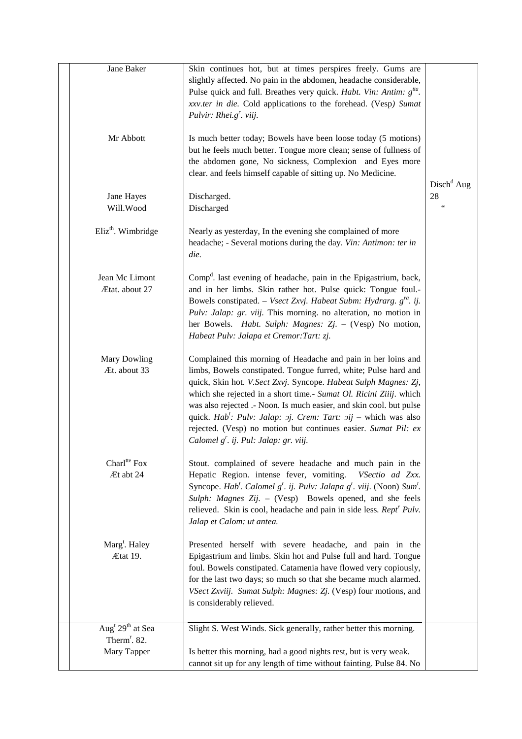| Jane Baker                               | Skin continues hot, but at times perspires freely. Gums are<br>slightly affected. No pain in the abdomen, headache considerable,<br>Pulse quick and full. Breathes very quick. Habt. Vin: Antim: g <sup>tta</sup> .<br>xxv.ter in die. Cold applications to the forehead. (Vesp) Sumat<br>Pulvir: Rhei.g'. viij.                                                                                                                                                                                                                                             |                      |
|------------------------------------------|--------------------------------------------------------------------------------------------------------------------------------------------------------------------------------------------------------------------------------------------------------------------------------------------------------------------------------------------------------------------------------------------------------------------------------------------------------------------------------------------------------------------------------------------------------------|----------------------|
| Mr Abbott                                | Is much better today; Bowels have been loose today (5 motions)<br>but he feels much better. Tongue more clean; sense of fullness of<br>the abdomen gone, No sickness, Complexion and Eyes more<br>clear. and feels himself capable of sitting up. No Medicine.                                                                                                                                                                                                                                                                                               | $Dischd$ Aug         |
| Jane Hayes<br>Will.Wood                  | Discharged.<br>Discharged                                                                                                                                                                                                                                                                                                                                                                                                                                                                                                                                    | 28<br>$\zeta\,\zeta$ |
| Eliz <sup>th</sup> . Wimbridge           | Nearly as yesterday, In the evening she complained of more<br>headache; - Several motions during the day. Vin: Antimon: ter in<br>die.                                                                                                                                                                                                                                                                                                                                                                                                                       |                      |
| Jean Mc Limont<br>Ætat. about 27         | Comp <sup>d</sup> . last evening of headache, pain in the Epigastrium, back,<br>and in her limbs. Skin rather hot. Pulse quick: Tongue foul.-<br>Bowels constipated. – Vsect Zxvj. Habeat Subm: Hydrarg. $g^{ra}$ . ij.<br>Pulv: Jalap: gr. viij. This morning. no alteration, no motion in<br>her Bowels. Habt. Sulph: Magnes: Zj. - (Vesp) No motion,<br>Habeat Pulv: Jalapa et Cremor: Tart: zj.                                                                                                                                                          |                      |
| Mary Dowling<br>Æt. about 33             | Complained this morning of Headache and pain in her loins and<br>limbs, Bowels constipated. Tongue furred, white; Pulse hard and<br>quick, Skin hot. V.Sect Zxvj. Syncope. Habeat Sulph Magnes: Zj,<br>which she rejected in a short time.- Sumat Ol. Ricini Ziiij. which<br>was also rejected .- Noon. Is much easier, and skin cool. but pulse<br>quick. Hab <sup>t</sup> : Pulv: Jalap: $\sigma j$ . Crem: Tart: $\sigma i j$ – which was also<br>rejected. (Vesp) no motion but continues easier. Sumat Pil: ex<br>Calomel g'. ij. Pul: Jalap: gr. viij. |                      |
| Charl <sup>tte</sup> Fox<br>Æt abt 24    | Stout. complained of severe headache and much pain in the<br>Hepatic Region. intense fever, vomiting.<br>VSectio ad Zxx.<br>Syncope. Hab'. Calomel g'. ij. Pulv: Jalapa g'. viij. (Noon) Sum'.<br>Sulph: Magnes Zij. - (Vesp) Bowels opened, and she feels<br>relieved. Skin is cool, headache and pain in side less. Rept <sup>r</sup> Pulv.<br>Jalap et Calom: ut antea.                                                                                                                                                                                   |                      |
| Marg <sup>t</sup> . Haley<br>Ætat 19.    | Presented herself with severe headache, and pain in the<br>Epigastrium and limbs. Skin hot and Pulse full and hard. Tongue<br>foul. Bowels constipated. Catamenia have flowed very copiously,<br>for the last two days; so much so that she became much alarmed.<br>VSect Zxviij. Sumat Sulph: Magnes: Zj. (Vesp) four motions, and<br>is considerably relieved.                                                                                                                                                                                             |                      |
| Aug <sup>t</sup> 29 <sup>th</sup> at Sea | Slight S. West Winds. Sick generally, rather better this morning.                                                                                                                                                                                                                                                                                                                                                                                                                                                                                            |                      |
| Therm <sup>r</sup> . 82.<br>Mary Tapper  | Is better this morning, had a good nights rest, but is very weak.<br>cannot sit up for any length of time without fainting. Pulse 84. No                                                                                                                                                                                                                                                                                                                                                                                                                     |                      |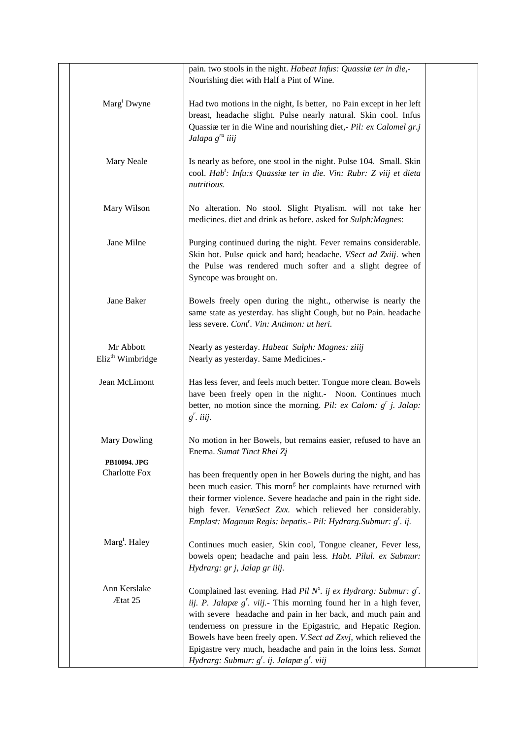|                                           | pain. two stools in the night. Habeat Infus: Quassia ter in die,-<br>Nourishing diet with Half a Pint of Wine.                                                                                                                                                                                                                                                                                                                                                      |  |
|-------------------------------------------|---------------------------------------------------------------------------------------------------------------------------------------------------------------------------------------------------------------------------------------------------------------------------------------------------------------------------------------------------------------------------------------------------------------------------------------------------------------------|--|
| $\text{Marg}^{\text{t}}$ Dwyne            | Had two motions in the night, Is better, no Pain except in her left<br>breast, headache slight. Pulse nearly natural. Skin cool. Infus<br>Quassiæ ter in die Wine and nourishing diet, - Pil: ex Calomel gr.j<br>Jalapa g <sup>ra</sup> iiij                                                                                                                                                                                                                        |  |
| Mary Neale                                | Is nearly as before, one stool in the night. Pulse 104. Small. Skin<br>cool. Hab <sup>t</sup> : Infu:s Quassiae ter in die. Vin: Rubr: Z viij et dieta<br>nutritious.                                                                                                                                                                                                                                                                                               |  |
| Mary Wilson                               | No alteration. No stool. Slight Ptyalism. will not take her<br>medicines. diet and drink as before. asked for Sulph: Magnes:                                                                                                                                                                                                                                                                                                                                        |  |
| Jane Milne                                | Purging continued during the night. Fever remains considerable.<br>Skin hot. Pulse quick and hard; headache. VSect ad Zxiij. when<br>the Pulse was rendered much softer and a slight degree of<br>Syncope was brought on.                                                                                                                                                                                                                                           |  |
| Jane Baker                                | Bowels freely open during the night., otherwise is nearly the<br>same state as yesterday. has slight Cough, but no Pain. headache<br>less severe. Cont <sup>r</sup> . Vin: Antimon: ut heri.                                                                                                                                                                                                                                                                        |  |
| Mr Abbott<br>Eliz <sup>th</sup> Wimbridge | Nearly as yesterday. Habeat Sulph: Magnes: ziiij<br>Nearly as yesterday. Same Medicines.-                                                                                                                                                                                                                                                                                                                                                                           |  |
| Jean McLimont                             | Has less fever, and feels much better. Tongue more clean. Bowels<br>have been freely open in the night.- Noon. Continues much<br>better, no motion since the morning. Pil: ex Calom: $g^{r}$ j. Jalap:<br>$g'$ . iiij.                                                                                                                                                                                                                                              |  |
| <b>Mary Dowling</b>                       | No motion in her Bowels, but remains easier, refused to have an<br>Enema. Sumat Tinct Rhei Zj                                                                                                                                                                                                                                                                                                                                                                       |  |
| PB10094. JPG<br><b>Charlotte Fox</b>      | has been frequently open in her Bowels during the night, and has<br>been much easier. This morn <sup>g</sup> her complaints have returned with<br>their former violence. Severe headache and pain in the right side.<br>high fever. VenæSect Zxx. which relieved her considerably.<br>Emplast: Magnum Regis: hepatis. - Pil: Hydrarg. Submur: g'. ij.                                                                                                               |  |
| Marg <sup>t</sup> . Haley                 | Continues much easier, Skin cool, Tongue cleaner, Fever less,<br>bowels open; headache and pain less. Habt. Pilul. ex Submur:<br>Hydrarg: gr j, Jalap gr iiij.                                                                                                                                                                                                                                                                                                      |  |
| Ann Kerslake<br>Ætat 25                   | Complained last evening. Had Pil N°. ij ex Hydrarg: Submur: $g'$ .<br>iij. P. Jalapæ $g'$ . viij. This morning found her in a high fever,<br>with severe headache and pain in her back, and much pain and<br>tenderness on pressure in the Epigastric, and Hepatic Region.<br>Bowels have been freely open. V.Sect ad Zxvj, which relieved the<br>Epigastre very much, headache and pain in the loins less. Sumat<br>Hydrarg: Submur: $g'$ . ij. Jalapæ $g'$ . viij |  |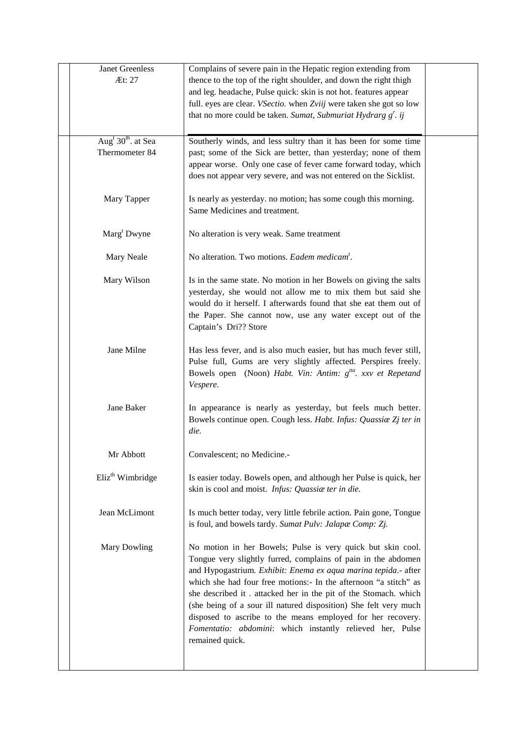| <b>Janet Greenless</b><br>Æt: 27                             | Complains of severe pain in the Hepatic region extending from<br>thence to the top of the right shoulder, and down the right thigh<br>and leg. headache, Pulse quick: skin is not hot. features appear<br>full. eyes are clear. VSectio. when Zviij were taken she got so low<br>that no more could be taken. Sumat, Submuriat Hydrarg $g^r$ . ij                                                                                                                                                                                                        |  |
|--------------------------------------------------------------|----------------------------------------------------------------------------------------------------------------------------------------------------------------------------------------------------------------------------------------------------------------------------------------------------------------------------------------------------------------------------------------------------------------------------------------------------------------------------------------------------------------------------------------------------------|--|
| Aug <sup>t</sup> 30 <sup>th</sup> . at Sea<br>Thermometer 84 | Southerly winds, and less sultry than it has been for some time<br>past; some of the Sick are better, than yesterday; none of them<br>appear worse. Only one case of fever came forward today, which<br>does not appear very severe, and was not entered on the Sicklist.                                                                                                                                                                                                                                                                                |  |
| Mary Tapper                                                  | Is nearly as yesterday. no motion; has some cough this morning.<br>Same Medicines and treatment.                                                                                                                                                                                                                                                                                                                                                                                                                                                         |  |
| Marg <sup>t</sup> Dwyne                                      | No alteration is very weak. Same treatment                                                                                                                                                                                                                                                                                                                                                                                                                                                                                                               |  |
| Mary Neale                                                   | No alteration. Two motions. Eadem medicam <sup>t</sup> .                                                                                                                                                                                                                                                                                                                                                                                                                                                                                                 |  |
| Mary Wilson                                                  | Is in the same state. No motion in her Bowels on giving the salts<br>yesterday, she would not allow me to mix them but said she<br>would do it herself. I afterwards found that she eat them out of<br>the Paper. She cannot now, use any water except out of the<br>Captain's Dri?? Store                                                                                                                                                                                                                                                               |  |
| Jane Milne                                                   | Has less fever, and is also much easier, but has much fever still,<br>Pulse full, Gums are very slightly affected. Perspires freely.<br>Bowels open (Noon) Habt. Vin: Antim: g <sup>tta</sup> . xxv et Repetand<br>Vespere.                                                                                                                                                                                                                                                                                                                              |  |
| Jane Baker                                                   | In appearance is nearly as yesterday, but feels much better.<br>Bowels continue open. Cough less. Habt. Infus: Quassiae Zj ter in<br>die.                                                                                                                                                                                                                                                                                                                                                                                                                |  |
| Mr Abbott                                                    | Convalescent; no Medicine.                                                                                                                                                                                                                                                                                                                                                                                                                                                                                                                               |  |
| Eliz <sup>th</sup> Wimbridge                                 | Is easier today. Bowels open, and although her Pulse is quick, her<br>skin is cool and moist. Infus: Quassia ter in die.                                                                                                                                                                                                                                                                                                                                                                                                                                 |  |
| Jean McLimont                                                | Is much better today, very little febrile action. Pain gone, Tongue<br>is foul, and bowels tardy. Sumat Pulv: Jalapæ Comp: Zj.                                                                                                                                                                                                                                                                                                                                                                                                                           |  |
| Mary Dowling                                                 | No motion in her Bowels; Pulse is very quick but skin cool.<br>Tongue very slightly furred, complains of pain in the abdomen<br>and Hypogastrium. Exhibit: Enema ex aqua marina tepida.- after<br>which she had four free motions:- In the afternoon "a stitch" as<br>she described it. attacked her in the pit of the Stomach. which<br>(she being of a sour ill natured disposition) She felt very much<br>disposed to ascribe to the means employed for her recovery.<br>Fomentatio: abdomini: which instantly relieved her, Pulse<br>remained quick. |  |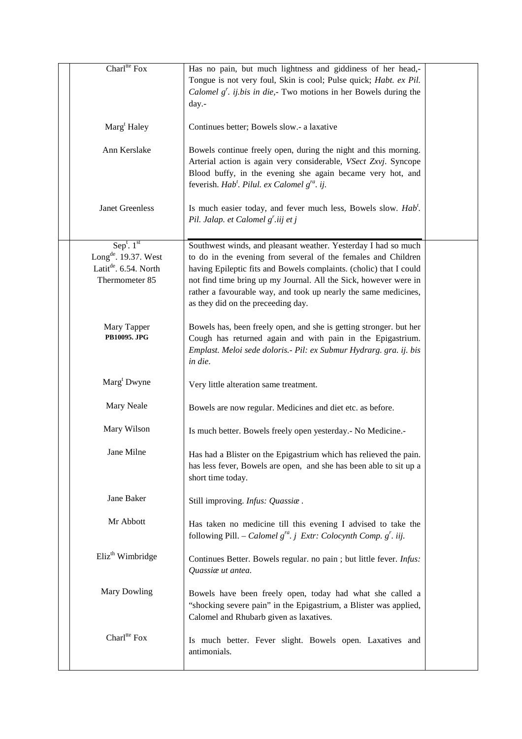| Charl <sup>tte</sup> Fox                                                                                            | Has no pain, but much lightness and giddiness of her head,-<br>Tongue is not very foul, Skin is cool; Pulse quick; Habt. ex Pil.<br>Calomel $g^r$ . ij.bis in die, Two motions in her Bowels during the<br>day.-                                                                                                                                                                   |  |
|---------------------------------------------------------------------------------------------------------------------|------------------------------------------------------------------------------------------------------------------------------------------------------------------------------------------------------------------------------------------------------------------------------------------------------------------------------------------------------------------------------------|--|
| Marg <sup>t</sup> Haley                                                                                             | Continues better; Bowels slow.- a laxative                                                                                                                                                                                                                                                                                                                                         |  |
| Ann Kerslake                                                                                                        | Bowels continue freely open, during the night and this morning.<br>Arterial action is again very considerable, VSect Zxvj. Syncope<br>Blood buffy, in the evening she again became very hot, and<br>feverish. Hab <sup>t</sup> . Pilul. ex Calomel g <sup>ra</sup> . ij.                                                                                                           |  |
| Janet Greenless                                                                                                     | Is much easier today, and fever much less, Bowels slow. Hab'.<br>Pil. Jalap. et Calomel g'.iij et j                                                                                                                                                                                                                                                                                |  |
| Sep <sup>t</sup> . $1st$<br>Long <sup>de</sup> . 19.37. West<br>Latit <sup>de</sup> . 6.54. North<br>Thermometer 85 | Southwest winds, and pleasant weather. Yesterday I had so much<br>to do in the evening from several of the females and Children<br>having Epileptic fits and Bowels complaints. (cholic) that I could<br>not find time bring up my Journal. All the Sick, however were in<br>rather a favourable way, and took up nearly the same medicines,<br>as they did on the preceeding day. |  |
| Mary Tapper<br>PB10095. JPG                                                                                         | Bowels has, been freely open, and she is getting stronger. but her<br>Cough has returned again and with pain in the Epigastrium.<br>Emplast. Meloi sede doloris.- Pil: ex Submur Hydrarg. gra. ij. bis<br>in die.                                                                                                                                                                  |  |
| $\text{Marg}^{\text{t}}$ Dwyne                                                                                      | Very little alteration same treatment.                                                                                                                                                                                                                                                                                                                                             |  |
| Mary Neale                                                                                                          | Bowels are now regular. Medicines and diet etc. as before.                                                                                                                                                                                                                                                                                                                         |  |
| Mary Wilson                                                                                                         | Is much better. Bowels freely open yesterday.- No Medicine.-                                                                                                                                                                                                                                                                                                                       |  |
| Jane Milne                                                                                                          | Has had a Blister on the Epigastrium which has relieved the pain.<br>has less fever, Bowels are open, and she has been able to sit up a<br>short time today.                                                                                                                                                                                                                       |  |
| Jane Baker                                                                                                          | Still improving. Infus: Quassiae.                                                                                                                                                                                                                                                                                                                                                  |  |
| Mr Abbott                                                                                                           | Has taken no medicine till this evening I advised to take the<br>following Pill. - Calomel $g^{ra}$ . j Extr: Colocynth Comp. $g'$ . iij.                                                                                                                                                                                                                                          |  |
| Eliz <sup>th</sup> Wimbridge                                                                                        | Continues Better. Bowels regular. no pain ; but little fever. Infus:<br>Quassiae ut antea.                                                                                                                                                                                                                                                                                         |  |
| Mary Dowling                                                                                                        | Bowels have been freely open, today had what she called a<br>"shocking severe pain" in the Epigastrium, a Blister was applied,<br>Calomel and Rhubarb given as laxatives.                                                                                                                                                                                                          |  |
| Charl <sup>tte</sup> Fox                                                                                            | Is much better. Fever slight. Bowels open. Laxatives and<br>antimonials.                                                                                                                                                                                                                                                                                                           |  |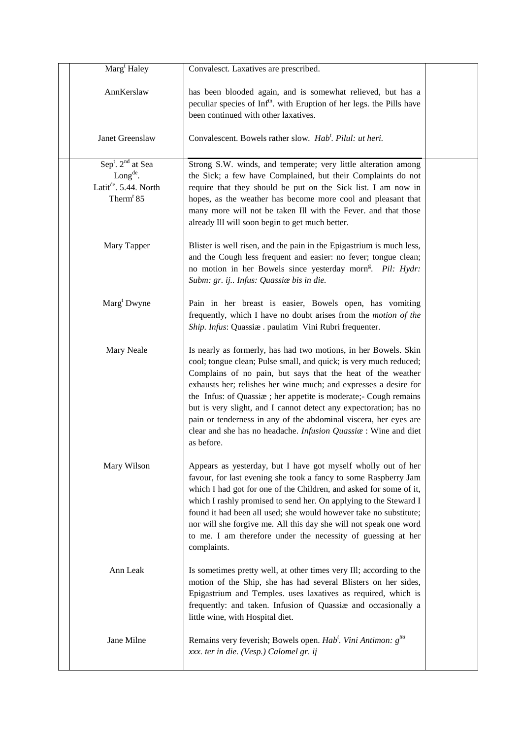| Marg <sup>t</sup> Haley                                                                           | Convalesct. Laxatives are prescribed.                                                                                                                                                                                                                                                                                                                                                                                                                                                                                                                                 |  |
|---------------------------------------------------------------------------------------------------|-----------------------------------------------------------------------------------------------------------------------------------------------------------------------------------------------------------------------------------------------------------------------------------------------------------------------------------------------------------------------------------------------------------------------------------------------------------------------------------------------------------------------------------------------------------------------|--|
| AnnKerslaw                                                                                        | has been blooded again, and is somewhat relieved, but has a<br>peculiar species of Inf <sup>tn</sup> . with Eruption of her legs. the Pills have<br>been continued with other laxatives.                                                                                                                                                                                                                                                                                                                                                                              |  |
| Janet Greenslaw                                                                                   | Convalescent. Bowels rather slow. Hab <sup>t</sup> . Pilul: ut heri.                                                                                                                                                                                                                                                                                                                                                                                                                                                                                                  |  |
| $Sept$ . $2nd$ at Sea<br>$Longde$ .<br>Latit <sup>de</sup> . 5.44. North<br>Therm <sup>r</sup> 85 | Strong S.W. winds, and temperate; very little alteration among<br>the Sick; a few have Complained, but their Complaints do not<br>require that they should be put on the Sick list. I am now in<br>hopes, as the weather has become more cool and pleasant that<br>many more will not be taken Ill with the Fever. and that those<br>already Ill will soon begin to get much better.                                                                                                                                                                                  |  |
| Mary Tapper                                                                                       | Blister is well risen, and the pain in the Epigastrium is much less,<br>and the Cough less frequent and easier: no fever; tongue clean;<br>no motion in her Bowels since yesterday morn <sup>g</sup> . Pil: Hydr:<br>Subm: gr. ij Infus: Quassiae bis in die.                                                                                                                                                                                                                                                                                                         |  |
| Marg <sup>t</sup> Dwyne                                                                           | Pain in her breast is easier, Bowels open, has vomiting<br>frequently, which I have no doubt arises from the <i>motion of the</i><br>Ship. Infus: Quassiæ. paulatim Vini Rubri frequenter.                                                                                                                                                                                                                                                                                                                                                                            |  |
| Mary Neale                                                                                        | Is nearly as formerly, has had two motions, in her Bowels. Skin<br>cool; tongue clean; Pulse small, and quick; is very much reduced;<br>Complains of no pain, but says that the heat of the weather<br>exhausts her; relishes her wine much; and expresses a desire for<br>the Infus: of Quassiæ; her appetite is moderate;- Cough remains<br>but is very slight, and I cannot detect any expectoration; has no<br>pain or tenderness in any of the abdominal viscera, her eyes are<br>clear and she has no headache. Infusion Quassiae : Wine and diet<br>as before. |  |
| Mary Wilson                                                                                       | Appears as yesterday, but I have got myself wholly out of her<br>favour, for last evening she took a fancy to some Raspberry Jam<br>which I had got for one of the Children, and asked for some of it,<br>which I rashly promised to send her. On applying to the Steward I<br>found it had been all used; she would however take no substitute;<br>nor will she forgive me. All this day she will not speak one word<br>to me. I am therefore under the necessity of guessing at her<br>complaints.                                                                  |  |
| Ann Leak                                                                                          | Is sometimes pretty well, at other times very Ill; according to the<br>motion of the Ship, she has had several Blisters on her sides,<br>Epigastrium and Temples. uses laxatives as required, which is<br>frequently: and taken. Infusion of Quassiae and occasionally a<br>little wine, with Hospital diet.                                                                                                                                                                                                                                                          |  |
| Jane Milne                                                                                        | Remains very feverish; Bowels open. Hab <sup>t</sup> . Vini Antimon: g <sup>tta</sup><br>xxx. ter in die. (Vesp.) Calomel gr. ij                                                                                                                                                                                                                                                                                                                                                                                                                                      |  |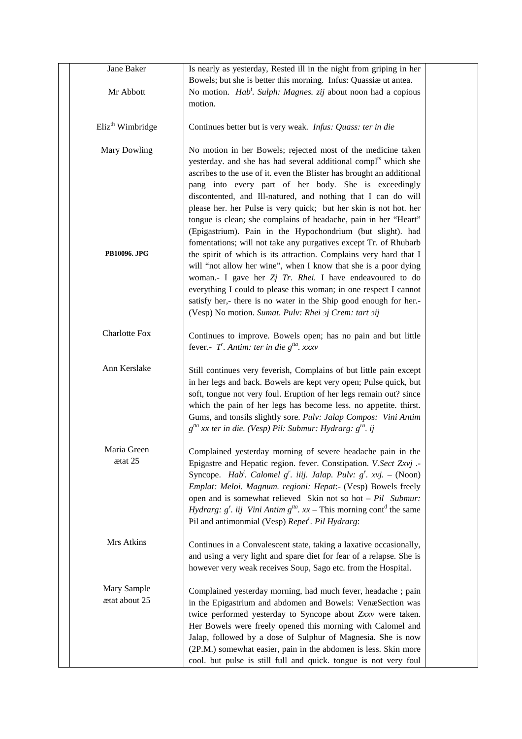| Jane Baker                   | Is nearly as yesterday, Rested ill in the night from griping in her                              |  |
|------------------------------|--------------------------------------------------------------------------------------------------|--|
|                              | Bowels; but she is better this morning. Infus: Quassiæ ut antea.                                 |  |
| Mr Abbott                    | No motion. Hab'. Sulph: Magnes. zij about noon had a copious                                     |  |
|                              | motion.                                                                                          |  |
|                              |                                                                                                  |  |
| Eliz <sup>th</sup> Wimbridge | Continues better but is very weak. Infus: Quass: ter in die                                      |  |
|                              |                                                                                                  |  |
| Mary Dowling                 | No motion in her Bowels; rejected most of the medicine taken                                     |  |
|                              | yesterday. and she has had several additional compl <sup>ts</sup> which she                      |  |
|                              | ascribes to the use of it. even the Blister has brought an additional                            |  |
|                              | pang into every part of her body. She is exceedingly                                             |  |
|                              | discontented, and Ill-natured, and nothing that I can do will                                    |  |
|                              | please her. her Pulse is very quick; but her skin is not hot. her                                |  |
|                              | tongue is clean; she complains of headache, pain in her "Heart"                                  |  |
|                              | (Epigastrium). Pain in the Hypochondrium (but slight). had                                       |  |
|                              | fomentations; will not take any purgatives except Tr. of Rhubarb                                 |  |
| PB10096. JPG                 | the spirit of which is its attraction. Complains very hard that I                                |  |
|                              | will "not allow her wine", when I know that she is a poor dying                                  |  |
|                              | woman.- I gave her $Zj$ Tr. Rhei. I have endeavoured to do                                       |  |
|                              | everything I could to please this woman; in one respect I cannot                                 |  |
|                              | satisfy her,- there is no water in the Ship good enough for her.-                                |  |
|                              | (Vesp) No motion. Sumat. Pulv: Rhei 2j Crem: tart 2ij                                            |  |
|                              |                                                                                                  |  |
| <b>Charlotte Fox</b>         | Continues to improve. Bowels open; has no pain and but little                                    |  |
|                              | fever.- $T$ . Antim: ter in die $g^{ta}$ . xxxv                                                  |  |
|                              |                                                                                                  |  |
| Ann Kerslake                 | Still continues very feverish, Complains of but little pain except                               |  |
|                              | in her legs and back. Bowels are kept very open; Pulse quick, but                                |  |
|                              | soft, tongue not very foul. Eruption of her legs remain out? since                               |  |
|                              | which the pain of her legs has become less. no appetite. thirst.                                 |  |
|                              | Gums, and tonsils slightly sore. Pulv: Jalap Compos: Vini Antim                                  |  |
|                              | $g^{tta}$ xx ter in die. (Vesp) Pil: Submur: Hydrarg: $g^{ra}$ . ij                              |  |
|                              |                                                                                                  |  |
| Maria Green<br>ætat 25       | Complained yesterday morning of severe headache pain in the                                      |  |
|                              | Epigastre and Hepatic region. fever. Constipation. V.Sect Zxvj .-                                |  |
|                              | Syncope. <i>Hab'. Calomel g'. iiij. Jalap. Pulv: g'. xvj.</i> – (Noon)                           |  |
|                              | Emplat: Meloi. Magnum. regioni: Hepat:- (Vesp) Bowels freely                                     |  |
|                              | open and is somewhat relieved Skin not so hot $- Pil$ Submur:                                    |  |
|                              | <i>Hydrarg: g'. iij Vini Antim g<sup>tta</sup>. xx</i> – This morning cont <sup>d</sup> the same |  |
|                              | Pil and antimonmial (Vesp) Repet <sup>r</sup> . Pil Hydrarg:                                     |  |
| Mrs Atkins                   |                                                                                                  |  |
|                              | Continues in a Convalescent state, taking a laxative occasionally,                               |  |
|                              | and using a very light and spare diet for fear of a relapse. She is                              |  |
|                              | however very weak receives Soup, Sago etc. from the Hospital.                                    |  |
| Mary Sample                  | Complained yesterday morning, had much fever, headache ; pain                                    |  |
| ætat about 25                | in the Epigastrium and abdomen and Bowels: VenæSection was                                       |  |
|                              | twice performed yesterday to Syncope about Zxxv were taken.                                      |  |
|                              | Her Bowels were freely opened this morning with Calomel and                                      |  |
|                              | Jalap, followed by a dose of Sulphur of Magnesia. She is now                                     |  |
|                              | (2P.M.) somewhat easier, pain in the abdomen is less. Skin more                                  |  |
|                              | cool. but pulse is still full and quick. tongue is not very foul                                 |  |
|                              |                                                                                                  |  |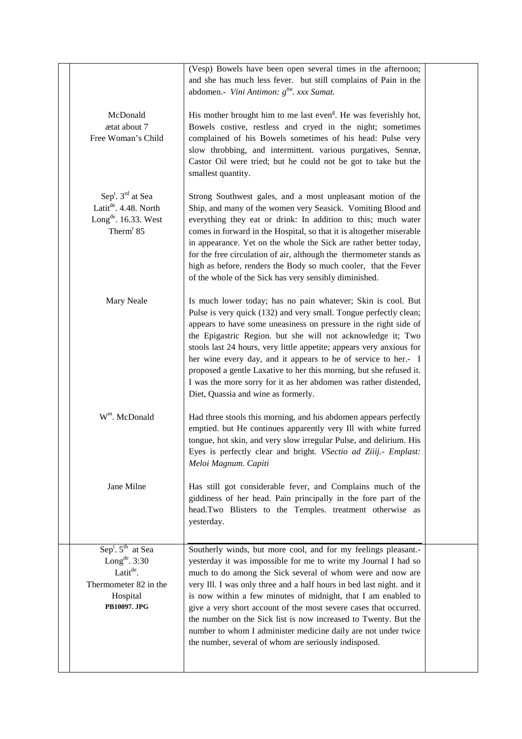|                                                                                                                                             | (Vesp) Bowels have been open several times in the afternoon;<br>and she has much less fever. but still complains of Pain in the<br>abdomen.- Vini Antimon: g <sup>tta</sup> . xxx Sumat.                                                                                                                                                                                                                                                                                                                                                                                                                     |  |
|---------------------------------------------------------------------------------------------------------------------------------------------|--------------------------------------------------------------------------------------------------------------------------------------------------------------------------------------------------------------------------------------------------------------------------------------------------------------------------------------------------------------------------------------------------------------------------------------------------------------------------------------------------------------------------------------------------------------------------------------------------------------|--|
| McDonald<br>ætat about 7<br>Free Woman's Child                                                                                              | His mother brought him to me last even <sup>g</sup> . He was feverishly hot,<br>Bowels costive, restless and cryed in the night; sometimes<br>complained of his Bowels sometimes of his head: Pulse very<br>slow throbbing, and intermittent. various purgatives, Sennæ,<br>Castor Oil were tried; but he could not be got to take but the<br>smallest quantity.                                                                                                                                                                                                                                             |  |
| Sep <sup>t</sup> . 3 <sup>rd</sup> at Sea<br>Latit <sup>de</sup> . 4.48. North<br>Long <sup>de</sup> . 16.33. West<br>Therm <sup>r</sup> 85 | Strong Southwest gales, and a most unpleasant motion of the<br>Ship, and many of the women very Seasick. Vomiting Blood and<br>everything they eat or drink: In addition to this; much water<br>comes in forward in the Hospital, so that it is altogether miserable<br>in appearance. Yet on the whole the Sick are rather better today,<br>for the free circulation of air, although the thermometer stands as<br>high as before, renders the Body so much cooler, that the Fever<br>of the whole of the Sick has very sensibly diminished.                                                                |  |
| Mary Neale                                                                                                                                  | Is much lower today; has no pain whatever; Skin is cool. But<br>Pulse is very quick (132) and very small. Tongue perfectly clean;<br>appears to have some uneasiness on pressure in the right side of<br>the Epigastric Region. but she will not acknowledge it; Two<br>stools last 24 hours, very little appetite; appears very anxious for<br>her wine every day, and it appears to be of service to her.- I<br>proposed a gentle Laxative to her this morning, but she refused it.<br>I was the more sorry for it as her abdomen was rather distended,<br>Diet, Quassia and wine as formerly.             |  |
| W <sup>m</sup> . McDonald                                                                                                                   | Had three stools this morning, and his abdomen appears perfectly<br>emptied. but He continues apparently very Ill with white furred<br>tongue, hot skin, and very slow irregular Pulse, and delirium. His<br>Eyes is perfectly clear and bright. VSectio ad Ziiij.- Emplast:<br>Meloi Magnum. Capiti                                                                                                                                                                                                                                                                                                         |  |
| Jane Milne                                                                                                                                  | Has still got considerable fever, and Complains much of the<br>giddiness of her head. Pain principally in the fore part of the<br>head.Two Blisters to the Temples. treatment otherwise as<br>yesterday.                                                                                                                                                                                                                                                                                                                                                                                                     |  |
| $Sept$ . $5th$ at Sea<br>Long <sup>de</sup> . $3:30$<br>Latit <sup>de</sup> .<br>Thermometer 82 in the<br>Hospital<br>PB10097. JPG          | Southerly winds, but more cool, and for my feelings pleasant.-<br>yesterday it was impossible for me to write my Journal I had so<br>much to do among the Sick several of whom were and now are<br>very Ill. I was only three and a half hours in bed last night. and it<br>is now within a few minutes of midnight, that I am enabled to<br>give a very short account of the most severe cases that occurred.<br>the number on the Sick list is now increased to Twenty. But the<br>number to whom I administer medicine daily are not under twice<br>the number, several of whom are seriously indisposed. |  |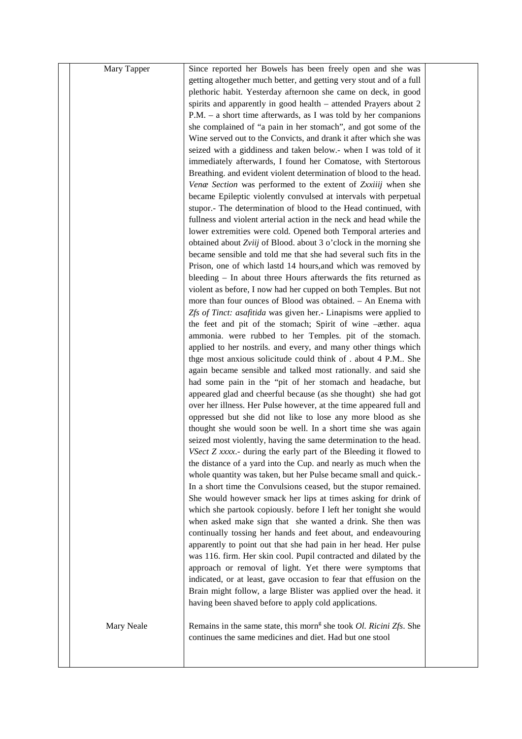| Mary Tapper | Since reported her Bowels has been freely open and she was                                                                         |  |
|-------------|------------------------------------------------------------------------------------------------------------------------------------|--|
|             | getting altogether much better, and getting very stout and of a full                                                               |  |
|             | plethoric habit. Yesterday afternoon she came on deck, in good                                                                     |  |
|             | spirits and apparently in good health - attended Prayers about 2                                                                   |  |
|             | $P.M. - a$ short time afterwards, as I was told by her companions                                                                  |  |
|             | she complained of "a pain in her stomach", and got some of the                                                                     |  |
|             | Wine served out to the Convicts, and drank it after which she was                                                                  |  |
|             | seized with a giddiness and taken below.- when I was told of it                                                                    |  |
|             | immediately afterwards, I found her Comatose, with Stertorous                                                                      |  |
|             | Breathing. and evident violent determination of blood to the head.                                                                 |  |
|             | Venæ Section was performed to the extent of Zxxiiij when she                                                                       |  |
|             | became Epileptic violently convulsed at intervals with perpetual                                                                   |  |
|             | stupor.- The determination of blood to the Head continued, with                                                                    |  |
|             | fullness and violent arterial action in the neck and head while the                                                                |  |
|             | lower extremities were cold. Opened both Temporal arteries and                                                                     |  |
|             | obtained about Zviij of Blood. about 3 o'clock in the morning she                                                                  |  |
|             | became sensible and told me that she had several such fits in the                                                                  |  |
|             | Prison, one of which lastd 14 hours, and which was removed by                                                                      |  |
|             | bleeding - In about three Hours afterwards the fits returned as                                                                    |  |
|             | violent as before, I now had her cupped on both Temples. But not                                                                   |  |
|             | more than four ounces of Blood was obtained. - An Enema with                                                                       |  |
|             | Zfs of Tinct: asafitida was given her.- Linapisms were applied to                                                                  |  |
|             | the feet and pit of the stomach; Spirit of wine -æther. aqua                                                                       |  |
|             | ammonia. were rubbed to her Temples. pit of the stomach.                                                                           |  |
|             | applied to her nostrils. and every, and many other things which                                                                    |  |
|             | thge most anxious solicitude could think of . about 4 P.M She                                                                      |  |
|             | again became sensible and talked most rationally. and said she                                                                     |  |
|             | had some pain in the "pit of her stomach and headache, but                                                                         |  |
|             | appeared glad and cheerful because (as she thought) she had got                                                                    |  |
|             | over her illness. Her Pulse however, at the time appeared full and                                                                 |  |
|             | oppressed but she did not like to lose any more blood as she                                                                       |  |
|             | thought she would soon be well. In a short time she was again<br>seized most violently, having the same determination to the head. |  |
|             | VSect Z xxxx.- during the early part of the Bleeding it flowed to                                                                  |  |
|             | the distance of a yard into the Cup. and nearly as much when the                                                                   |  |
|             | whole quantity was taken, but her Pulse became small and quick.-                                                                   |  |
|             | In a short time the Convulsions ceased, but the stupor remained.                                                                   |  |
|             | She would however smack her lips at times asking for drink of                                                                      |  |
|             | which she partook copiously. before I left her tonight she would                                                                   |  |
|             | when asked make sign that she wanted a drink. She then was                                                                         |  |
|             | continually tossing her hands and feet about, and endeavouring                                                                     |  |
|             | apparently to point out that she had pain in her head. Her pulse                                                                   |  |
|             | was 116. firm. Her skin cool. Pupil contracted and dilated by the                                                                  |  |
|             | approach or removal of light. Yet there were symptoms that                                                                         |  |
|             | indicated, or at least, gave occasion to fear that effusion on the                                                                 |  |
|             | Brain might follow, a large Blister was applied over the head. it                                                                  |  |
|             | having been shaved before to apply cold applications.                                                                              |  |
|             |                                                                                                                                    |  |
| Mary Neale  | Remains in the same state, this morn <sup>g</sup> she took <i>Ol. Ricini Zfs</i> . She                                             |  |
|             | continues the same medicines and diet. Had but one stool                                                                           |  |
|             |                                                                                                                                    |  |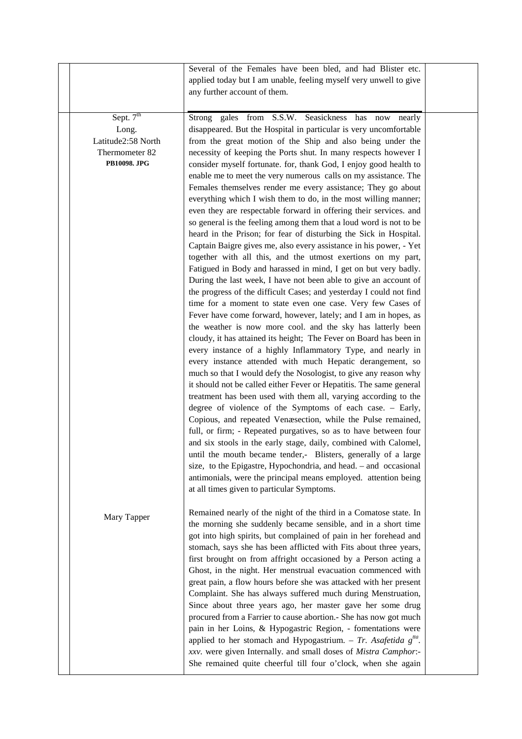|                                                                                        | Several of the Females have been bled, and had Blister etc.<br>applied today but I am unable, feeling myself very unwell to give<br>any further account of them.                                                                                                                                                                                                                                                                                                                                                                                                                                                                                                                                                                                                                                                                                                                                                                                                                                                                                                                                                                                                                                                                                                                                                                                                                                                                                                                                                                                                                                                                                                                                                                                                                                                                                                                                                                                                                                                                                                                                                                                                                                                                                      |  |
|----------------------------------------------------------------------------------------|-------------------------------------------------------------------------------------------------------------------------------------------------------------------------------------------------------------------------------------------------------------------------------------------------------------------------------------------------------------------------------------------------------------------------------------------------------------------------------------------------------------------------------------------------------------------------------------------------------------------------------------------------------------------------------------------------------------------------------------------------------------------------------------------------------------------------------------------------------------------------------------------------------------------------------------------------------------------------------------------------------------------------------------------------------------------------------------------------------------------------------------------------------------------------------------------------------------------------------------------------------------------------------------------------------------------------------------------------------------------------------------------------------------------------------------------------------------------------------------------------------------------------------------------------------------------------------------------------------------------------------------------------------------------------------------------------------------------------------------------------------------------------------------------------------------------------------------------------------------------------------------------------------------------------------------------------------------------------------------------------------------------------------------------------------------------------------------------------------------------------------------------------------------------------------------------------------------------------------------------------------|--|
| Sept. 7 <sup>th</sup><br>Long.<br>Latitude2:58 North<br>Thermometer 82<br>PB10098. JPG | Strong gales from S.S.W. Seasickness has now nearly<br>disappeared. But the Hospital in particular is very uncomfortable<br>from the great motion of the Ship and also being under the<br>necessity of keeping the Ports shut. In many respects however I<br>consider myself fortunate. for, thank God, I enjoy good health to<br>enable me to meet the very numerous calls on my assistance. The<br>Females themselves render me every assistance; They go about<br>everything which I wish them to do, in the most willing manner;<br>even they are respectable forward in offering their services. and<br>so general is the feeling among them that a loud word is not to be<br>heard in the Prison; for fear of disturbing the Sick in Hospital.<br>Captain Baigre gives me, also every assistance in his power, - Yet<br>together with all this, and the utmost exertions on my part,<br>Fatigued in Body and harassed in mind, I get on but very badly.<br>During the last week, I have not been able to give an account of<br>the progress of the difficult Cases; and yesterday I could not find<br>time for a moment to state even one case. Very few Cases of<br>Fever have come forward, however, lately; and I am in hopes, as<br>the weather is now more cool. and the sky has latterly been<br>cloudy, it has attained its height; The Fever on Board has been in<br>every instance of a highly Inflammatory Type, and nearly in<br>every instance attended with much Hepatic derangement, so<br>much so that I would defy the Nosologist, to give any reason why<br>it should not be called either Fever or Hepatitis. The same general<br>treatment has been used with them all, varying according to the<br>degree of violence of the Symptoms of each case. - Early,<br>Copious, and repeated Venæsection, while the Pulse remained,<br>full, or firm; - Repeated purgatives, so as to have between four<br>and six stools in the early stage, daily, combined with Calomel,<br>until the mouth became tender,- Blisters, generally of a large<br>size, to the Epigastre, Hypochondria, and head. - and occasional<br>antimonials, were the principal means employed. attention being<br>at all times given to particular Symptoms. |  |
| Mary Tapper                                                                            | Remained nearly of the night of the third in a Comatose state. In<br>the morning she suddenly became sensible, and in a short time<br>got into high spirits, but complained of pain in her forehead and<br>stomach, says she has been afflicted with Fits about three years,<br>first brought on from affright occasioned by a Person acting a<br>Ghost, in the night. Her menstrual evacuation commenced with<br>great pain, a flow hours before she was attacked with her present<br>Complaint. She has always suffered much during Menstruation,<br>Since about three years ago, her master gave her some drug<br>procured from a Farrier to cause abortion.- She has now got much<br>pain in her Loins, & Hypogastric Region, - fomentations were<br>applied to her stomach and Hypogastrium. - Tr. Asafetida $g^{tta}$ .<br>xxv. were given Internally. and small doses of Mistra Camphor:-<br>She remained quite cheerful till four o'clock, when she again                                                                                                                                                                                                                                                                                                                                                                                                                                                                                                                                                                                                                                                                                                                                                                                                                                                                                                                                                                                                                                                                                                                                                                                                                                                                                     |  |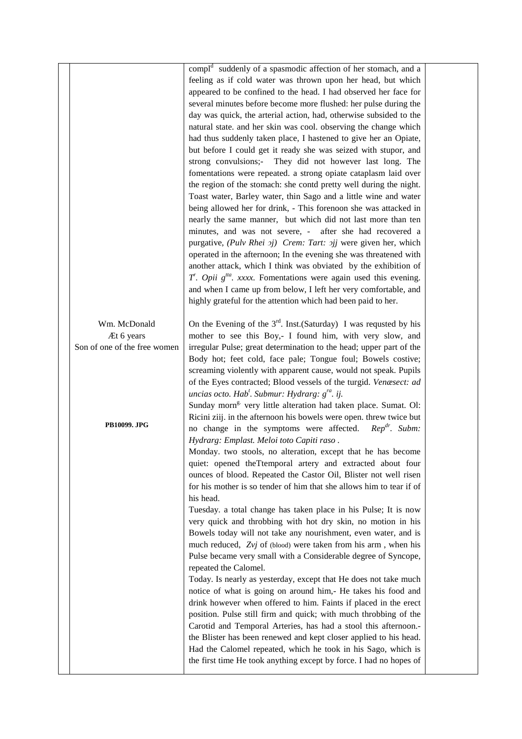|                              | compl <sup>d</sup> suddenly of a spasmodic affection of her stomach, and a   |  |
|------------------------------|------------------------------------------------------------------------------|--|
|                              | feeling as if cold water was thrown upon her head, but which                 |  |
|                              | appeared to be confined to the head. I had observed her face for             |  |
|                              | several minutes before become more flushed: her pulse during the             |  |
|                              | day was quick, the arterial action, had, otherwise subsided to the           |  |
|                              | natural state. and her skin was cool. observing the change which             |  |
|                              | had thus suddenly taken place, I hastened to give her an Opiate,             |  |
|                              | but before I could get it ready she was seized with stupor, and              |  |
|                              | strong convulsions;- They did not however last long. The                     |  |
|                              | fomentations were repeated. a strong opiate cataplasm laid over              |  |
|                              |                                                                              |  |
|                              | the region of the stomach: she contd pretty well during the night.           |  |
|                              | Toast water, Barley water, thin Sago and a little wine and water             |  |
|                              | being allowed her for drink, - This forenoon she was attacked in             |  |
|                              | nearly the same manner, but which did not last more than ten                 |  |
|                              | minutes, and was not severe, - after she had recovered a                     |  |
|                              | purgative, (Pulv Rhei 2j) Crem: Tart: 2jj were given her, which              |  |
|                              | operated in the afternoon; In the evening she was threatened with            |  |
|                              | another attack, which I think was obviated by the exhibition of              |  |
|                              | $T$ . Opii $gita$ . xxxx. Fomentations were again used this evening.         |  |
|                              | and when I came up from below, I left her very comfortable, and              |  |
|                              | highly grateful for the attention which had been paid to her.                |  |
|                              |                                                                              |  |
| Wm. McDonald                 | On the Evening of the $3^{rd}$ . Inst. (Saturday) I was requsted by his      |  |
| Æt 6 years                   | mother to see this Boy,- I found him, with very slow, and                    |  |
| Son of one of the free women | irregular Pulse; great determination to the head; upper part of the          |  |
|                              | Body hot; feet cold, face pale; Tongue foul; Bowels costive;                 |  |
|                              | screaming violently with apparent cause, would not speak. Pupils             |  |
|                              | of the Eyes contracted; Blood vessels of the turgid. Venæsect: ad            |  |
|                              | uncias octo. Hab <sup>t</sup> . Submur: Hydrarg: g <sup>ra</sup> . ij.       |  |
|                              | Sunday morn <sup>g.</sup> very little alteration had taken place. Sumat. Ol: |  |
|                              | Ricini ziij. in the afternoon his bowels were open. threw twice but          |  |
| <b>PB10099. JPG</b>          | no change in the symptoms were affected. Rep <sup>dr</sup> . Subm:           |  |
|                              | Hydrarg: Emplast. Meloi toto Capiti raso.                                    |  |
|                              | Monday. two stools, no alteration, except that he has become                 |  |
|                              |                                                                              |  |
|                              | quiet: opened theTtemporal artery and extracted about four                   |  |
|                              | ounces of blood. Repeated the Castor Oil, Blister not well risen             |  |
|                              | for his mother is so tender of him that she allows him to tear if of         |  |
|                              | his head.                                                                    |  |
|                              | Tuesday. a total change has taken place in his Pulse; It is now              |  |
|                              | very quick and throbbing with hot dry skin, no motion in his                 |  |
|                              | Bowels today will not take any nourishment, even water, and is               |  |
|                              | much reduced, Zvj of (blood) were taken from his arm, when his               |  |
|                              | Pulse became very small with a Considerable degree of Syncope,               |  |
|                              | repeated the Calomel.                                                        |  |
|                              | Today. Is nearly as yesterday, except that He does not take much             |  |
|                              | notice of what is going on around him,- He takes his food and                |  |
|                              | drink however when offered to him. Faints if placed in the erect             |  |
|                              | position. Pulse still firm and quick; with much throbbing of the             |  |
|                              | Carotid and Temporal Arteries, has had a stool this afternoon.-              |  |
|                              | the Blister has been renewed and kept closer applied to his head.            |  |
|                              | Had the Calomel repeated, which he took in his Sago, which is                |  |
|                              | the first time He took anything except by force. I had no hopes of           |  |
|                              |                                                                              |  |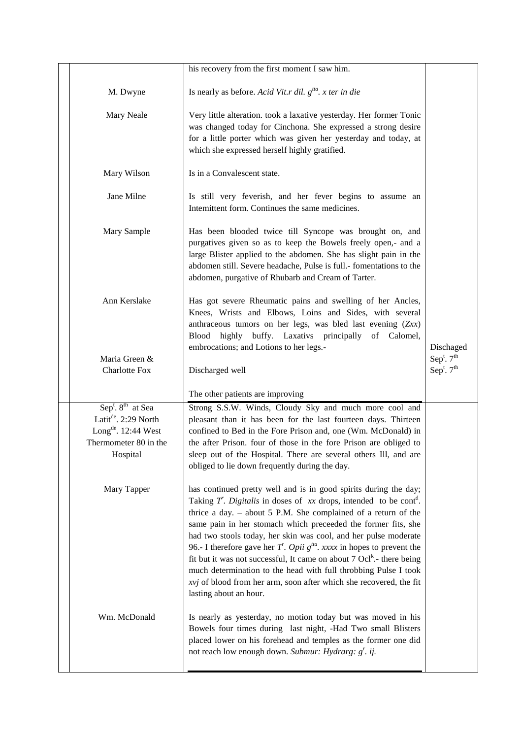|                                                                                                                                                       | his recovery from the first moment I saw him.                                                                                                                                                                                                                                                                                                                                                                                                                                                                                                                                                                                                                                                                |                          |
|-------------------------------------------------------------------------------------------------------------------------------------------------------|--------------------------------------------------------------------------------------------------------------------------------------------------------------------------------------------------------------------------------------------------------------------------------------------------------------------------------------------------------------------------------------------------------------------------------------------------------------------------------------------------------------------------------------------------------------------------------------------------------------------------------------------------------------------------------------------------------------|--------------------------|
| M. Dwyne                                                                                                                                              | Is nearly as before. Acid Vit.r dil. $g^{tta}$ . x ter in die                                                                                                                                                                                                                                                                                                                                                                                                                                                                                                                                                                                                                                                |                          |
| Mary Neale                                                                                                                                            | Very little alteration. took a laxative yesterday. Her former Tonic<br>was changed today for Cinchona. She expressed a strong desire<br>for a little porter which was given her yesterday and today, at<br>which she expressed herself highly gratified.                                                                                                                                                                                                                                                                                                                                                                                                                                                     |                          |
| Mary Wilson                                                                                                                                           | Is in a Convalescent state.                                                                                                                                                                                                                                                                                                                                                                                                                                                                                                                                                                                                                                                                                  |                          |
| Jane Milne                                                                                                                                            | Is still very feverish, and her fever begins to assume an<br>Internittent form. Continues the same medicines.                                                                                                                                                                                                                                                                                                                                                                                                                                                                                                                                                                                                |                          |
| Mary Sample                                                                                                                                           | Has been blooded twice till Syncope was brought on, and<br>purgatives given so as to keep the Bowels freely open,- and a<br>large Blister applied to the abdomen. She has slight pain in the<br>abdomen still. Severe headache, Pulse is full.- fomentations to the<br>abdomen, purgative of Rhubarb and Cream of Tarter.                                                                                                                                                                                                                                                                                                                                                                                    |                          |
| Ann Kerslake                                                                                                                                          | Has got severe Rheumatic pains and swelling of her Ancles,<br>Knees, Wrists and Elbows, Loins and Sides, with several<br>anthraceous tumors on her legs, was bled last evening (Zxx)<br>buffy. Laxativs principally<br><b>Blood</b><br>highly<br>of Calomel,<br>embrocations; and Lotions to her legs.-                                                                                                                                                                                                                                                                                                                                                                                                      | Dischaged                |
| Maria Green &                                                                                                                                         |                                                                                                                                                                                                                                                                                                                                                                                                                                                                                                                                                                                                                                                                                                              | Sep <sup>t</sup> . $7th$ |
| <b>Charlotte Fox</b>                                                                                                                                  | Discharged well                                                                                                                                                                                                                                                                                                                                                                                                                                                                                                                                                                                                                                                                                              | Sep <sup>t</sup> . $7th$ |
|                                                                                                                                                       | The other patients are improving                                                                                                                                                                                                                                                                                                                                                                                                                                                                                                                                                                                                                                                                             |                          |
| Sep <sup>t</sup> . 8 <sup>th</sup> at Sea<br>Latit <sup>de</sup> . 2:29 North<br>Long <sup>de</sup> . 12:44 West<br>Thermometer 80 in the<br>Hospital | Strong S.S.W. Winds, Cloudy Sky and much more cool and<br>pleasant than it has been for the last fourteen days. Thirteen<br>confined to Bed in the Fore Prison and, one (Wm. McDonald) in<br>the after Prison. four of those in the fore Prison are obliged to<br>sleep out of the Hospital. There are several others Ill, and are<br>obliged to lie down frequently during the day.                                                                                                                                                                                                                                                                                                                         |                          |
| Mary Tapper                                                                                                                                           | has continued pretty well and is in good spirits during the day;<br>Taking T. Digitalis in doses of xx drops, intended to be cont <sup>d</sup> .<br>thrice a day. $-$ about 5 P.M. She complained of a return of the<br>same pain in her stomach which preceeded the former fits, she<br>had two stools today, her skin was cool, and her pulse moderate<br>96.- I therefore gave her T <sup>'</sup> . Opii $g^{tta}$ . xxxx in hopes to prevent the<br>fit but it was not successful, It came on about 7 Ocl <sup>k</sup> .- there being<br>much determination to the head with full throbbing Pulse I took<br>xvj of blood from her arm, soon after which she recovered, the fit<br>lasting about an hour. |                          |
| Wm. McDonald                                                                                                                                          | Is nearly as yesterday, no motion today but was moved in his<br>Bowels four times during last night, -Had Two small Blisters<br>placed lower on his forehead and temples as the former one did<br>not reach low enough down. Submur: Hydrarg: $g^r$ . ij.                                                                                                                                                                                                                                                                                                                                                                                                                                                    |                          |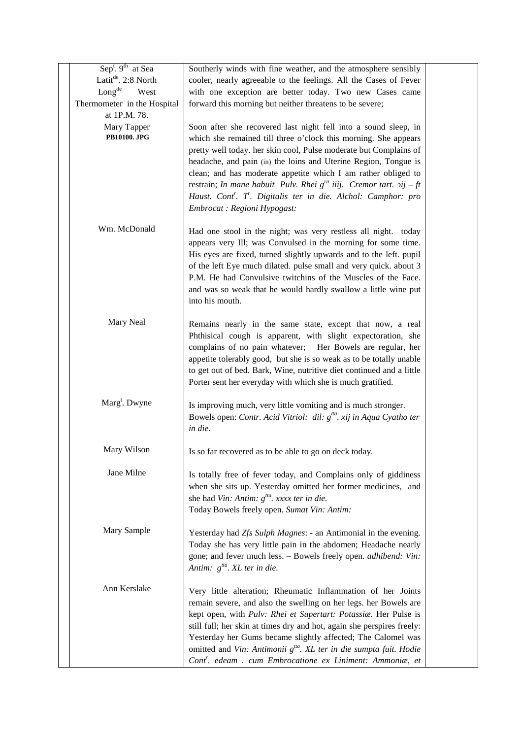| $Sept$ . 9 <sup>th</sup> at Sea | Southerly winds with fine weather, and the atmosphere sensibly                                  |  |
|---------------------------------|-------------------------------------------------------------------------------------------------|--|
| Latit <sup>de</sup> . 2:8 North | cooler, nearly agreeable to the feelings. All the Cases of Fever                                |  |
| Long <sup>de</sup><br>West      | with one exception are better today. Two new Cases came                                         |  |
| Thermometer in the Hospital     | forward this morning but neither threatens to be severe;                                        |  |
| at 1P.M. 78.                    |                                                                                                 |  |
| Mary Tapper                     | Soon after she recovered last night fell into a sound sleep, in                                 |  |
| <b>PB10100. JPG</b>             | which she remained till three o'clock this morning. She appears                                 |  |
|                                 | pretty well today. her skin cool, Pulse moderate but Complains of                               |  |
|                                 | headache, and pain (in) the loins and Uterine Region, Tongue is                                 |  |
|                                 | clean; and has moderate appetite which I am rather obliged to                                   |  |
|                                 | restrain; In mane habuit Pulv. Rhei $g^{ra}$ iiij. Cremor tart. $2ij - ft$                      |  |
|                                 | Haust. Cont <sup>r</sup> . T <sup>r</sup> . Digitalis ter in die. Alchol: Camphor: pro          |  |
|                                 | Embrocat : Regioni Hypogast:                                                                    |  |
|                                 |                                                                                                 |  |
| Wm. McDonald                    | Had one stool in the night; was very restless all night. today                                  |  |
|                                 | appears very Ill; was Convulsed in the morning for some time.                                   |  |
|                                 | His eyes are fixed, turned slightly upwards and to the left. pupil                              |  |
|                                 | of the left Eye much dilated. pulse small and very quick. about 3                               |  |
|                                 | P.M. He had Convulsive twitchins of the Muscles of the Face.                                    |  |
|                                 | and was so weak that he would hardly swallow a little wine put                                  |  |
|                                 | into his mouth.                                                                                 |  |
|                                 |                                                                                                 |  |
| Mary Neal                       | Remains nearly in the same state, except that now, a real                                       |  |
|                                 | Phthisical cough is apparent, with slight expectoration, she                                    |  |
|                                 | complains of no pain whatever; Her Bowels are regular, her                                      |  |
|                                 | appetite tolerably good, but she is so weak as to be totally unable                             |  |
|                                 | to get out of bed. Bark, Wine, nutritive diet continued and a little                            |  |
|                                 | Porter sent her everyday with which she is much gratified.                                      |  |
|                                 |                                                                                                 |  |
| Marg <sup>t</sup> . Dwyne       | Is improving much, very little vomiting and is much stronger.                                   |  |
|                                 | Bowels open: Contr. Acid Vitriol: dil: $g^{tta}$ . xij in Aqua Cyatho ter                       |  |
|                                 | in die.                                                                                         |  |
| Mary Wilson                     |                                                                                                 |  |
|                                 | Is so far recovered as to be able to go on deck today.                                          |  |
| Jane Milne                      |                                                                                                 |  |
|                                 | Is totally free of fever today, and Complains only of giddiness                                 |  |
|                                 | when she sits up. Yesterday omitted her former medicines, and                                   |  |
|                                 | she had Vin: Antim: $g^{tta}$ . xxxx ter in die.<br>Today Bowels freely open. Sumat Vin: Antim: |  |
|                                 |                                                                                                 |  |
| Mary Sample                     | Yesterday had Zfs Sulph Magnes: - an Antimonial in the evening.                                 |  |
|                                 | Today she has very little pain in the abdomen; Headache nearly                                  |  |
|                                 | gone; and fever much less. - Bowels freely open. adhibend: Vin:                                 |  |
|                                 | Antim: $g^{ta}$ . XL ter in die.                                                                |  |
|                                 |                                                                                                 |  |
| Ann Kerslake                    | Very little alteration; Rheumatic Inflammation of her Joints                                    |  |
|                                 | remain severe, and also the swelling on her legs. her Bowels are                                |  |
|                                 | kept open, with Pulv: Rhei et Supertart: Potassiæ. Her Pulse is                                 |  |
|                                 | still full; her skin at times dry and hot, again she perspires freely:                          |  |
|                                 | Yesterday her Gums became slightly affected; The Calomel was                                    |  |
|                                 | omitted and Vin: Antimonii g <sup>tta</sup> . XL ter in die sumpta fuit. Hodie                  |  |
|                                 | Cont'. edeam . cum Embrocatione ex Liniment: Ammoniæ, et                                        |  |
|                                 |                                                                                                 |  |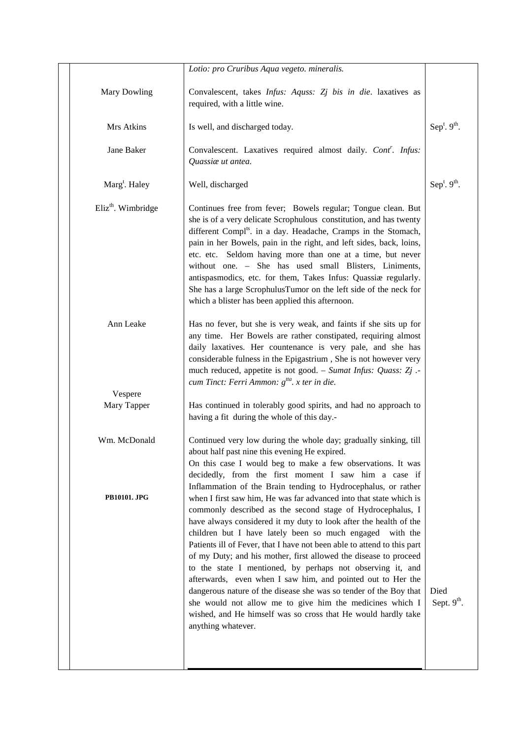|                                | Lotio: pro Cruribus Aqua vegeto. mineralis.                                                                                                                                                                                                                                                                                                                                                                                                                                                                                                                                                                                                                                                                                                                           |                                 |
|--------------------------------|-----------------------------------------------------------------------------------------------------------------------------------------------------------------------------------------------------------------------------------------------------------------------------------------------------------------------------------------------------------------------------------------------------------------------------------------------------------------------------------------------------------------------------------------------------------------------------------------------------------------------------------------------------------------------------------------------------------------------------------------------------------------------|---------------------------------|
| <b>Mary Dowling</b>            | Convalescent, takes Infus: Aquss: Zj bis in die. laxatives as<br>required, with a little wine.                                                                                                                                                                                                                                                                                                                                                                                                                                                                                                                                                                                                                                                                        |                                 |
| Mrs Atkins                     | Is well, and discharged today.                                                                                                                                                                                                                                                                                                                                                                                                                                                                                                                                                                                                                                                                                                                                        | Sep <sup>t</sup> . $9th$ .      |
| Jane Baker                     | Convalescent. Laxatives required almost daily. Cont'. Infus:<br>Quassiæ ut antea.                                                                                                                                                                                                                                                                                                                                                                                                                                                                                                                                                                                                                                                                                     |                                 |
| Marg <sup>t</sup> . Haley      | Well, discharged                                                                                                                                                                                                                                                                                                                                                                                                                                                                                                                                                                                                                                                                                                                                                      | Sep <sup>t</sup> . $9th$ .      |
| Eliz <sup>th</sup> . Wimbridge | Continues free from fever; Bowels regular; Tongue clean. But<br>she is of a very delicate Scrophulous constitution, and has twenty<br>different Compl <sup>ts</sup> . in a day. Headache, Cramps in the Stomach,<br>pain in her Bowels, pain in the right, and left sides, back, loins,<br>etc. etc. Seldom having more than one at a time, but never<br>without one. - She has used small Blisters, Liniments,<br>antispasmodics, etc. for them, Takes Infus: Quassiæ regularly.<br>She has a large ScrophulusTumor on the left side of the neck for<br>which a blister has been applied this afternoon.                                                                                                                                                             |                                 |
| Ann Leake                      | Has no fever, but she is very weak, and faints if she sits up for<br>any time. Her Bowels are rather constipated, requiring almost<br>daily laxatives. Her countenance is very pale, and she has<br>considerable fulness in the Epigastrium, She is not however very<br>much reduced, appetite is not good. - Sumat Infus: Quass: Zj.<br>cum Tinct: Ferri Ammon: $g^{tta}$ . x ter in die.                                                                                                                                                                                                                                                                                                                                                                            |                                 |
| Vespere                        |                                                                                                                                                                                                                                                                                                                                                                                                                                                                                                                                                                                                                                                                                                                                                                       |                                 |
| Mary Tapper                    | Has continued in tolerably good spirits, and had no approach to<br>having a fit during the whole of this day.-                                                                                                                                                                                                                                                                                                                                                                                                                                                                                                                                                                                                                                                        |                                 |
| Wm. McDonald                   | Continued very low during the whole day; gradually sinking, till<br>about half past nine this evening He expired.<br>On this case I would beg to make a few observations. It was<br>decidedly, from the first moment I saw him a case if<br>Inflammation of the Brain tending to Hydrocephalus, or rather                                                                                                                                                                                                                                                                                                                                                                                                                                                             |                                 |
| <b>PB10101. JPG</b>            | when I first saw him, He was far advanced into that state which is<br>commonly described as the second stage of Hydrocephalus, I<br>have always considered it my duty to look after the health of the<br>children but I have lately been so much engaged with the<br>Patients ill of Fever, that I have not been able to attend to this part<br>of my Duty; and his mother, first allowed the disease to proceed<br>to the state I mentioned, by perhaps not observing it, and<br>afterwards, even when I saw him, and pointed out to Her the<br>dangerous nature of the disease she was so tender of the Boy that<br>she would not allow me to give him the medicines which I<br>wished, and He himself was so cross that He would hardly take<br>anything whatever. | Died<br>Sept. 9 <sup>th</sup> . |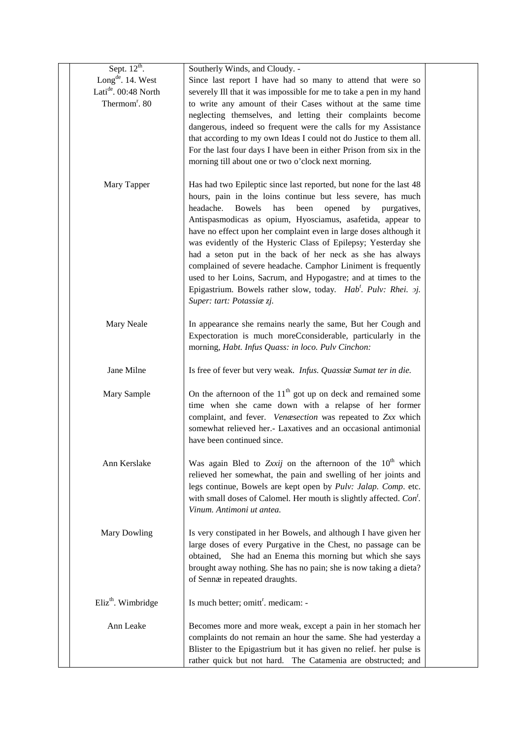| Sept. $12^{th}$ .              | Southerly Winds, and Cloudy. -                                           |  |
|--------------------------------|--------------------------------------------------------------------------|--|
| Long <sup>de</sup> . 14. West  | Since last report I have had so many to attend that were so              |  |
| Latide. 00:48 North            | severely Ill that it was impossible for me to take a pen in my hand      |  |
| Thermom <sup>r</sup> . 80      | to write any amount of their Cases without at the same time              |  |
|                                | neglecting themselves, and letting their complaints become               |  |
|                                | dangerous, indeed so frequent were the calls for my Assistance           |  |
|                                | that according to my own Ideas I could not do Justice to them all.       |  |
|                                | For the last four days I have been in either Prison from six in the      |  |
|                                | morning till about one or two o'clock next morning.                      |  |
|                                |                                                                          |  |
| Mary Tapper                    | Has had two Epileptic since last reported, but none for the last 48      |  |
|                                | hours, pain in the loins continue but less severe, has much              |  |
|                                | headache.<br><b>Bowels</b><br>has<br>been<br>opened<br>by<br>purgatives, |  |
|                                | Antispasmodicas as opium, Hyosciamus, asafetida, appear to               |  |
|                                | have no effect upon her complaint even in large doses although it        |  |
|                                | was evidently of the Hysteric Class of Epilepsy; Yesterday she           |  |
|                                | had a seton put in the back of her neck as she has always                |  |
|                                | complained of severe headache. Camphor Liniment is frequently            |  |
|                                | used to her Loins, Sacrum, and Hypogastre; and at times to the           |  |
|                                | Epigastrium. Bowels rather slow, today. Hab'. Pulv: Rhei. 2j.            |  |
|                                | Super: tart: Potassiæ zj.                                                |  |
|                                |                                                                          |  |
| Mary Neale                     | In appearance she remains nearly the same, But her Cough and             |  |
|                                | Expectoration is much moreCconsiderable, particularly in the             |  |
|                                | morning, Habt. Infus Quass: in loco. Pulv Cinchon:                       |  |
|                                |                                                                          |  |
| Jane Milne                     | Is free of fever but very weak. Infus. Quassiae Sumat ter in die.        |  |
| Mary Sample                    | On the afternoon of the $11th$ got up on deck and remained some          |  |
|                                | time when she came down with a relapse of her former                     |  |
|                                | complaint, and fever. Venæsection was repeated to Zxx which              |  |
|                                | somewhat relieved her.- Laxatives and an occasional antimonial           |  |
|                                | have been continued since.                                               |  |
|                                |                                                                          |  |
| Ann Kerslake                   | Was again Bled to Zxxij on the afternoon of the $10^{th}$ which          |  |
|                                | relieved her somewhat, the pain and swelling of her joints and           |  |
|                                | legs continue, Bowels are kept open by Pulv: Jalap. Comp. etc.           |  |
|                                | with small doses of Calomel. Her mouth is slightly affected. Con'.       |  |
|                                | Vinum. Antimoni ut antea.                                                |  |
|                                |                                                                          |  |
| Mary Dowling                   | Is very constipated in her Bowels, and although I have given her         |  |
|                                | large doses of every Purgative in the Chest, no passage can be           |  |
|                                | She had an Enema this morning but which she says<br>obtained,            |  |
|                                | brought away nothing. She has no pain; she is now taking a dieta?        |  |
|                                | of Sennæ in repeated draughts.                                           |  |
| Eliz <sup>th</sup> . Wimbridge | Is much better; omitt <sup>r</sup> . medicam: -                          |  |
|                                |                                                                          |  |
| Ann Leake                      | Becomes more and more weak, except a pain in her stomach her             |  |
|                                | complaints do not remain an hour the same. She had yesterday a           |  |
|                                | Blister to the Epigastrium but it has given no relief. her pulse is      |  |
|                                | rather quick but not hard. The Catamenia are obstructed; and             |  |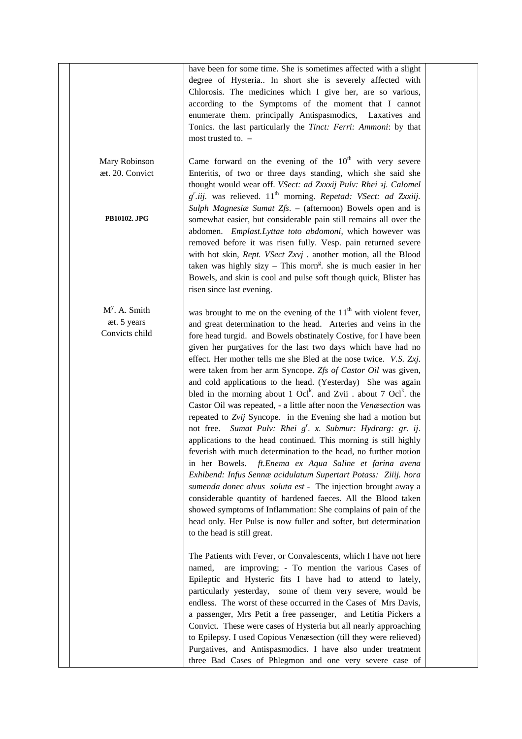|                                                  | have been for some time. She is sometimes affected with a slight<br>degree of Hysteria In short she is severely affected with<br>Chlorosis. The medicines which I give her, are so various,<br>according to the Symptoms of the moment that I cannot<br>enumerate them. principally Antispasmodics,<br>Laxatives and<br>Tonics. the last particularly the Tinct: Ferri: Ammoni: by that<br>most trusted to. -                                                                                                                                                                                                                                                                                                                                                                                                                                                                                                                                                                                                                                                                                                                                                                                                                                                                                                                                                                                                                                                                                                                                                                                                             |  |
|--------------------------------------------------|---------------------------------------------------------------------------------------------------------------------------------------------------------------------------------------------------------------------------------------------------------------------------------------------------------------------------------------------------------------------------------------------------------------------------------------------------------------------------------------------------------------------------------------------------------------------------------------------------------------------------------------------------------------------------------------------------------------------------------------------------------------------------------------------------------------------------------------------------------------------------------------------------------------------------------------------------------------------------------------------------------------------------------------------------------------------------------------------------------------------------------------------------------------------------------------------------------------------------------------------------------------------------------------------------------------------------------------------------------------------------------------------------------------------------------------------------------------------------------------------------------------------------------------------------------------------------------------------------------------------------|--|
| Mary Robinson<br>æt. 20. Convict                 | Came forward on the evening of the $10th$ with very severe<br>Enteritis, of two or three days standing, which she said she<br>thought would wear off. VSect: ad Zxxxij Pulv: Rhei 2j. Calomel<br>$g'$ .iij. was relieved. 11 <sup>th</sup> morning. Repetad: VSect: ad Zxxiij.<br>Sulph Magnesia Sumat Zfs. - (afternoon) Bowels open and is                                                                                                                                                                                                                                                                                                                                                                                                                                                                                                                                                                                                                                                                                                                                                                                                                                                                                                                                                                                                                                                                                                                                                                                                                                                                              |  |
| <b>PB10102. JPG</b>                              | somewhat easier, but considerable pain still remains all over the<br>abdomen. Emplast.Lyttae toto abdomoni, which however was<br>removed before it was risen fully. Vesp. pain returned severe<br>with hot skin, Rept. VSect Zxvj . another motion, all the Blood<br>taken was highly sizy - This morn <sup>g</sup> , she is much easier in her<br>Bowels, and skin is cool and pulse soft though quick, Blister has<br>risen since last evening.                                                                                                                                                                                                                                                                                                                                                                                                                                                                                                                                                                                                                                                                                                                                                                                                                                                                                                                                                                                                                                                                                                                                                                         |  |
| $My$ . A. Smith<br>æt. 5 years<br>Convicts child | was brought to me on the evening of the $11th$ with violent fever,<br>and great determination to the head. Arteries and veins in the<br>fore head turgid. and Bowels obstinately Costive, for I have been<br>given her purgatives for the last two days which have had no<br>effect. Her mother tells me she Bled at the nose twice. V.S. Zxj.<br>were taken from her arm Syncope. Zfs of Castor Oil was given,<br>and cold applications to the head. (Yesterday) She was again<br>bled in the morning about 1 Ocl <sup>k</sup> . and Zvii . about 7 Ocl <sup>k</sup> . the<br>Castor Oil was repeated, - a little after noon the Venæsection was<br>repeated to Zvij Syncope. in the Evening she had a motion but<br>not free. Sumat Pulv: Rhei g'. x. Submur: Hydrarg: gr. ij.<br>applications to the head continued. This morning is still highly<br>feverish with much determination to the head, no further motion<br>in her Bowels. ft. Enema ex Aqua Saline et farina avena<br>Exhibend: Infus Sennæ acidulatum Supertart Potass: Ziiij. hora<br>sumenda donec alvus soluta est - The injection brought away a<br>considerable quantity of hardened faeces. All the Blood taken<br>showed symptoms of Inflammation: She complains of pain of the<br>head only. Her Pulse is now fuller and softer, but determination<br>to the head is still great.<br>The Patients with Fever, or Convalescents, which I have not here<br>named,<br>are improving; - To mention the various Cases of<br>Epileptic and Hysteric fits I have had to attend to lately,<br>particularly yesterday, some of them very severe, would be |  |
|                                                  | endless. The worst of these occurred in the Cases of Mrs Davis,<br>a passenger, Mrs Petit a free passenger, and Letitia Pickers a<br>Convict. These were cases of Hysteria but all nearly approaching<br>to Epilepsy. I used Copious Venæsection (till they were relieved)<br>Purgatives, and Antispasmodics. I have also under treatment<br>three Bad Cases of Phlegmon and one very severe case of                                                                                                                                                                                                                                                                                                                                                                                                                                                                                                                                                                                                                                                                                                                                                                                                                                                                                                                                                                                                                                                                                                                                                                                                                      |  |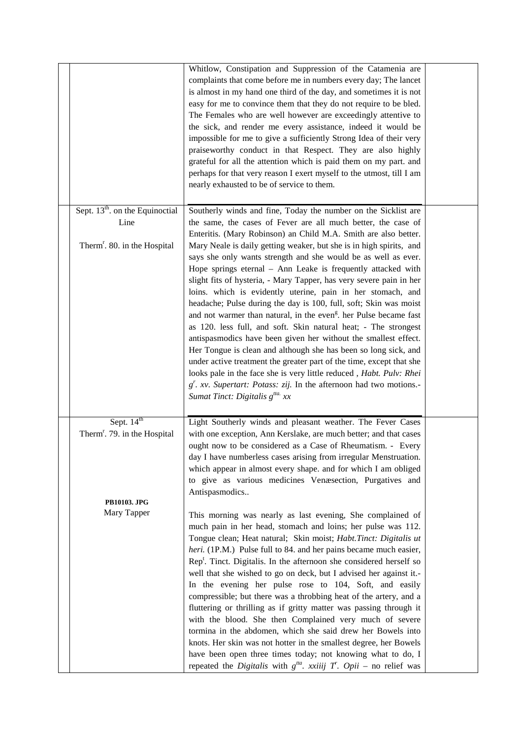|                                          | Whitlow, Constipation and Suppression of the Catamenia are                            |  |
|------------------------------------------|---------------------------------------------------------------------------------------|--|
|                                          | complaints that come before me in numbers every day; The lancet                       |  |
|                                          | is almost in my hand one third of the day, and sometimes it is not                    |  |
|                                          | easy for me to convince them that they do not require to be bled.                     |  |
|                                          | The Females who are well however are exceedingly attentive to                         |  |
|                                          |                                                                                       |  |
|                                          | the sick, and render me every assistance, indeed it would be                          |  |
|                                          | impossible for me to give a sufficiently Strong Idea of their very                    |  |
|                                          | praiseworthy conduct in that Respect. They are also highly                            |  |
|                                          | grateful for all the attention which is paid them on my part. and                     |  |
|                                          | perhaps for that very reason I exert myself to the utmost, till I am                  |  |
|                                          | nearly exhausted to be of service to them.                                            |  |
|                                          |                                                                                       |  |
| Sept. $13th$ . on the Equinoctial        | Southerly winds and fine, Today the number on the Sicklist are                        |  |
| Line                                     | the same, the cases of Fever are all much better, the case of                         |  |
|                                          | Enteritis. (Mary Robinson) an Child M.A. Smith are also better.                       |  |
|                                          |                                                                                       |  |
| Therm <sup>r</sup> . 80. in the Hospital | Mary Neale is daily getting weaker, but she is in high spirits, and                   |  |
|                                          | says she only wants strength and she would be as well as ever.                        |  |
|                                          | Hope springs eternal - Ann Leake is frequently attacked with                          |  |
|                                          | slight fits of hysteria, - Mary Tapper, has very severe pain in her                   |  |
|                                          | loins. which is evidently uterine, pain in her stomach, and                           |  |
|                                          | headache; Pulse during the day is 100, full, soft; Skin was moist                     |  |
|                                          | and not warmer than natural, in the even <sup>g</sup> , her Pulse became fast         |  |
|                                          | as 120. less full, and soft. Skin natural heat; - The strongest                       |  |
|                                          | antispasmodics have been given her without the smallest effect.                       |  |
|                                          | Her Tongue is clean and although she has been so long sick, and                       |  |
|                                          | under active treatment the greater part of the time, except that she                  |  |
|                                          | looks pale in the face she is very little reduced, Habt. Pulv: Rhei                   |  |
|                                          | $g'$ . xv. Supertart: Potass: zij. In the afternoon had two motions.-                 |  |
|                                          | Sumat Tinct: Digitalis $g^{tta}$ xx                                                   |  |
|                                          |                                                                                       |  |
|                                          |                                                                                       |  |
| Sept. $14th$                             | Light Southerly winds and pleasant weather. The Fever Cases                           |  |
| Therm <sup>r</sup> . 79. in the Hospital | with one exception, Ann Kerslake, are much better; and that cases                     |  |
|                                          | ought now to be considered as a Case of Rheumatism. - Every                           |  |
|                                          | day I have numberless cases arising from irregular Menstruation.                      |  |
|                                          | which appear in almost every shape. and for which I am obliged                        |  |
|                                          | to give as various medicines Venæsection, Purgatives and                              |  |
|                                          | Antispasmodics                                                                        |  |
| PB10103. JPG                             |                                                                                       |  |
| Mary Tapper                              | This morning was nearly as last evening, She complained of                            |  |
|                                          | much pain in her head, stomach and loins; her pulse was 112.                          |  |
|                                          | Tongue clean; Heat natural; Skin moist; Habt.Tinct: Digitalis ut                      |  |
|                                          |                                                                                       |  |
|                                          | heri. (1P.M.) Pulse full to 84. and her pains became much easier,                     |  |
|                                          | $\operatorname{Rep}^t$ . Tinct. Digitalis. In the afternoon she considered herself so |  |
|                                          | well that she wished to go on deck, but I advised her against it.-                    |  |
|                                          | In the evening her pulse rose to 104, Soft, and easily                                |  |
|                                          | compressible; but there was a throbbing heat of the artery, and a                     |  |
|                                          | fluttering or thrilling as if gritty matter was passing through it                    |  |
|                                          | with the blood. She then Complained very much of severe                               |  |
|                                          | tormina in the abdomen, which she said drew her Bowels into                           |  |
|                                          | knots. Her skin was not hotter in the smallest degree, her Bowels                     |  |
|                                          | have been open three times today; not knowing what to do, I                           |  |
|                                          | repeated the Digitalis with $g^{tta}$ . xxiiij T'. Opii – no relief was               |  |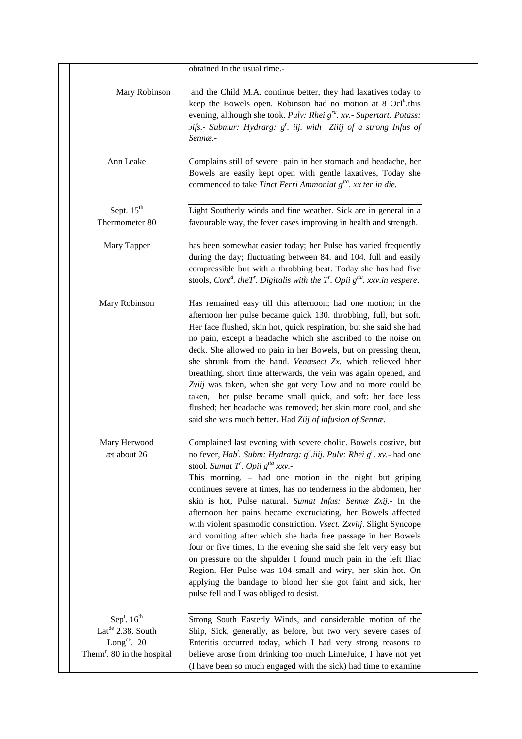|                                         | obtained in the usual time.-                                                                                                                                                                                                                                                                                                                                                                                                                                                                                                                                                                                                                                                                                                                                                                                                                                                                                              |  |
|-----------------------------------------|---------------------------------------------------------------------------------------------------------------------------------------------------------------------------------------------------------------------------------------------------------------------------------------------------------------------------------------------------------------------------------------------------------------------------------------------------------------------------------------------------------------------------------------------------------------------------------------------------------------------------------------------------------------------------------------------------------------------------------------------------------------------------------------------------------------------------------------------------------------------------------------------------------------------------|--|
| Mary Robinson                           | and the Child M.A. continue better, they had laxatives today to<br>keep the Bowels open. Robinson had no motion at 8 Ocl <sup>k</sup> .this<br>evening, although she took. Pulv: Rhei g <sup>ra</sup> . xv.- Supertart: Potass:<br><i>Difs.</i> - Submur: Hydrarg: g'. iij. with Ziiij of a strong Infus of<br>Sennæ.-                                                                                                                                                                                                                                                                                                                                                                                                                                                                                                                                                                                                    |  |
| Ann Leake                               | Complains still of severe pain in her stomach and headache, her<br>Bowels are easily kept open with gentle laxatives, Today she<br>commenced to take Tinct Ferri Ammoniat g <sup>tta</sup> . xx ter in die.                                                                                                                                                                                                                                                                                                                                                                                                                                                                                                                                                                                                                                                                                                               |  |
| Sept. $15th$                            | Light Southerly winds and fine weather. Sick are in general in a                                                                                                                                                                                                                                                                                                                                                                                                                                                                                                                                                                                                                                                                                                                                                                                                                                                          |  |
| Thermometer 80                          | favourable way, the fever cases improving in health and strength.                                                                                                                                                                                                                                                                                                                                                                                                                                                                                                                                                                                                                                                                                                                                                                                                                                                         |  |
| Mary Tapper                             | has been somewhat easier today; her Pulse has varied frequently<br>during the day; fluctuating between 84. and 104. full and easily<br>compressible but with a throbbing beat. Today she has had five<br>stools, Cont <sup>d</sup> . theT. Digitalis with the T <sup>r</sup> . Opii $g^{tta}$ . xxv.in vespere.                                                                                                                                                                                                                                                                                                                                                                                                                                                                                                                                                                                                           |  |
| Mary Robinson                           | Has remained easy till this afternoon; had one motion; in the<br>afternoon her pulse became quick 130. throbbing, full, but soft.<br>Her face flushed, skin hot, quick respiration, but she said she had<br>no pain, except a headache which she ascribed to the noise on<br>deck. She allowed no pain in her Bowels, but on pressing them,<br>she shrunk from the hand. Venæsect Zx. which relieved hher<br>breathing, short time afterwards, the vein was again opened, and<br>Zviij was taken, when she got very Low and no more could be<br>taken, her pulse became small quick, and soft: her face less<br>flushed; her headache was removed; her skin more cool, and she<br>said she was much better. Had Ziij of infusion of Sennæ.                                                                                                                                                                                |  |
| Mary Herwood<br>æt about 26             | Complained last evening with severe cholic. Bowels costive, but<br>no fever, Hab <sup>t</sup> . Subm: Hydrarg: $g'$ .iiij. Pulv: Rhei $g'$ . xv. - had one<br>stool. Sumat T. Opii $g^{ta}$ xxv.-<br>This morning. – had one motion in the night but griping<br>continues severe at times, has no tenderness in the abdomen, her<br>skin is hot, Pulse natural. Sumat Infus: Sennæ Zxij.- In the<br>afternoon her pains became excruciating, her Bowels affected<br>with violent spasmodic constriction. Vsect. Zxviij. Slight Syncope<br>and vomiting after which she hada free passage in her Bowels<br>four or five times, In the evening she said she felt very easy but<br>on pressure on the shpulder I found much pain in the left Iliac<br>Region. Her Pulse was 104 small and wiry, her skin hot. On<br>applying the bandage to blood her she got faint and sick, her<br>pulse fell and I was obliged to desist. |  |
| Sep <sup>t</sup> . $16^{th}$            | Strong South Easterly Winds, and considerable motion of the                                                                                                                                                                                                                                                                                                                                                                                                                                                                                                                                                                                                                                                                                                                                                                                                                                                               |  |
| Lat <sup>de</sup> 2.38. South           | Ship, Sick, generally, as before, but two very severe cases of                                                                                                                                                                                                                                                                                                                                                                                                                                                                                                                                                                                                                                                                                                                                                                                                                                                            |  |
| Long $de$ . 20                          | Enteritis occurred today, which I had very strong reasons to                                                                                                                                                                                                                                                                                                                                                                                                                                                                                                                                                                                                                                                                                                                                                                                                                                                              |  |
| Therm <sup>r</sup> . 80 in the hospital | believe arose from drinking too much LimeJuice, I have not yet                                                                                                                                                                                                                                                                                                                                                                                                                                                                                                                                                                                                                                                                                                                                                                                                                                                            |  |
|                                         | (I have been so much engaged with the sick) had time to examine                                                                                                                                                                                                                                                                                                                                                                                                                                                                                                                                                                                                                                                                                                                                                                                                                                                           |  |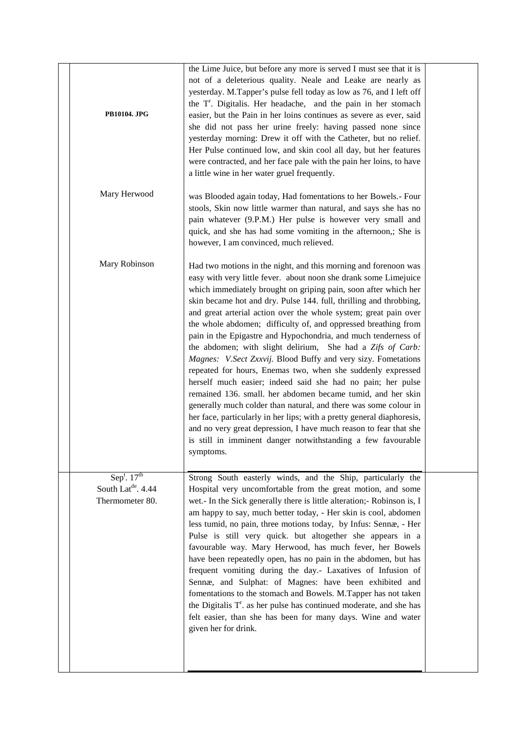|                                | the Lime Juice, but before any more is served I must see that it is                                                                               |  |
|--------------------------------|---------------------------------------------------------------------------------------------------------------------------------------------------|--|
|                                | not of a deleterious quality. Neale and Leake are nearly as<br>yesterday. M.Tapper's pulse fell today as low as 76, and I left off                |  |
|                                | the T <sup>r</sup> . Digitalis. Her headache, and the pain in her stomach                                                                         |  |
| PB10104. JPG                   | easier, but the Pain in her loins continues as severe as ever, said                                                                               |  |
|                                | she did not pass her urine freely: having passed none since                                                                                       |  |
|                                | yesterday morning: Drew it off with the Catheter, but no relief.                                                                                  |  |
|                                | Her Pulse continued low, and skin cool all day, but her features                                                                                  |  |
|                                | were contracted, and her face pale with the pain her loins, to have                                                                               |  |
|                                | a little wine in her water gruel frequently.                                                                                                      |  |
| Mary Herwood                   | was Blooded again today, Had fomentations to her Bowels.- Four                                                                                    |  |
|                                | stools, Skin now little warmer than natural, and says she has no                                                                                  |  |
|                                | pain whatever (9.P.M.) Her pulse is however very small and                                                                                        |  |
|                                | quick, and she has had some vomiting in the afternoon,; She is                                                                                    |  |
|                                | however, I am convinced, much relieved.                                                                                                           |  |
| Mary Robinson                  | Had two motions in the night, and this morning and forenoon was                                                                                   |  |
|                                | easy with very little fever. about noon she drank some Limejuice                                                                                  |  |
|                                | which immediately brought on griping pain, soon after which her                                                                                   |  |
|                                | skin became hot and dry. Pulse 144. full, thrilling and throbbing,                                                                                |  |
|                                | and great arterial action over the whole system; great pain over                                                                                  |  |
|                                | the whole abdomen; difficulty of, and oppressed breathing from<br>pain in the Epigastre and Hypochondria, and much tenderness of                  |  |
|                                | the abdomen; with slight delirium, She had a Zifs of Carb:                                                                                        |  |
|                                | Magnes: V.Sect Zxxvij. Blood Buffy and very sizy. Fometations                                                                                     |  |
|                                | repeated for hours, Enemas two, when she suddenly expressed                                                                                       |  |
|                                | herself much easier; indeed said she had no pain; her pulse                                                                                       |  |
|                                | remained 136. small. her abdomen became tumid, and her skin                                                                                       |  |
|                                | generally much colder than natural, and there was some colour in<br>her face, particularly in her lips; with a pretty general diaphoresis,        |  |
|                                | and no very great depression, I have much reason to fear that she                                                                                 |  |
|                                | is still in imminent danger notwithstanding a few favourable                                                                                      |  |
|                                | symptoms.                                                                                                                                         |  |
|                                |                                                                                                                                                   |  |
| $Sep^t$ . 17 <sup>th</sup>     | Strong South easterly winds, and the Ship, particularly the                                                                                       |  |
| South Lat <sup>de</sup> . 4.44 | Hospital very uncomfortable from the great motion, and some                                                                                       |  |
| Thermometer 80.                | wet.- In the Sick generally there is little alteration;- Robinson is, I<br>am happy to say, much better today, - Her skin is cool, abdomen        |  |
|                                | less tumid, no pain, three motions today, by Infus: Sennæ, - Her                                                                                  |  |
|                                | Pulse is still very quick. but altogether she appears in a                                                                                        |  |
|                                | favourable way. Mary Herwood, has much fever, her Bowels                                                                                          |  |
|                                | have been repeatedly open, has no pain in the abdomen, but has                                                                                    |  |
|                                | frequent vomiting during the day.- Laxatives of Infusion of                                                                                       |  |
|                                | Sennæ, and Sulphat: of Magnes: have been exhibited and                                                                                            |  |
|                                | fomentations to the stomach and Bowels. M.Tapper has not taken<br>the Digitalis T <sup>r</sup> . as her pulse has continued moderate, and she has |  |
|                                | felt easier, than she has been for many days. Wine and water                                                                                      |  |
|                                | given her for drink.                                                                                                                              |  |
|                                |                                                                                                                                                   |  |
|                                |                                                                                                                                                   |  |
|                                |                                                                                                                                                   |  |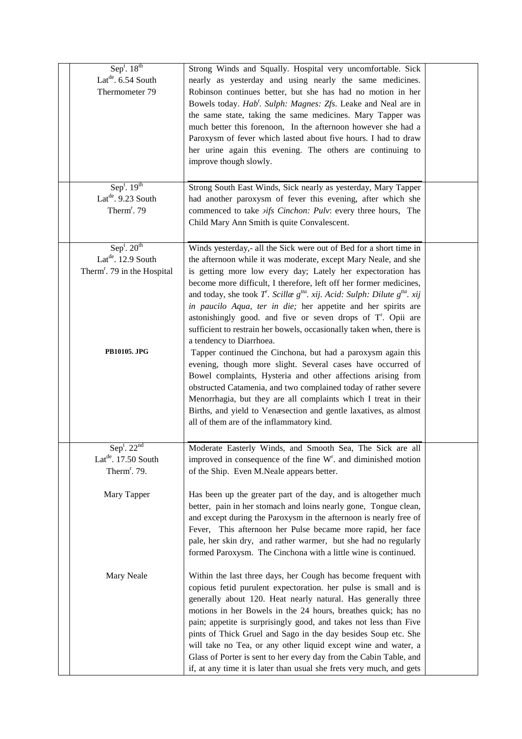| Sep <sup>t</sup> . $18^{th}$            |                                                                                     |  |
|-----------------------------------------|-------------------------------------------------------------------------------------|--|
|                                         | Strong Winds and Squally. Hospital very uncomfortable. Sick                         |  |
| Lat <sup>de</sup> . 6.54 South          | nearly as yesterday and using nearly the same medicines.                            |  |
| Thermometer 79                          | Robinson continues better, but she has had no motion in her                         |  |
|                                         | Bowels today. Hab'. Sulph: Magnes: Zfs. Leake and Neal are in                       |  |
|                                         | the same state, taking the same medicines. Mary Tapper was                          |  |
|                                         | much better this forenoon, In the afternoon however she had a                       |  |
|                                         | Paroxysm of fever which lasted about five hours. I had to draw                      |  |
|                                         | her urine again this evening. The others are continuing to                          |  |
|                                         | improve though slowly.                                                              |  |
|                                         |                                                                                     |  |
| $Sep^t$ . 19 <sup>th</sup>              | Strong South East Winds, Sick nearly as yesterday, Mary Tapper                      |  |
|                                         |                                                                                     |  |
| Lat <sup>de</sup> . 9.23 South          | had another paroxysm of fever this evening, after which she                         |  |
| Therm <sup>r</sup> . 79                 | commenced to take <i>sifs Cinchon: Pulv: every three hours</i> , The                |  |
|                                         | Child Mary Ann Smith is quite Convalescent.                                         |  |
|                                         |                                                                                     |  |
| Sep <sup>t</sup> . $20th$               | Winds yesterday,- all the Sick were out of Bed for a short time in                  |  |
| Lat <sup>de</sup> . 12.9 South          | the afternoon while it was moderate, except Mary Neale, and she                     |  |
| Therm <sup>r</sup> . 79 in the Hospital | is getting more low every day; Lately her expectoration has                         |  |
|                                         | become more difficult, I therefore, left off her former medicines,                  |  |
|                                         | and today, she took T. Scillae $g^{tta}$ . xij. Acid: Sulph: Dilute $g^{tta}$ . xij |  |
|                                         | in paucilo Aqua, ter in die; her appetite and her spirits are                       |  |
|                                         | astonishingly good. and five or seven drops of T <sup>r</sup> . Opii are            |  |
|                                         | sufficient to restrain her bowels, occasionally taken when, there is                |  |
|                                         | a tendency to Diarrhoea.                                                            |  |
| <b>PB10105. JPG</b>                     |                                                                                     |  |
|                                         | Tapper continued the Cinchona, but had a paroxysm again this                        |  |
|                                         | evening, though more slight. Several cases have occurred of                         |  |
|                                         | Bowel complaints, Hysteria and other affections arising from                        |  |
|                                         | obstructed Catamenia, and two complained today of rather severe                     |  |
|                                         | Menorrhagia, but they are all complaints which I treat in their                     |  |
|                                         | Births, and yield to Venæsection and gentle laxatives, as almost                    |  |
|                                         | all of them are of the inflammatory kind.                                           |  |
|                                         |                                                                                     |  |
| Sep <sup>t</sup> . $22nd$               | Moderate Easterly Winds, and Smooth Sea, The Sick are all                           |  |
| Lat <sup>de</sup> . 17.50 South         | improved in consequence of the fine W <sup>r</sup> . and diminished motion          |  |
| Therm <sup>r</sup> . 79.                | of the Ship. Even M.Neale appears better.                                           |  |
|                                         |                                                                                     |  |
| Mary Tapper                             | Has been up the greater part of the day, and is altogether much                     |  |
|                                         | better, pain in her stomach and loins nearly gone, Tongue clean,                    |  |
|                                         | and except during the Paroxysm in the afternoon is nearly free of                   |  |
|                                         |                                                                                     |  |
|                                         | Fever, This afternoon her Pulse became more rapid, her face                         |  |
|                                         | pale, her skin dry, and rather warmer, but she had no regularly                     |  |
|                                         | formed Paroxysm. The Cinchona with a little wine is continued.                      |  |
|                                         |                                                                                     |  |
| Mary Neale                              | Within the last three days, her Cough has become frequent with                      |  |
|                                         | copious fetid purulent expectoration. her pulse is small and is                     |  |
|                                         | generally about 120. Heat nearly natural. Has generally three                       |  |
|                                         | motions in her Bowels in the 24 hours, breathes quick; has no                       |  |
|                                         | pain; appetite is surprisingly good, and takes not less than Five                   |  |
|                                         | pints of Thick Gruel and Sago in the day besides Soup etc. She                      |  |
|                                         | will take no Tea, or any other liquid except wine and water, a                      |  |
|                                         | Glass of Porter is sent to her every day from the Cabin Table, and                  |  |
|                                         | if, at any time it is later than usual she frets very much, and gets                |  |
|                                         |                                                                                     |  |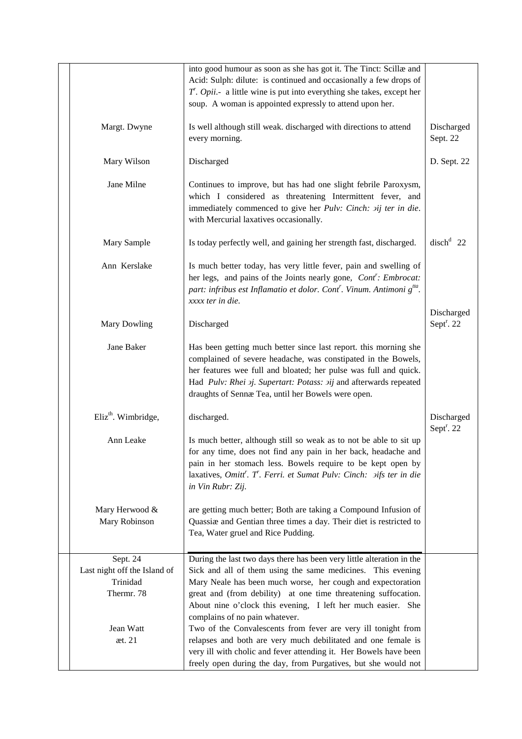|                                                                    | into good humour as soon as she has got it. The Tinct: Scillæ and<br>Acid: Sulph: dilute: is continued and occasionally a few drops of<br>$T.$ <i>Opii.</i> - a little wine is put into everything she takes, except her<br>soup. A woman is appointed expressly to attend upon her.                                                                                    |                                      |
|--------------------------------------------------------------------|-------------------------------------------------------------------------------------------------------------------------------------------------------------------------------------------------------------------------------------------------------------------------------------------------------------------------------------------------------------------------|--------------------------------------|
| Margt. Dwyne                                                       | Is well although still weak. discharged with directions to attend<br>every morning.                                                                                                                                                                                                                                                                                     | Discharged<br>Sept. 22               |
| Mary Wilson                                                        | Discharged                                                                                                                                                                                                                                                                                                                                                              | D. Sept. 22                          |
| Jane Milne                                                         | Continues to improve, but has had one slight febrile Paroxysm,<br>which I considered as threatening Intermittent fever, and<br>immediately commenced to give her Pulv: Cinch: aij ter in die.<br>with Mercurial laxatives occasionally.                                                                                                                                 |                                      |
| Mary Sample                                                        | Is today perfectly well, and gaining her strength fast, discharged.                                                                                                                                                                                                                                                                                                     | $dischd$ 22                          |
| Ann Kerslake                                                       | Is much better today, has very little fever, pain and swelling of<br>her legs, and pains of the Joints nearly gone, Cont': Embrocat:<br>part: infribus est Inflamatio et dolor. Cont <sup>r</sup> . Vinum. Antimoni g <sup>tta</sup> .<br>xxxx ter in die.                                                                                                              |                                      |
| <b>Mary Dowling</b>                                                | Discharged                                                                                                                                                                                                                                                                                                                                                              | Discharged<br>Sept <sup>r</sup> . 22 |
| Jane Baker                                                         | Has been getting much better since last report. this morning she<br>complained of severe headache, was constipated in the Bowels,<br>her features wee full and bloated; her pulse was full and quick.<br>Had Pulv: Rhei aj. Supertart: Potass: aij and afterwards repeated<br>draughts of Sennæ Tea, until her Bowels were open.                                        |                                      |
| Eliz <sup>th</sup> . Wimbridge,                                    | discharged.                                                                                                                                                                                                                                                                                                                                                             | Discharged<br>Sept $r$ . 22          |
| Ann Leake                                                          | Is much better, although still so weak as to not be able to sit up<br>for any time, does not find any pain in her back, headache and<br>pain in her stomach less. Bowels require to be kept open by<br>laxatives, Omitt'. T'. Ferri. et Sumat Pulv: Cinch: <i>aifs ter in die</i><br>in Vin Rubr: Zij.                                                                  |                                      |
| Mary Herwood &<br>Mary Robinson                                    | are getting much better; Both are taking a Compound Infusion of<br>Quassiæ and Gentian three times a day. Their diet is restricted to<br>Tea, Water gruel and Rice Pudding.                                                                                                                                                                                             |                                      |
| Sept. 24<br>Last night off the Island of<br>Trinidad<br>Thermr. 78 | During the last two days there has been very little alteration in the<br>Sick and all of them using the same medicines. This evening<br>Mary Neale has been much worse, her cough and expectoration<br>great and (from debility) at one time threatening suffocation.<br>About nine o'clock this evening, I left her much easier. She<br>complains of no pain whatever. |                                      |
| Jean Watt<br>æt. 21                                                | Two of the Convalescents from fever are very ill tonight from<br>relapses and both are very much debilitated and one female is<br>very ill with cholic and fever attending it. Her Bowels have been<br>freely open during the day, from Purgatives, but she would not                                                                                                   |                                      |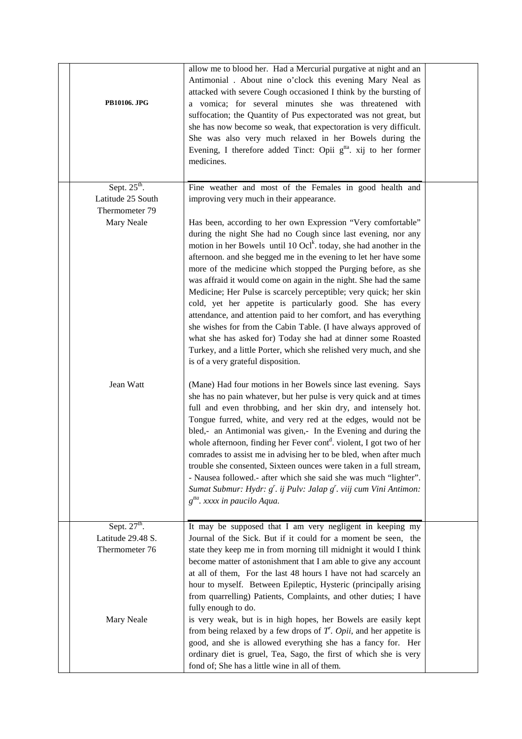| PB10106. JPG                                                    | allow me to blood her. Had a Mercurial purgative at night and an<br>Antimonial . About nine o'clock this evening Mary Neal as<br>attacked with severe Cough occasioned I think by the bursting of<br>a vomica; for several minutes she was threatened with<br>suffocation; the Quantity of Pus expectorated was not great, but<br>she has now become so weak, that expectoration is very difficult.<br>She was also very much relaxed in her Bowels during the<br>Evening, I therefore added Tinct: Opii $gtha$ . xij to her former<br>medicines.                                                                                                                                                                                                                                                                                                                               |  |
|-----------------------------------------------------------------|---------------------------------------------------------------------------------------------------------------------------------------------------------------------------------------------------------------------------------------------------------------------------------------------------------------------------------------------------------------------------------------------------------------------------------------------------------------------------------------------------------------------------------------------------------------------------------------------------------------------------------------------------------------------------------------------------------------------------------------------------------------------------------------------------------------------------------------------------------------------------------|--|
| Sept. $25th$ .                                                  | Fine weather and most of the Females in good health and                                                                                                                                                                                                                                                                                                                                                                                                                                                                                                                                                                                                                                                                                                                                                                                                                         |  |
| Latitude 25 South<br>Thermometer 79                             | improving very much in their appearance.                                                                                                                                                                                                                                                                                                                                                                                                                                                                                                                                                                                                                                                                                                                                                                                                                                        |  |
| Mary Neale                                                      | Has been, according to her own Expression "Very comfortable"<br>during the night She had no Cough since last evening, nor any<br>motion in her Bowels until $10 \text{ Ocl}^k$ . today, she had another in the<br>afternoon. and she begged me in the evening to let her have some<br>more of the medicine which stopped the Purging before, as she<br>was affraid it would come on again in the night. She had the same<br>Medicine; Her Pulse is scarcely perceptible; very quick; her skin<br>cold, yet her appetite is particularly good. She has every<br>attendance, and attention paid to her comfort, and has everything<br>she wishes for from the Cabin Table. (I have always approved of<br>what she has asked for) Today she had at dinner some Roasted<br>Turkey, and a little Porter, which she relished very much, and she<br>is of a very grateful disposition. |  |
| Jean Watt                                                       | (Mane) Had four motions in her Bowels since last evening. Says<br>she has no pain whatever, but her pulse is very quick and at times<br>full and even throbbing, and her skin dry, and intensely hot.<br>Tongue furred, white, and very red at the edges, would not be<br>bled,- an Antimonial was given,- In the Evening and during the<br>whole afternoon, finding her Fever cont <sup>d</sup> . violent, I got two of her<br>comrades to assist me in advising her to be bled, when after much<br>trouble she consented, Sixteen ounces were taken in a full stream,<br>- Nausea followed.- after which she said she was much "lighter".<br>Sumat Submur: Hydr: $g'$ . ij Pulv: Jalap $g'$ . viij cum Vini Antimon:<br>$g^{tta}$ . xxxx in paucilo Aqua.                                                                                                                     |  |
| Sept. 27 <sup>th</sup> .<br>Latitude 29.48 S.<br>Thermometer 76 | It may be supposed that I am very negligent in keeping my<br>Journal of the Sick. But if it could for a moment be seen, the<br>state they keep me in from morning till midnight it would I think<br>become matter of astonishment that I am able to give any account<br>at all of them, For the last 48 hours I have not had scarcely an<br>hour to myself. Between Epileptic, Hysteric (principally arising<br>from quarrelling) Patients, Complaints, and other duties; I have<br>fully enough to do.                                                                                                                                                                                                                                                                                                                                                                         |  |
| Mary Neale                                                      | is very weak, but is in high hopes, her Bowels are easily kept<br>from being relaxed by a few drops of $T$ . Opii, and her appetite is<br>good, and she is allowed everything she has a fancy for. Her<br>ordinary diet is gruel, Tea, Sago, the first of which she is very<br>fond of; She has a little wine in all of them.                                                                                                                                                                                                                                                                                                                                                                                                                                                                                                                                                   |  |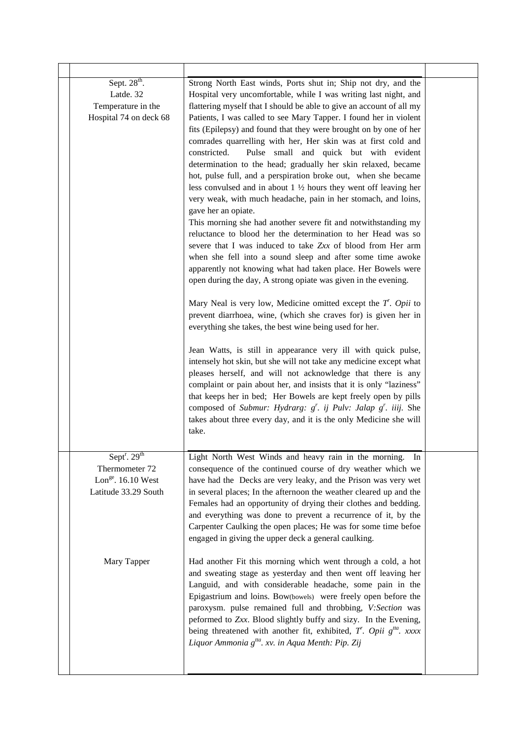| Sept. $28th$ .<br>Latde. 32<br>Temperature in the<br>Hospital 74 on deck 68                                           | Strong North East winds, Ports shut in; Ship not dry, and the<br>Hospital very uncomfortable, while I was writing last night, and<br>flattering myself that I should be able to give an account of all my<br>Patients, I was called to see Mary Tapper. I found her in violent<br>fits (Epilepsy) and found that they were brought on by one of her<br>comrades quarrelling with her, Her skin was at first cold and<br>constricted.<br>Pulse small and quick but with evident<br>determination to the head; gradually her skin relaxed, became<br>hot, pulse full, and a perspiration broke out, when she became<br>less convulsed and in about $1\frac{1}{2}$ hours they went off leaving her<br>very weak, with much headache, pain in her stomach, and loins,<br>gave her an opiate.<br>This morning she had another severe fit and notwithstanding my<br>reluctance to blood her the determination to her Head was so<br>severe that I was induced to take Zxx of blood from Her arm<br>when she fell into a sound sleep and after some time awoke<br>apparently not knowing what had taken place. Her Bowels were<br>open during the day, A strong opiate was given in the evening.<br>Mary Neal is very low, Medicine omitted except the $T$ . Opii to<br>prevent diarrhoea, wine, (which she craves for) is given her in<br>everything she takes, the best wine being used for her.<br>Jean Watts, is still in appearance very ill with quick pulse,<br>intensely hot skin, but she will not take any medicine except what<br>pleases herself, and will not acknowledge that there is any<br>complaint or pain about her, and insists that it is only "laziness"<br>that keeps her in bed; Her Bowels are kept freely open by pills<br>composed of Submur: Hydrarg: $g^r$ . ij Pulv: Jalap $g^r$ . iiij. She<br>takes about three every day, and it is the only Medicine she will<br>take. |  |
|-----------------------------------------------------------------------------------------------------------------------|----------------------------------------------------------------------------------------------------------------------------------------------------------------------------------------------------------------------------------------------------------------------------------------------------------------------------------------------------------------------------------------------------------------------------------------------------------------------------------------------------------------------------------------------------------------------------------------------------------------------------------------------------------------------------------------------------------------------------------------------------------------------------------------------------------------------------------------------------------------------------------------------------------------------------------------------------------------------------------------------------------------------------------------------------------------------------------------------------------------------------------------------------------------------------------------------------------------------------------------------------------------------------------------------------------------------------------------------------------------------------------------------------------------------------------------------------------------------------------------------------------------------------------------------------------------------------------------------------------------------------------------------------------------------------------------------------------------------------------------------------------------------------------------------------------------------------------------------------------------------------------------------------|--|
| Sept <sup>r</sup> . $29th$<br>Thermometer 72<br>Lon <sup>ge</sup> . 16.10 West<br>Latitude 33.29 South<br>Mary Tapper | Light North West Winds and heavy rain in the morning.<br>In<br>consequence of the continued course of dry weather which we<br>have had the Decks are very leaky, and the Prison was very wet<br>in several places; In the afternoon the weather cleared up and the<br>Females had an opportunity of drying their clothes and bedding.<br>and everything was done to prevent a recurrence of it, by the<br>Carpenter Caulking the open places; He was for some time befoe<br>engaged in giving the upper deck a general caulking.<br>Had another Fit this morning which went through a cold, a hot<br>and sweating stage as yesterday and then went off leaving her<br>Languid, and with considerable headache, some pain in the<br>Epigastrium and loins. Bow(bowels) were freely open before the<br>paroxysm. pulse remained full and throbbing, V:Section was<br>peformed to Zxx. Blood slightly buffy and sizy. In the Evening,<br>being threatened with another fit, exhibited, $T$ . Opii $g^{ta}$ . xxxx<br>Liquor Ammonia g <sup>tta</sup> . xv. in Aqua Menth: Pip. Zij                                                                                                                                                                                                                                                                                                                                                                                                                                                                                                                                                                                                                                                                                                                                                                                                                    |  |
|                                                                                                                       |                                                                                                                                                                                                                                                                                                                                                                                                                                                                                                                                                                                                                                                                                                                                                                                                                                                                                                                                                                                                                                                                                                                                                                                                                                                                                                                                                                                                                                                                                                                                                                                                                                                                                                                                                                                                                                                                                                    |  |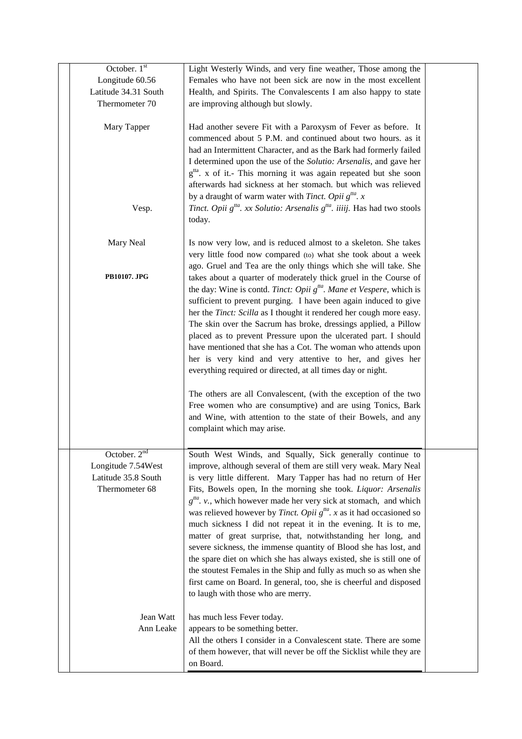| October. 1st         | Light Westerly Winds, and very fine weather, Those among the                                                                                         |  |
|----------------------|------------------------------------------------------------------------------------------------------------------------------------------------------|--|
| Longitude 60.56      | Females who have not been sick are now in the most excellent                                                                                         |  |
| Latitude 34.31 South | Health, and Spirits. The Convalescents I am also happy to state                                                                                      |  |
| Thermometer 70       | are improving although but slowly.                                                                                                                   |  |
|                      |                                                                                                                                                      |  |
| Mary Tapper          | Had another severe Fit with a Paroxysm of Fever as before. It                                                                                        |  |
|                      | commenced about 5 P.M. and continued about two hours. as it                                                                                          |  |
|                      | had an Intermittent Character, and as the Bark had formerly failed                                                                                   |  |
|                      | I determined upon the use of the Solutio: Arsenalis, and gave her                                                                                    |  |
|                      | $gtta$ . x of it.- This morning it was again repeated but she soon                                                                                   |  |
|                      | afterwards had sickness at her stomach. but which was relieved                                                                                       |  |
|                      | by a draught of warm water with <i>Tinct</i> . Opii $g^{tta}$ . x                                                                                    |  |
| Vesp.                | Tinct. Opii $g^{t/a}$ . xx Solutio: Arsenalis $g^{t/a}$ . iiiij. Has had two stools                                                                  |  |
|                      | today.                                                                                                                                               |  |
|                      |                                                                                                                                                      |  |
| Mary Neal            | Is now very low, and is reduced almost to a skeleton. She takes                                                                                      |  |
|                      | very little food now compared (to) what she took about a week                                                                                        |  |
| PB10107. JPG         | ago. Gruel and Tea are the only things which she will take. She                                                                                      |  |
|                      | takes about a quarter of moderately thick gruel in the Course of                                                                                     |  |
|                      | the day: Wine is contd. Tinct: Opii g <sup>tta</sup> . Mane et Vespere, which is<br>sufficient to prevent purging. I have been again induced to give |  |
|                      | her the Tinct: Scilla as I thought it rendered her cough more easy.                                                                                  |  |
|                      | The skin over the Sacrum has broke, dressings applied, a Pillow                                                                                      |  |
|                      | placed as to prevent Pressure upon the ulcerated part. I should                                                                                      |  |
|                      | have mentioned that she has a Cot. The woman who attends upon                                                                                        |  |
|                      | her is very kind and very attentive to her, and gives her                                                                                            |  |
|                      | everything required or directed, at all times day or night.                                                                                          |  |
|                      |                                                                                                                                                      |  |
|                      | The others are all Convalescent, (with the exception of the two                                                                                      |  |
|                      | Free women who are consumptive) and are using Tonics, Bark                                                                                           |  |
|                      | and Wine, with attention to the state of their Bowels, and any                                                                                       |  |
|                      | complaint which may arise.                                                                                                                           |  |
|                      |                                                                                                                                                      |  |
| October. $2nd$       | South West Winds, and Squally, Sick generally continue to                                                                                            |  |
| Longitude 7.54West   | improve, although several of them are still very weak. Mary Neal                                                                                     |  |
| Latitude 35.8 South  | is very little different. Mary Tapper has had no return of Her                                                                                       |  |
| Thermometer 68       | Fits, Bowels open, In the morning she took. Liquor: Arsenalis                                                                                        |  |
|                      | $g^{tta}$ . v., which however made her very sick at stomach, and which                                                                               |  |
|                      | was relieved however by <i>Tinct. Opii</i> $g^{tta}$ . x as it had occasioned so                                                                     |  |
|                      | much sickness I did not repeat it in the evening. It is to me,                                                                                       |  |
|                      | matter of great surprise, that, notwithstanding her long, and                                                                                        |  |
|                      | severe sickness, the immense quantity of Blood she has lost, and                                                                                     |  |
|                      | the spare diet on which she has always existed, she is still one of                                                                                  |  |
|                      | the stoutest Females in the Ship and fully as much so as when she                                                                                    |  |
|                      | first came on Board. In general, too, she is cheerful and disposed                                                                                   |  |
|                      | to laugh with those who are merry.                                                                                                                   |  |
| Jean Watt            | has much less Fever today.                                                                                                                           |  |
| Ann Leake            | appears to be something better.                                                                                                                      |  |
|                      | All the others I consider in a Convalescent state. There are some                                                                                    |  |
|                      | of them however, that will never be off the Sicklist while they are                                                                                  |  |
|                      | on Board.                                                                                                                                            |  |
|                      |                                                                                                                                                      |  |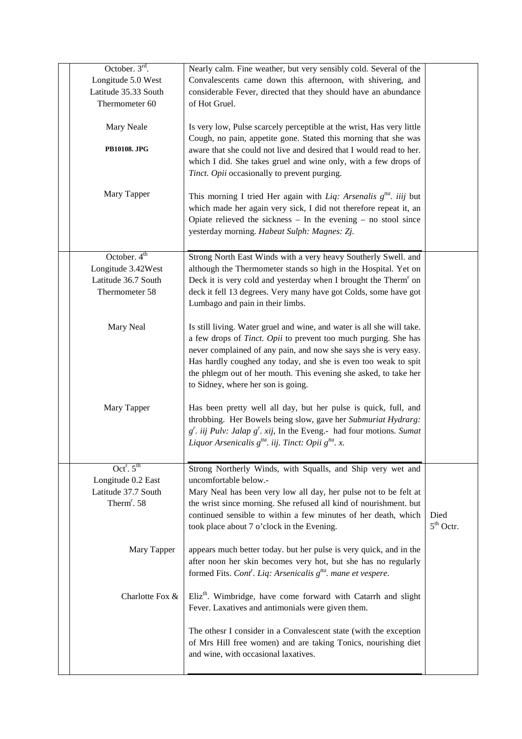| October. $3rd$ .                          | Nearly calm. Fine weather, but very sensibly cold. Several of the                                                                                       |             |
|-------------------------------------------|---------------------------------------------------------------------------------------------------------------------------------------------------------|-------------|
| Longitude 5.0 West                        | Convalescents came down this afternoon, with shivering, and                                                                                             |             |
| Latitude 35.33 South<br>Thermometer 60    | considerable Fever, directed that they should have an abundance<br>of Hot Gruel.                                                                        |             |
|                                           |                                                                                                                                                         |             |
| Mary Neale                                | Is very low, Pulse scarcely perceptible at the wrist, Has very little                                                                                   |             |
|                                           | Cough, no pain, appetite gone. Stated this morning that she was                                                                                         |             |
| PB10108. JPG                              | aware that she could not live and desired that I would read to her.                                                                                     |             |
|                                           | which I did. She takes gruel and wine only, with a few drops of                                                                                         |             |
|                                           | Tinct. Opii occasionally to prevent purging.                                                                                                            |             |
| Mary Tapper                               | This morning I tried Her again with Liq: Arsenalis $g^{tta}$ . iiij but                                                                                 |             |
|                                           | which made her again very sick, I did not therefore repeat it, an                                                                                       |             |
|                                           | Opiate relieved the sickness $-$ In the evening $-$ no stool since                                                                                      |             |
|                                           | yesterday morning. Habeat Sulph: Magnes: Zj.                                                                                                            |             |
|                                           |                                                                                                                                                         |             |
| October. $4th$<br>Longitude 3.42West      | Strong North East Winds with a very heavy Southerly Swell. and<br>although the Thermometer stands so high in the Hospital. Yet on                       |             |
| Latitude 36.7 South                       | Deck it is very cold and yesterday when I brought the Therm <sup>r</sup> on                                                                             |             |
| Thermometer 58                            | deck it fell 13 degrees. Very many have got Colds, some have got                                                                                        |             |
|                                           | Lumbago and pain in their limbs.                                                                                                                        |             |
|                                           |                                                                                                                                                         |             |
| Mary Neal                                 | Is still living. Water gruel and wine, and water is all she will take.                                                                                  |             |
|                                           | a few drops of Tinct. Opii to prevent too much purging. She has<br>never complained of any pain, and now she says she is very easy.                     |             |
|                                           | Has hardly coughed any today, and she is even too weak to spit                                                                                          |             |
|                                           | the phlegm out of her mouth. This evening she asked, to take her                                                                                        |             |
|                                           | to Sidney, where her son is going.                                                                                                                      |             |
|                                           |                                                                                                                                                         |             |
| Mary Tapper                               | Has been pretty well all day, but her pulse is quick, full, and<br>throbbing. Her Bowels being slow, gave her Submuriat Hydrarg:                        |             |
|                                           | $g'$ . iij Pulv: Jalap $g'$ . xij, In the Eveng.- had four motions. Sumat                                                                               |             |
|                                           | Liquor Arsenicalis $g^{tta}$ . iij. Tinct: Opii $g^{tta}$ . x.                                                                                          |             |
|                                           |                                                                                                                                                         |             |
| Oct <sup>r</sup> . $5th$                  | Strong Northerly Winds, with Squalls, and Ship very wet and                                                                                             |             |
| Longitude 0.2 East<br>Latitude 37.7 South | uncomfortable below.-<br>Mary Neal has been very low all day, her pulse not to be felt at                                                               |             |
| Therm <sup>r</sup> . 58                   | the wrist since morning. She refused all kind of nourishment. but                                                                                       |             |
|                                           | continued sensible to within a few minutes of her death, which                                                                                          | Died        |
|                                           | took place about 7 o'clock in the Evening.                                                                                                              | $5th$ Octr. |
|                                           |                                                                                                                                                         |             |
| Mary Tapper                               | appears much better today. but her pulse is very quick, and in the                                                                                      |             |
|                                           | after noon her skin becomes very hot, but she has no regularly<br>formed Fits. Cont <sup>r</sup> . Liq: Arsenicalis g <sup>tta</sup> . mane et vespere. |             |
|                                           |                                                                                                                                                         |             |
| Charlotte Fox &                           | Eliz <sup>th</sup> . Wimbridge, have come forward with Catarrh and slight                                                                               |             |
|                                           | Fever. Laxatives and antimonials were given them.                                                                                                       |             |
|                                           |                                                                                                                                                         |             |
|                                           | The othesr I consider in a Convalescent state (with the exception<br>of Mrs Hill free women) and are taking Tonics, nourishing diet                     |             |
|                                           | and wine, with occasional laxatives.                                                                                                                    |             |
|                                           |                                                                                                                                                         |             |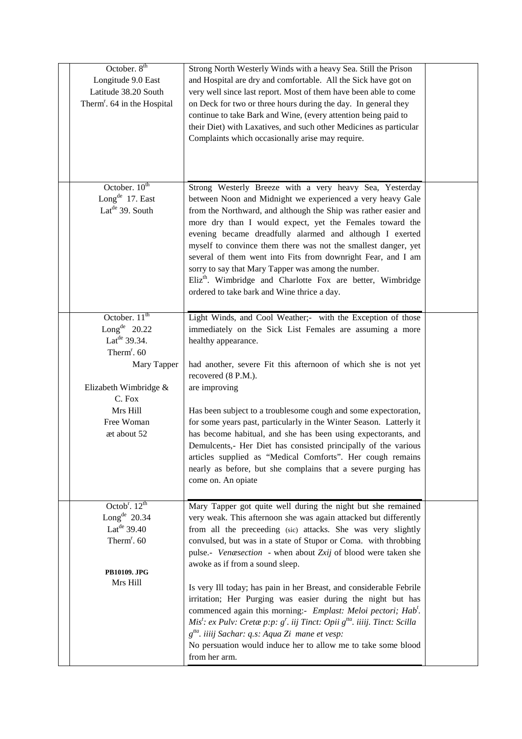| October. 8 <sup>th</sup><br>Longitude 9.0 East<br>Latitude 38.20 South<br>Therm <sup>r</sup> . 64 in the Hospital                                                                                       | Strong North Westerly Winds with a heavy Sea. Still the Prison<br>and Hospital are dry and comfortable. All the Sick have got on<br>very well since last report. Most of them have been able to come<br>on Deck for two or three hours during the day. In general they<br>continue to take Bark and Wine, (every attention being paid to<br>their Diet) with Laxatives, and such other Medicines as particular<br>Complaints which occasionally arise may require.                                                                                                                                                                                                                                                                                                                                                              |  |
|---------------------------------------------------------------------------------------------------------------------------------------------------------------------------------------------------------|---------------------------------------------------------------------------------------------------------------------------------------------------------------------------------------------------------------------------------------------------------------------------------------------------------------------------------------------------------------------------------------------------------------------------------------------------------------------------------------------------------------------------------------------------------------------------------------------------------------------------------------------------------------------------------------------------------------------------------------------------------------------------------------------------------------------------------|--|
| October. 10 <sup>th</sup><br>Long <sup>de</sup> 17. East<br>Lat <sup>de</sup> 39. South                                                                                                                 | Strong Westerly Breeze with a very heavy Sea, Yesterday<br>between Noon and Midnight we experienced a very heavy Gale<br>from the Northward, and although the Ship was rather easier and<br>more dry than I would expect, yet the Females toward the<br>evening became dreadfully alarmed and although I exerted<br>myself to convince them there was not the smallest danger, yet<br>several of them went into Fits from downright Fear, and I am<br>sorry to say that Mary Tapper was among the number.<br>Eliz <sup>th</sup> . Wimbridge and Charlotte Fox are better, Wimbridge<br>ordered to take bark and Wine thrice a day.                                                                                                                                                                                              |  |
| October. 11 <sup>th</sup><br>Long <sup>de</sup> 20.22<br>Lat <sup>de</sup> 39.34.<br>Therm <sup>r</sup> . 60<br>Mary Tapper<br>Elizabeth Wimbridge &<br>C. Fox<br>Mrs Hill<br>Free Woman<br>æt about 52 | Light Winds, and Cool Weather;- with the Exception of those<br>immediately on the Sick List Females are assuming a more<br>healthy appearance.<br>had another, severe Fit this afternoon of which she is not yet<br>recovered (8 P.M.).<br>are improving<br>Has been subject to a troublesome cough and some expectoration,<br>for some years past, particularly in the Winter Season. Latterly it<br>has become habitual, and she has been using expectorants, and<br>Demulcents,- Her Diet has consisted principally of the various<br>articles supplied as "Medical Comforts". Her cough remains<br>nearly as before, but she complains that a severe purging has<br>come on. An opiate                                                                                                                                      |  |
| Octob <sup>r</sup> . $12^{th}$<br>Long <sup>de</sup> $20.34$<br>Lat <sup>de</sup> 39.40<br>Therm <sup>r</sup> . 60<br>PB10109. JPG<br>Mrs Hill                                                          | Mary Tapper got quite well during the night but she remained<br>very weak. This afternoon she was again attacked but differently<br>from all the preceeding (sic) attacks. She was very slightly<br>convulsed, but was in a state of Stupor or Coma. with throbbing<br>pulse.- Venæsection - when about Zxij of blood were taken she<br>awoke as if from a sound sleep.<br>Is very Ill today; has pain in her Breast, and considerable Febrile<br>irritation; Her Purging was easier during the night but has<br>commenced again this morning:- Emplast: Meloi pectori; Hab'.<br>Mis <sup>t</sup> : ex Pulv: Cretæ p:p: $g'$ . iij Tinct: Opii $g^{ta}$ . iiiij. Tinct: Scilla<br>g <sup>tta</sup> . iiiij Sachar: q.s: Aqua Zi mane et vesp:<br>No persuation would induce her to allow me to take some blood<br>from her arm. |  |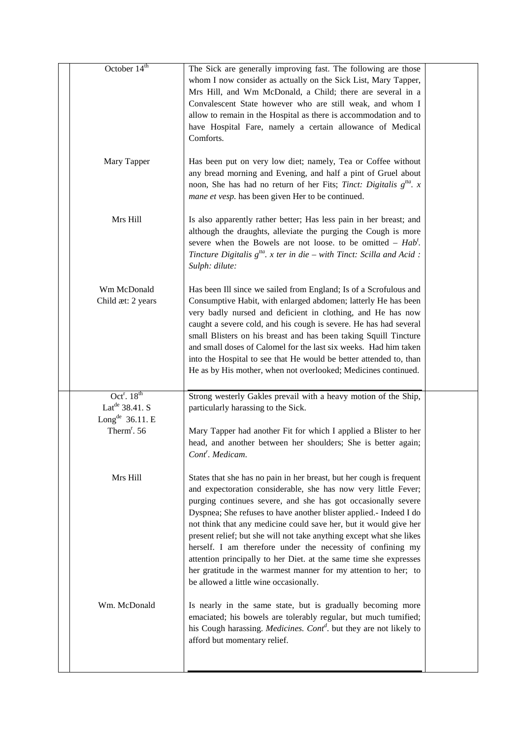| October 14 <sup>th</sup>                                | The Sick are generally improving fast. The following are those<br>whom I now consider as actually on the Sick List, Mary Tapper,<br>Mrs Hill, and Wm McDonald, a Child; there are several in a<br>Convalescent State however who are still weak, and whom I<br>allow to remain in the Hospital as there is accommodation and to<br>have Hospital Fare, namely a certain allowance of Medical<br>Comforts.                                                                                                                                                                                                                                                                   |  |
|---------------------------------------------------------|-----------------------------------------------------------------------------------------------------------------------------------------------------------------------------------------------------------------------------------------------------------------------------------------------------------------------------------------------------------------------------------------------------------------------------------------------------------------------------------------------------------------------------------------------------------------------------------------------------------------------------------------------------------------------------|--|
| Mary Tapper                                             | Has been put on very low diet; namely, Tea or Coffee without<br>any bread morning and Evening, and half a pint of Gruel about<br>noon, She has had no return of her Fits; <i>Tinct: Digitalis</i> $g^{ta}$ . x<br>mane et vesp. has been given Her to be continued.                                                                                                                                                                                                                                                                                                                                                                                                         |  |
| Mrs Hill                                                | Is also apparently rather better; Has less pain in her breast; and<br>although the draughts, alleviate the purging the Cough is more<br>severe when the Bowels are not loose, to be omitted $-$ Hab <sup>t</sup> .<br>Tincture Digitalis $g^{tta}$ . x ter in die – with Tinct: Scilla and Acid :<br>Sulph: dilute:                                                                                                                                                                                                                                                                                                                                                         |  |
| Wm McDonald<br>Child æt: 2 years                        | Has been Ill since we sailed from England; Is of a Scrofulous and<br>Consumptive Habit, with enlarged abdomen; latterly He has been<br>very badly nursed and deficient in clothing, and He has now<br>caught a severe cold, and his cough is severe. He has had several<br>small Blisters on his breast and has been taking Squill Tincture<br>and small doses of Calomel for the last six weeks. Had him taken<br>into the Hospital to see that He would be better attended to, than<br>He as by His mother, when not overlooked; Medicines continued.                                                                                                                     |  |
| Oct <sup>r</sup> . $18th$<br>Lat <sup>de</sup> 38.41. S | Strong westerly Gakles prevail with a heavy motion of the Ship,<br>particularly harassing to the Sick.                                                                                                                                                                                                                                                                                                                                                                                                                                                                                                                                                                      |  |
| Long <sup>de</sup> 36.11. E                             |                                                                                                                                                                                                                                                                                                                                                                                                                                                                                                                                                                                                                                                                             |  |
| Therm <sup>r</sup> . 56                                 | Mary Tapper had another Fit for which I applied a Blister to her<br>head, and another between her shoulders; She is better again;<br>Cont <sup>r</sup> . Medicam.                                                                                                                                                                                                                                                                                                                                                                                                                                                                                                           |  |
| Mrs Hill                                                | States that she has no pain in her breast, but her cough is frequent<br>and expectoration considerable, she has now very little Fever;<br>purging continues severe, and she has got occasionally severe<br>Dyspnea; She refuses to have another blister applied.- Indeed I do<br>not think that any medicine could save her, but it would give her<br>present relief; but she will not take anything except what she likes<br>herself. I am therefore under the necessity of confining my<br>attention principally to her Diet. at the same time she expresses<br>her gratitude in the warmest manner for my attention to her; to<br>be allowed a little wine occasionally. |  |
| Wm. McDonald                                            | Is nearly in the same state, but is gradually becoming more<br>emaciated; his bowels are tolerably regular, but much tumified;<br>his Cough harassing. <i>Medicines. Cont<sup>d</sup></i> . but they are not likely to<br>afford but momentary relief.                                                                                                                                                                                                                                                                                                                                                                                                                      |  |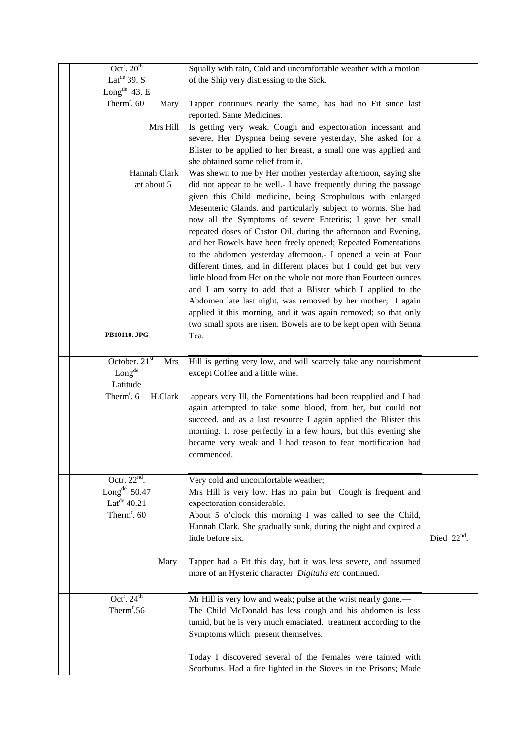| Oct <sup>r</sup> . $20th$         | Squally with rain, Cold and uncomfortable weather with a motion   |               |
|-----------------------------------|-------------------------------------------------------------------|---------------|
| Lat <sup>de</sup> 39. S           | of the Ship very distressing to the Sick.                         |               |
| Long <sup>de</sup> 43. E          |                                                                   |               |
| Therm <sup>r</sup> . 60<br>Mary   | Tapper continues nearly the same, has had no Fit since last       |               |
|                                   | reported. Same Medicines.                                         |               |
| Mrs Hill                          | Is getting very weak. Cough and expectoration incessant and       |               |
|                                   | severe, Her Dyspnea being severe yesterday, She asked for a       |               |
|                                   | Blister to be applied to her Breast, a small one was applied and  |               |
|                                   | she obtained some relief from it.                                 |               |
| Hannah Clark                      | Was shewn to me by Her mother yesterday afternoon, saying she     |               |
| æt about 5                        | did not appear to be well.- I have frequently during the passage  |               |
|                                   | given this Child medicine, being Scrophulous with enlarged        |               |
|                                   | Mesenteric Glands. and particularly subject to worms. She had     |               |
|                                   | now all the Symptoms of severe Enteritis; I gave her small        |               |
|                                   | repeated doses of Castor Oil, during the afternoon and Evening,   |               |
|                                   | and her Bowels have been freely opened; Repeated Fomentations     |               |
|                                   | to the abdomen yesterday afternoon,- I opened a vein at Four      |               |
|                                   | different times, and in different places but I could get but very |               |
|                                   | little blood from Her on the whole not more than Fourteen ounces  |               |
|                                   | and I am sorry to add that a Blister which I applied to the       |               |
|                                   | Abdomen late last night, was removed by her mother; I again       |               |
|                                   | applied it this morning, and it was again removed; so that only   |               |
|                                   | two small spots are risen. Bowels are to be kept open with Senna  |               |
| <b>PB10110. JPG</b>               | Tea.                                                              |               |
|                                   |                                                                   |               |
| October. 21st<br><b>Mrs</b>       | Hill is getting very low, and will scarcely take any nourishment  |               |
| Longde                            | except Coffee and a little wine.                                  |               |
| Latitude                          |                                                                   |               |
| Therm <sup>r</sup> . 6<br>H.Clark | appears very Ill, the Fomentations had been reapplied and I had   |               |
|                                   | again attempted to take some blood, from her, but could not       |               |
|                                   | succeed. and as a last resource I again applied the Blister this  |               |
|                                   | morning. It rose perfectly in a few hours, but this evening she   |               |
|                                   | became very weak and I had reason to fear mortification had       |               |
|                                   | commenced.                                                        |               |
|                                   |                                                                   |               |
| Octr. $22^{nd}$ .                 | Very cold and uncomfortable weather;                              |               |
| Long <sup>de</sup> $50.47$        | Mrs Hill is very low. Has no pain but Cough is frequent and       |               |
| Lat <sup>de</sup> $40.21$         | expectoration considerable.                                       |               |
| Therm <sup>r</sup> . 60           | About 5 o'clock this morning I was called to see the Child,       |               |
|                                   | Hannah Clark. She gradually sunk, during the night and expired a  |               |
|                                   | little before six.                                                | Died $22nd$ . |
|                                   |                                                                   |               |
| Mary                              | Tapper had a Fit this day, but it was less severe, and assumed    |               |
|                                   | more of an Hysteric character. Digitalis etc continued.           |               |
|                                   |                                                                   |               |
| Oct <sup>r</sup> . $24^{th}$      |                                                                   |               |
| Therm <sup>r</sup> .56            | Mr Hill is very low and weak; pulse at the wrist nearly gone.—    |               |
|                                   | The Child McDonald has less cough and his abdomen is less         |               |
|                                   | tumid, but he is very much emaciated. treatment according to the  |               |
|                                   | Symptoms which present themselves.                                |               |
|                                   |                                                                   |               |
|                                   | Today I discovered several of the Females were tainted with       |               |
|                                   | Scorbutus. Had a fire lighted in the Stoves in the Prisons; Made  |               |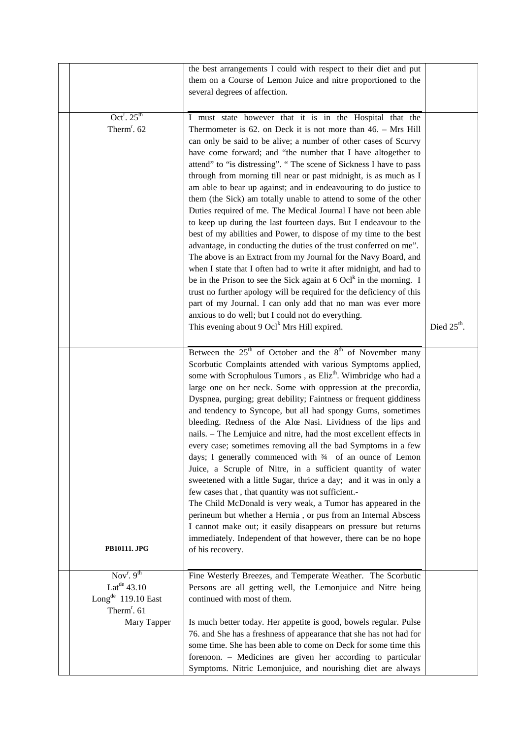|                                                           | the best arrangements I could with respect to their diet and put<br>them on a Course of Lemon Juice and nitre proportioned to the<br>several degrees of affection.                                                                                                                                                                                                                                                                                                                                                                                                                                                                                                                                                                                                                                                                                                                                                                                                                                                                                                                                                                                                                                                                                               |               |
|-----------------------------------------------------------|------------------------------------------------------------------------------------------------------------------------------------------------------------------------------------------------------------------------------------------------------------------------------------------------------------------------------------------------------------------------------------------------------------------------------------------------------------------------------------------------------------------------------------------------------------------------------------------------------------------------------------------------------------------------------------------------------------------------------------------------------------------------------------------------------------------------------------------------------------------------------------------------------------------------------------------------------------------------------------------------------------------------------------------------------------------------------------------------------------------------------------------------------------------------------------------------------------------------------------------------------------------|---------------|
| Oct <sup>r</sup> . $25th$<br>Therm <sup>r</sup> . 62      | I must state however that it is in the Hospital that the<br>Thermometer is $62$ . on Deck it is not more than $46.$ – Mrs Hill<br>can only be said to be alive; a number of other cases of Scurvy<br>have come forward; and "the number that I have altogether to<br>attend" to "is distressing". " The scene of Sickness I have to pass<br>through from morning till near or past midnight, is as much as I<br>am able to bear up against; and in endeavouring to do justice to<br>them (the Sick) am totally unable to attend to some of the other<br>Duties required of me. The Medical Journal I have not been able<br>to keep up during the last fourteen days. But I endeavour to the<br>best of my abilities and Power, to dispose of my time to the best<br>advantage, in conducting the duties of the trust conferred on me".<br>The above is an Extract from my Journal for the Navy Board, and<br>when I state that I often had to write it after midnight, and had to<br>be in the Prison to see the Sick again at $6 \text{ Ocl}^k$ in the morning. I<br>trust no further apology will be required for the deficiency of this<br>part of my Journal. I can only add that no man was ever more<br>anxious to do well; but I could not do everything. |               |
|                                                           | This evening about 9 $Ocl^k$ Mrs Hill expired.                                                                                                                                                                                                                                                                                                                                                                                                                                                                                                                                                                                                                                                                                                                                                                                                                                                                                                                                                                                                                                                                                                                                                                                                                   | Died $25th$ . |
| <b>PB10111. JPG</b>                                       | Between the $25th$ of October and the $8th$ of November many<br>Scorbutic Complaints attended with various Symptoms applied,<br>some with Scrophulous Tumors, as Eliz <sup>th</sup> . Wimbridge who had a<br>large one on her neck. Some with oppression at the precordia,<br>Dyspnea, purging; great debility; Faintness or frequent giddiness<br>and tendency to Syncope, but all had spongy Gums, sometimes<br>bleeding. Redness of the Alœ Nasi. Lividness of the lips and<br>nails. - The Lemjuice and nitre, had the most excellent effects in<br>every case; sometimes removing all the bad Symptoms in a few<br>days; I generally commenced with $\frac{3}{4}$ of an ounce of Lemon<br>Juice, a Scruple of Nitre, in a sufficient quantity of water<br>sweetened with a little Sugar, thrice a day; and it was in only a<br>few cases that, that quantity was not sufficient.-<br>The Child McDonald is very weak, a Tumor has appeared in the<br>perineum but whether a Hernia, or pus from an Internal Abscess<br>I cannot make out; it easily disappears on pressure but returns<br>immediately. Independent of that however, there can be no hope<br>of his recovery.                                                                                |               |
| Nov <sup>r</sup> . $9^{th}$<br>Lat <sup>de</sup> $43.10$  | Fine Westerly Breezes, and Temperate Weather. The Scorbutic<br>Persons are all getting well, the Lemonjuice and Nitre being                                                                                                                                                                                                                                                                                                                                                                                                                                                                                                                                                                                                                                                                                                                                                                                                                                                                                                                                                                                                                                                                                                                                      |               |
| Long <sup>de</sup> 119.10 East<br>Therm <sup>r</sup> . 61 | continued with most of them.                                                                                                                                                                                                                                                                                                                                                                                                                                                                                                                                                                                                                                                                                                                                                                                                                                                                                                                                                                                                                                                                                                                                                                                                                                     |               |
| Mary Tapper                                               | Is much better today. Her appetite is good, bowels regular. Pulse<br>76. and She has a freshness of appearance that she has not had for<br>some time. She has been able to come on Deck for some time this<br>forenoon. - Medicines are given her according to particular<br>Symptoms. Nitric Lemonjuice, and nourishing diet are always                                                                                                                                                                                                                                                                                                                                                                                                                                                                                                                                                                                                                                                                                                                                                                                                                                                                                                                         |               |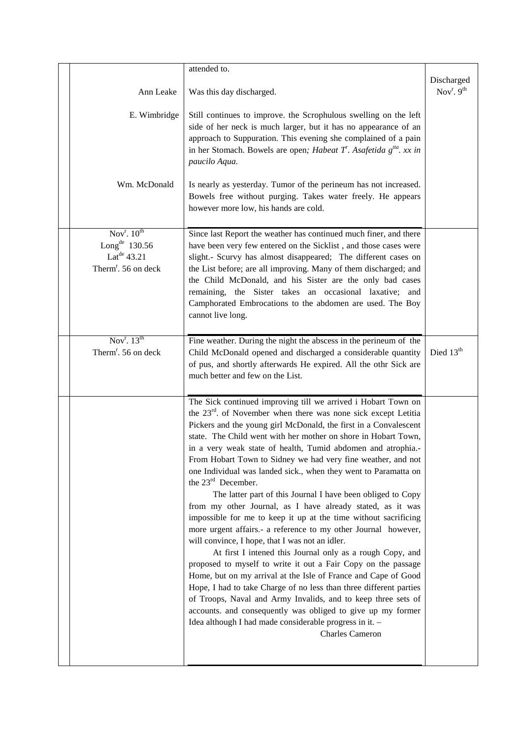|                                                          | attended to.                                                                                                                                                                                                                                                                                     |                              |
|----------------------------------------------------------|--------------------------------------------------------------------------------------------------------------------------------------------------------------------------------------------------------------------------------------------------------------------------------------------------|------------------------------|
| Ann Leake                                                | Was this day discharged.                                                                                                                                                                                                                                                                         | Discharged<br>$Novr$ . $9th$ |
| E. Wimbridge                                             | Still continues to improve. the Scrophulous swelling on the left<br>side of her neck is much larger, but it has no appearance of an<br>approach to Suppuration. This evening she complained of a pain<br>in her Stomach. Bowels are open; Habeat T'. Asafetida $g^{ta}$ . xx in<br>paucilo Aqua. |                              |
| Wm. McDonald                                             | Is nearly as yesterday. Tumor of the perineum has not increased.<br>Bowels free without purging. Takes water freely. He appears<br>however more low, his hands are cold.                                                                                                                         |                              |
| Nov <sup>r</sup> . $10^{th}$                             | Since last Report the weather has continued much finer, and there                                                                                                                                                                                                                                |                              |
| Long <sup>de</sup> $130.56$<br>Lat <sup>de</sup> $43.21$ | have been very few entered on the Sicklist, and those cases were<br>slight.- Scurvy has almost disappeared; The different cases on                                                                                                                                                               |                              |
| Therm <sup>r</sup> . 56 on deck                          | the List before; are all improving. Many of them discharged; and                                                                                                                                                                                                                                 |                              |
|                                                          | the Child McDonald, and his Sister are the only bad cases                                                                                                                                                                                                                                        |                              |
|                                                          | remaining, the Sister takes an occasional laxative; and                                                                                                                                                                                                                                          |                              |
|                                                          | Camphorated Embrocations to the abdomen are used. The Boy<br>cannot live long.                                                                                                                                                                                                                   |                              |
|                                                          |                                                                                                                                                                                                                                                                                                  |                              |
| Nov <sup>r</sup> . $13^{th}$                             | Fine weather. During the night the abscess in the perineum of the                                                                                                                                                                                                                                |                              |
| Therm <sup>r</sup> . 56 on deck                          | Child McDonald opened and discharged a considerable quantity                                                                                                                                                                                                                                     | Died 13 <sup>th</sup>        |
|                                                          | of pus, and shortly afterwards He expired. All the othr Sick are<br>much better and few on the List.                                                                                                                                                                                             |                              |
|                                                          |                                                                                                                                                                                                                                                                                                  |                              |
|                                                          | The Sick continued improving till we arrived i Hobart Town on                                                                                                                                                                                                                                    |                              |
|                                                          | the 23 <sup>rd</sup> . of November when there was none sick except Letitia                                                                                                                                                                                                                       |                              |
|                                                          | Pickers and the young girl McDonald, the first in a Convalescent<br>state. The Child went with her mother on shore in Hobart Town,                                                                                                                                                               |                              |
|                                                          | in a very weak state of health, Tumid abdomen and atrophia.-                                                                                                                                                                                                                                     |                              |
|                                                          | From Hobart Town to Sidney we had very fine weather, and not                                                                                                                                                                                                                                     |                              |
|                                                          | one Individual was landed sick., when they went to Paramatta on<br>the $23^{\text{rd}}$ December.                                                                                                                                                                                                |                              |
|                                                          | The latter part of this Journal I have been obliged to Copy                                                                                                                                                                                                                                      |                              |
|                                                          | from my other Journal, as I have already stated, as it was                                                                                                                                                                                                                                       |                              |
|                                                          | impossible for me to keep it up at the time without sacrificing                                                                                                                                                                                                                                  |                              |
|                                                          | more urgent affairs.- a reference to my other Journal however,<br>will convince, I hope, that I was not an idler.                                                                                                                                                                                |                              |
|                                                          | At first I intened this Journal only as a rough Copy, and                                                                                                                                                                                                                                        |                              |
|                                                          | proposed to myself to write it out a Fair Copy on the passage                                                                                                                                                                                                                                    |                              |
|                                                          | Home, but on my arrival at the Isle of France and Cape of Good                                                                                                                                                                                                                                   |                              |
|                                                          | Hope, I had to take Charge of no less than three different parties<br>of Troops, Naval and Army Invalids, and to keep three sets of                                                                                                                                                              |                              |
|                                                          | accounts. and consequently was obliged to give up my former                                                                                                                                                                                                                                      |                              |
|                                                          | Idea although I had made considerable progress in it. -                                                                                                                                                                                                                                          |                              |
|                                                          | <b>Charles Cameron</b>                                                                                                                                                                                                                                                                           |                              |
|                                                          |                                                                                                                                                                                                                                                                                                  |                              |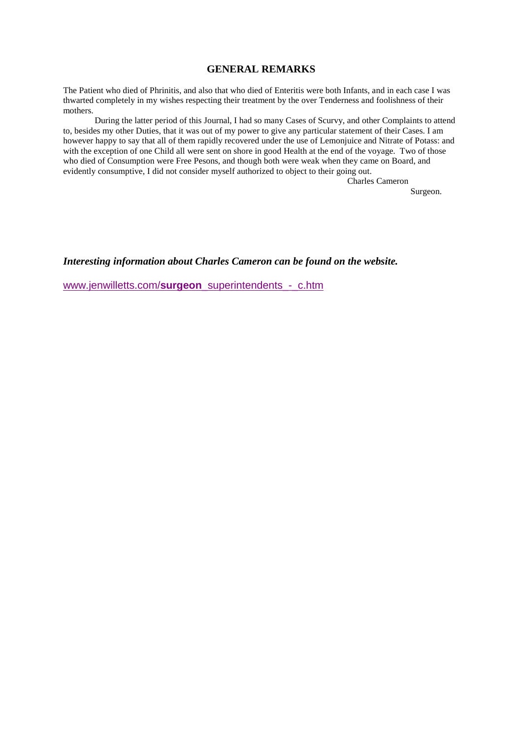## **GENERAL REMARKS**

The Patient who died of Phrinitis, and also that who died of Enteritis were both Infants, and in each case I was thwarted completely in my wishes respecting their treatment by the over Tenderness and foolishness of their mothers.

 During the latter period of this Journal, I had so many Cases of Scurvy, and other Complaints to attend to, besides my other Duties, that it was out of my power to give any particular statement of their Cases. I am however happy to say that all of them rapidly recovered under the use of Lemonjuice and Nitrate of Potass: and with the exception of one Child all were sent on shore in good Health at the end of the voyage. Two of those who died of Consumption were Free Pesons, and though both were weak when they came on Board, and evidently consumptive, I did not consider myself authorized to object to their going out.

> Charles Cameron Surgeon.

*Interesting information about Charles Cameron can be found on the website.* 

www.jenwilletts.com/**surgeon**\_superintendents\_-\_c.htm